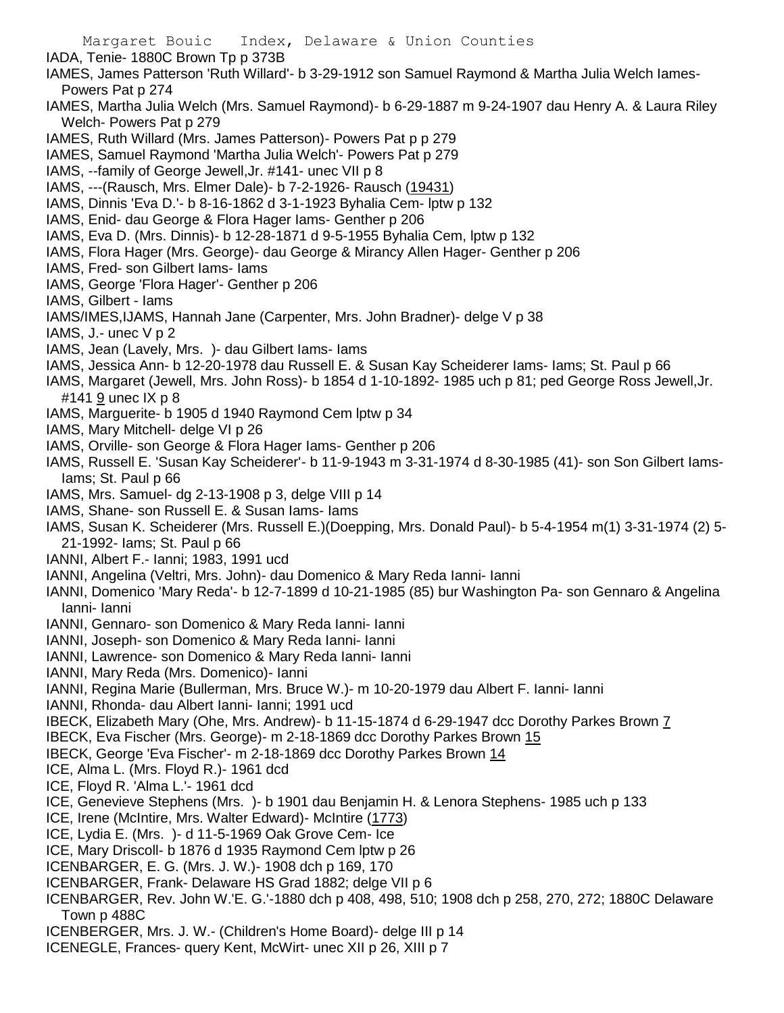Margaret Bouic Index, Delaware & Union Counties IADA, Tenie- 1880C Brown Tp p 373B IAMES, James Patterson 'Ruth Willard'- b 3-29-1912 son Samuel Raymond & Martha Julia Welch Iames-Powers Pat p 274 IAMES, Martha Julia Welch (Mrs. Samuel Raymond)- b 6-29-1887 m 9-24-1907 dau Henry A. & Laura Riley Welch- Powers Pat p 279 IAMES, Ruth Willard (Mrs. James Patterson)- Powers Pat p p 279 IAMES, Samuel Raymond 'Martha Julia Welch'- Powers Pat p 279 IAMS, --family of George Jewell,Jr. #141- unec VII p 8 IAMS, ---(Rausch, Mrs. Elmer Dale)- b 7-2-1926- Rausch (19431) IAMS, Dinnis 'Eva D.'- b 8-16-1862 d 3-1-1923 Byhalia Cem- lptw p 132 IAMS, Enid- dau George & Flora Hager Iams- Genther p 206 IAMS, Eva D. (Mrs. Dinnis)- b 12-28-1871 d 9-5-1955 Byhalia Cem, lptw p 132 IAMS, Flora Hager (Mrs. George)- dau George & Mirancy Allen Hager- Genther p 206 IAMS, Fred- son Gilbert Iams- Iams IAMS, George 'Flora Hager'- Genther p 206 IAMS, Gilbert - Iams IAMS/IMES,IJAMS, Hannah Jane (Carpenter, Mrs. John Bradner)- delge V p 38 IAMS, J.- unec V p 2 IAMS, Jean (Lavely, Mrs. )- dau Gilbert Iams- Iams IAMS, Jessica Ann- b 12-20-1978 dau Russell E. & Susan Kay Scheiderer Iams- Iams; St. Paul p 66 IAMS, Margaret (Jewell, Mrs. John Ross)- b 1854 d 1-10-1892- 1985 uch p 81; ped George Ross Jewell,Jr. #141 9 unec IX p 8 IAMS, Marguerite- b 1905 d 1940 Raymond Cem lptw p 34 IAMS, Mary Mitchell- delge VI p 26 IAMS, Orville- son George & Flora Hager Iams- Genther p 206 IAMS, Russell E. 'Susan Kay Scheiderer'- b 11-9-1943 m 3-31-1974 d 8-30-1985 (41)- son Son Gilbert Iams-Iams; St. Paul p 66 IAMS, Mrs. Samuel- dg 2-13-1908 p 3, delge VIII p 14 IAMS, Shane- son Russell E. & Susan Iams- Iams IAMS, Susan K. Scheiderer (Mrs. Russell E.)(Doepping, Mrs. Donald Paul)- b 5-4-1954 m(1) 3-31-1974 (2) 5- 21-1992- Iams; St. Paul p 66 IANNI, Albert F.- Ianni; 1983, 1991 ucd IANNI, Angelina (Veltri, Mrs. John)- dau Domenico & Mary Reda Ianni- Ianni IANNI, Domenico 'Mary Reda'- b 12-7-1899 d 10-21-1985 (85) bur Washington Pa- son Gennaro & Angelina Ianni- Ianni IANNI, Gennaro- son Domenico & Mary Reda Ianni- Ianni IANNI, Joseph- son Domenico & Mary Reda Ianni- Ianni IANNI, Lawrence- son Domenico & Mary Reda Ianni- Ianni IANNI, Mary Reda (Mrs. Domenico)- Ianni IANNI, Regina Marie (Bullerman, Mrs. Bruce W.)- m 10-20-1979 dau Albert F. Ianni- Ianni IANNI, Rhonda- dau Albert Ianni- Ianni; 1991 ucd IBECK, Elizabeth Mary (Ohe, Mrs. Andrew)- b 11-15-1874 d 6-29-1947 dcc Dorothy Parkes Brown 7 IBECK, Eva Fischer (Mrs. George)- m 2-18-1869 dcc Dorothy Parkes Brown 15 IBECK, George 'Eva Fischer'- m 2-18-1869 dcc Dorothy Parkes Brown 14 ICE, Alma L. (Mrs. Floyd R.)- 1961 dcd ICE, Floyd R. 'Alma L.'- 1961 dcd ICE, Genevieve Stephens (Mrs. )- b 1901 dau Benjamin H. & Lenora Stephens- 1985 uch p 133 ICE, Irene (McIntire, Mrs. Walter Edward)- McIntire (1773) ICE, Lydia E. (Mrs. )- d 11-5-1969 Oak Grove Cem- Ice ICE, Mary Driscoll- b 1876 d 1935 Raymond Cem lptw p 26 ICENBARGER, E. G. (Mrs. J. W.)- 1908 dch p 169, 170 ICENBARGER, Frank- Delaware HS Grad 1882; delge VII p 6 ICENBARGER, Rev. John W.'E. G.'-1880 dch p 408, 498, 510; 1908 dch p 258, 270, 272; 1880C Delaware Town p 488C ICENBERGER, Mrs. J. W.- (Children's Home Board)- delge III p 14 ICENEGLE, Frances- query Kent, McWirt- unec XII p 26, XIII p 7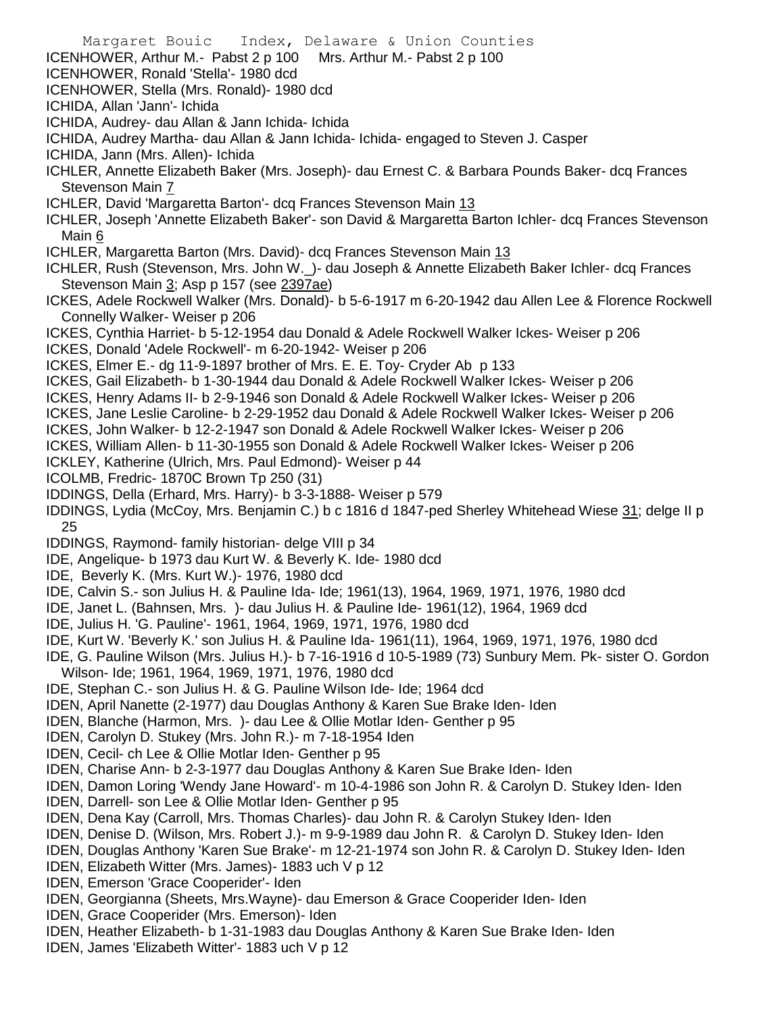- Margaret Bouic Index, Delaware & Union Counties ICENHOWER, Arthur M.- Pabst 2 p 100 Mrs. Arthur M.- Pabst 2 p 100 ICENHOWER, Ronald 'Stella'- 1980 dcd ICENHOWER, Stella (Mrs. Ronald)- 1980 dcd ICHIDA, Allan 'Jann'- Ichida ICHIDA, Audrey- dau Allan & Jann Ichida- Ichida ICHIDA, Audrey Martha- dau Allan & Jann Ichida- Ichida- engaged to Steven J. Casper ICHIDA, Jann (Mrs. Allen)- Ichida ICHLER, Annette Elizabeth Baker (Mrs. Joseph)- dau Ernest C. & Barbara Pounds Baker- dcq Frances Stevenson Main 7 ICHLER, David 'Margaretta Barton'- dcq Frances Stevenson Main 13 ICHLER, Joseph 'Annette Elizabeth Baker'- son David & Margaretta Barton Ichler- dcq Frances Stevenson Main 6 ICHLER, Margaretta Barton (Mrs. David)- dcq Frances Stevenson Main 13 ICHLER, Rush (Stevenson, Mrs. John W.\_)- dau Joseph & Annette Elizabeth Baker Ichler- dcq Frances Stevenson Main 3; Asp p 157 (see 2397ae) ICKES, Adele Rockwell Walker (Mrs. Donald)- b 5-6-1917 m 6-20-1942 dau Allen Lee & Florence Rockwell Connelly Walker- Weiser p 206 ICKES, Cynthia Harriet- b 5-12-1954 dau Donald & Adele Rockwell Walker Ickes- Weiser p 206 ICKES, Donald 'Adele Rockwell'- m 6-20-1942- Weiser p 206 ICKES, Elmer E.- dg 11-9-1897 brother of Mrs. E. E. Toy- Cryder Ab p 133 ICKES, Gail Elizabeth- b 1-30-1944 dau Donald & Adele Rockwell Walker Ickes- Weiser p 206 ICKES, Henry Adams II- b 2-9-1946 son Donald & Adele Rockwell Walker Ickes- Weiser p 206 ICKES, Jane Leslie Caroline- b 2-29-1952 dau Donald & Adele Rockwell Walker Ickes- Weiser p 206 ICKES, John Walker- b 12-2-1947 son Donald & Adele Rockwell Walker Ickes- Weiser p 206 ICKES, William Allen- b 11-30-1955 son Donald & Adele Rockwell Walker Ickes- Weiser p 206 ICKLEY, Katherine (Ulrich, Mrs. Paul Edmond)- Weiser p 44 ICOLMB, Fredric- 1870C Brown Tp 250 (31) IDDINGS, Della (Erhard, Mrs. Harry)- b 3-3-1888- Weiser p 579 IDDINGS, Lydia (McCoy, Mrs. Benjamin C.) b c 1816 d 1847-ped Sherley Whitehead Wiese 31; delge II p 25 IDDINGS, Raymond- family historian- delge VIII p 34 IDE, Angelique- b 1973 dau Kurt W. & Beverly K. Ide- 1980 dcd IDE, Beverly K. (Mrs. Kurt W.)- 1976, 1980 dcd IDE, Calvin S.- son Julius H. & Pauline Ida- Ide; 1961(13), 1964, 1969, 1971, 1976, 1980 dcd IDE, Janet L. (Bahnsen, Mrs. )- dau Julius H. & Pauline Ide- 1961(12), 1964, 1969 dcd IDE, Julius H. 'G. Pauline'- 1961, 1964, 1969, 1971, 1976, 1980 dcd IDE, Kurt W. 'Beverly K.' son Julius H. & Pauline Ida- 1961(11), 1964, 1969, 1971, 1976, 1980 dcd IDE, G. Pauline Wilson (Mrs. Julius H.)- b 7-16-1916 d 10-5-1989 (73) Sunbury Mem. Pk- sister O. Gordon Wilson- Ide; 1961, 1964, 1969, 1971, 1976, 1980 dcd IDE, Stephan C.- son Julius H. & G. Pauline Wilson Ide- Ide; 1964 dcd IDEN, April Nanette (2-1977) dau Douglas Anthony & Karen Sue Brake Iden- Iden IDEN, Blanche (Harmon, Mrs. )- dau Lee & Ollie Motlar Iden- Genther p 95 IDEN, Carolyn D. Stukey (Mrs. John R.)- m 7-18-1954 Iden IDEN, Cecil- ch Lee & Ollie Motlar Iden- Genther p 95 IDEN, Charise Ann- b 2-3-1977 dau Douglas Anthony & Karen Sue Brake Iden- Iden IDEN, Damon Loring 'Wendy Jane Howard'- m 10-4-1986 son John R. & Carolyn D. Stukey Iden- Iden IDEN, Darrell- son Lee & Ollie Motlar Iden- Genther p 95 IDEN, Dena Kay (Carroll, Mrs. Thomas Charles)- dau John R. & Carolyn Stukey Iden- Iden IDEN, Denise D. (Wilson, Mrs. Robert J.)- m 9-9-1989 dau John R. & Carolyn D. Stukey Iden- Iden IDEN, Douglas Anthony 'Karen Sue Brake'- m 12-21-1974 son John R. & Carolyn D. Stukey Iden- Iden IDEN, Elizabeth Witter (Mrs. James)- 1883 uch V p 12 IDEN, Emerson 'Grace Cooperider'- Iden IDEN, Georgianna (Sheets, Mrs.Wayne)- dau Emerson & Grace Cooperider Iden- Iden IDEN, Grace Cooperider (Mrs. Emerson)- Iden
- IDEN, Heather Elizabeth- b 1-31-1983 dau Douglas Anthony & Karen Sue Brake Iden- Iden
- IDEN, James 'Elizabeth Witter'- 1883 uch V p 12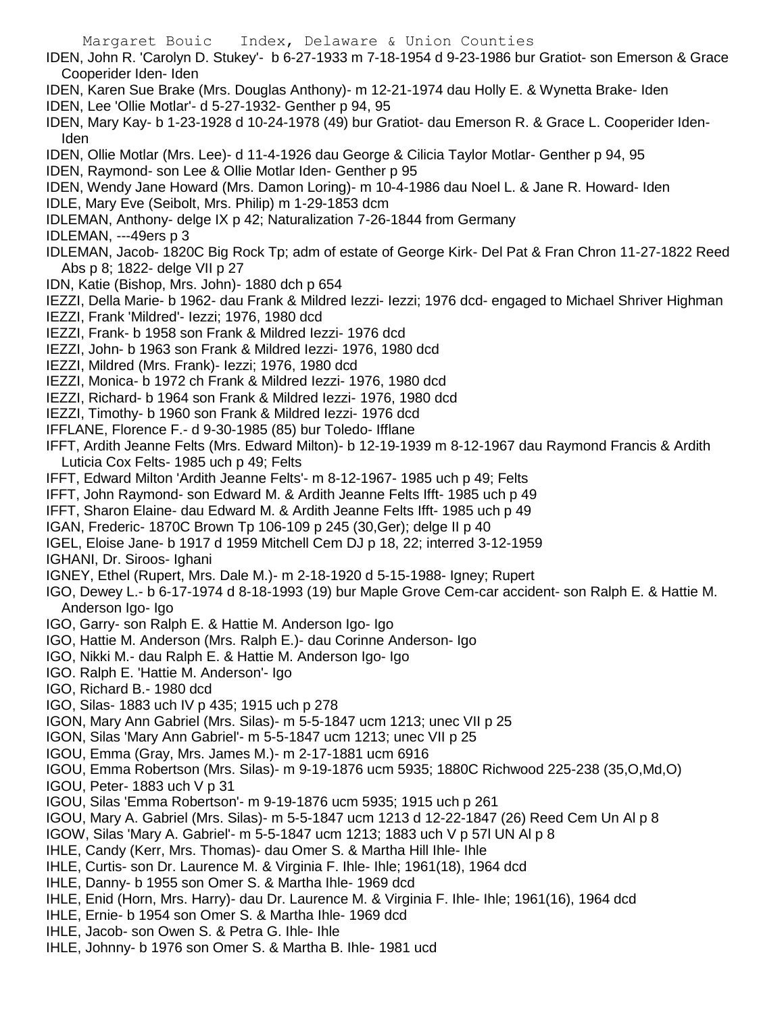Margaret Bouic Index, Delaware & Union Counties IDEN, John R. 'Carolyn D. Stukey'- b 6-27-1933 m 7-18-1954 d 9-23-1986 bur Gratiot- son Emerson & Grace Cooperider Iden- Iden IDEN, Karen Sue Brake (Mrs. Douglas Anthony)- m 12-21-1974 dau Holly E. & Wynetta Brake- Iden IDEN, Lee 'Ollie Motlar'- d 5-27-1932- Genther p 94, 95 IDEN, Mary Kay- b 1-23-1928 d 10-24-1978 (49) bur Gratiot- dau Emerson R. & Grace L. Cooperider Iden-Iden IDEN, Ollie Motlar (Mrs. Lee)- d 11-4-1926 dau George & Cilicia Taylor Motlar- Genther p 94, 95 IDEN, Raymond- son Lee & Ollie Motlar Iden- Genther p 95 IDEN, Wendy Jane Howard (Mrs. Damon Loring)- m 10-4-1986 dau Noel L. & Jane R. Howard- Iden IDLE, Mary Eve (Seibolt, Mrs. Philip) m 1-29-1853 dcm IDLEMAN, Anthony- delge IX p 42; Naturalization 7-26-1844 from Germany IDLEMAN, ---49ers p 3 IDLEMAN, Jacob- 1820C Big Rock Tp; adm of estate of George Kirk- Del Pat & Fran Chron 11-27-1822 Reed Abs p 8; 1822- delge VII p 27 IDN, Katie (Bishop, Mrs. John)- 1880 dch p 654 IEZZI, Della Marie- b 1962- dau Frank & Mildred Iezzi- Iezzi; 1976 dcd- engaged to Michael Shriver Highman IEZZI, Frank 'Mildred'- Iezzi; 1976, 1980 dcd IEZZI, Frank- b 1958 son Frank & Mildred Iezzi- 1976 dcd IEZZI, John- b 1963 son Frank & Mildred Iezzi- 1976, 1980 dcd IEZZI, Mildred (Mrs. Frank)- Iezzi; 1976, 1980 dcd IEZZI, Monica- b 1972 ch Frank & Mildred Iezzi- 1976, 1980 dcd IEZZI, Richard- b 1964 son Frank & Mildred Iezzi- 1976, 1980 dcd IEZZI, Timothy- b 1960 son Frank & Mildred Iezzi- 1976 dcd IFFLANE, Florence F.- d 9-30-1985 (85) bur Toledo- Ifflane IFFT, Ardith Jeanne Felts (Mrs. Edward Milton)- b 12-19-1939 m 8-12-1967 dau Raymond Francis & Ardith Luticia Cox Felts- 1985 uch p 49; Felts IFFT, Edward Milton 'Ardith Jeanne Felts'- m 8-12-1967- 1985 uch p 49; Felts IFFT, John Raymond- son Edward M. & Ardith Jeanne Felts Ifft- 1985 uch p 49 IFFT, Sharon Elaine- dau Edward M. & Ardith Jeanne Felts Ifft- 1985 uch p 49 IGAN, Frederic- 1870C Brown Tp 106-109 p 245 (30,Ger); delge II p 40 IGEL, Eloise Jane- b 1917 d 1959 Mitchell Cem DJ p 18, 22; interred 3-12-1959 IGHANI, Dr. Siroos- Ighani IGNEY, Ethel (Rupert, Mrs. Dale M.)- m 2-18-1920 d 5-15-1988- Igney; Rupert IGO, Dewey L.- b 6-17-1974 d 8-18-1993 (19) bur Maple Grove Cem-car accident- son Ralph E. & Hattie M. Anderson Igo- Igo IGO, Garry- son Ralph E. & Hattie M. Anderson Igo- Igo IGO, Hattie M. Anderson (Mrs. Ralph E.)- dau Corinne Anderson- Igo IGO, Nikki M.- dau Ralph E. & Hattie M. Anderson Igo- Igo IGO. Ralph E. 'Hattie M. Anderson'- Igo IGO, Richard B.- 1980 dcd IGO, Silas- 1883 uch IV p 435; 1915 uch p 278 IGON, Mary Ann Gabriel (Mrs. Silas)- m 5-5-1847 ucm 1213; unec VII p 25

- IGON, Silas 'Mary Ann Gabriel'- m 5-5-1847 ucm 1213; unec VII p 25
- IGOU, Emma (Gray, Mrs. James M.)- m 2-17-1881 ucm 6916
- IGOU, Emma Robertson (Mrs. Silas)- m 9-19-1876 ucm 5935; 1880C Richwood 225-238 (35,O,Md,O)
- IGOU, Peter- 1883 uch V p 31
- IGOU, Silas 'Emma Robertson'- m 9-19-1876 ucm 5935; 1915 uch p 261
- IGOU, Mary A. Gabriel (Mrs. Silas)- m 5-5-1847 ucm 1213 d 12-22-1847 (26) Reed Cem Un Al p 8
- IGOW, Silas 'Mary A. Gabriel'- m 5-5-1847 ucm 1213; 1883 uch V p 57l UN Al p 8
- IHLE, Candy (Kerr, Mrs. Thomas)- dau Omer S. & Martha Hill Ihle- Ihle
- IHLE, Curtis- son Dr. Laurence M. & Virginia F. Ihle- Ihle; 1961(18), 1964 dcd
- IHLE, Danny- b 1955 son Omer S. & Martha Ihle- 1969 dcd
- IHLE, Enid (Horn, Mrs. Harry)- dau Dr. Laurence M. & Virginia F. Ihle- Ihle; 1961(16), 1964 dcd
- IHLE, Ernie- b 1954 son Omer S. & Martha Ihle- 1969 dcd
- IHLE, Jacob- son Owen S. & Petra G. Ihle- Ihle
- IHLE, Johnny- b 1976 son Omer S. & Martha B. Ihle- 1981 ucd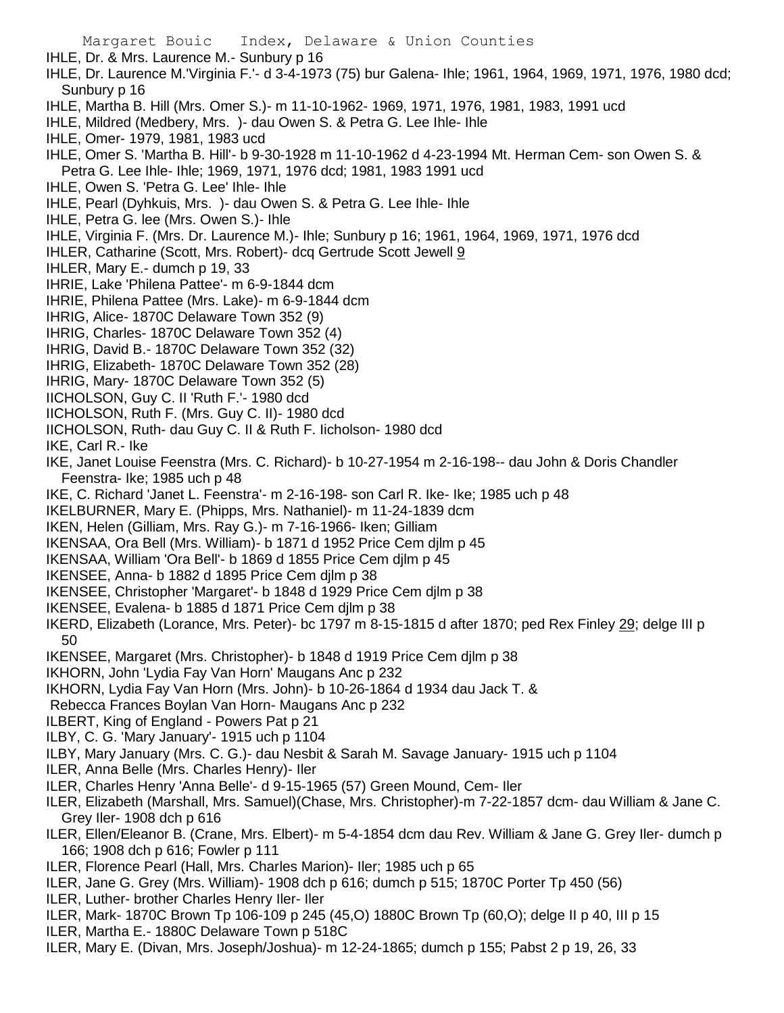IHLE, Dr. & Mrs. Laurence M.- Sunbury p 16

- IHLE, Dr. Laurence M.'Virginia F.'- d 3-4-1973 (75) bur Galena- Ihle; 1961, 1964, 1969, 1971, 1976, 1980 dcd; Sunbury p 16
- IHLE, Martha B. Hill (Mrs. Omer S.)- m 11-10-1962- 1969, 1971, 1976, 1981, 1983, 1991 ucd
- IHLE, Mildred (Medbery, Mrs. )- dau Owen S. & Petra G. Lee Ihle- Ihle
- IHLE, Omer- 1979, 1981, 1983 ucd
- IHLE, Omer S. 'Martha B. Hill'- b 9-30-1928 m 11-10-1962 d 4-23-1994 Mt. Herman Cem- son Owen S. & Petra G. Lee Ihle- Ihle; 1969, 1971, 1976 dcd; 1981, 1983 1991 ucd
- IHLE, Owen S. 'Petra G. Lee' Ihle- Ihle
- IHLE, Pearl (Dyhkuis, Mrs. )- dau Owen S. & Petra G. Lee Ihle- Ihle
- IHLE, Petra G. lee (Mrs. Owen S.)- Ihle
- IHLE, Virginia F. (Mrs. Dr. Laurence M.)- Ihle; Sunbury p 16; 1961, 1964, 1969, 1971, 1976 dcd
- IHLER, Catharine (Scott, Mrs. Robert)- dcq Gertrude Scott Jewell 9
- IHLER, Mary E.- dumch p 19, 33
- IHRIE, Lake 'Philena Pattee'- m 6-9-1844 dcm
- IHRIE, Philena Pattee (Mrs. Lake)- m 6-9-1844 dcm
- IHRIG, Alice- 1870C Delaware Town 352 (9)
- IHRIG, Charles- 1870C Delaware Town 352 (4)
- IHRIG, David B.- 1870C Delaware Town 352 (32)
- IHRIG, Elizabeth- 1870C Delaware Town 352 (28)
- IHRIG, Mary- 1870C Delaware Town 352 (5)
- IICHOLSON, Guy C. II 'Ruth F.'- 1980 dcd
- IICHOLSON, Ruth F. (Mrs. Guy C. II)- 1980 dcd
- IICHOLSON, Ruth- dau Guy C. II & Ruth F. Iicholson- 1980 dcd
- IKE, Carl R.- Ike
- IKE, Janet Louise Feenstra (Mrs. C. Richard)- b 10-27-1954 m 2-16-198-- dau John & Doris Chandler Feenstra- Ike; 1985 uch p 48
- IKE, C. Richard 'Janet L. Feenstra'- m 2-16-198- son Carl R. Ike- Ike; 1985 uch p 48
- IKELBURNER, Mary E. (Phipps, Mrs. Nathaniel)- m 11-24-1839 dcm
- IKEN, Helen (Gilliam, Mrs. Ray G.)- m 7-16-1966- Iken; Gilliam
- IKENSAA, Ora Bell (Mrs. William)- b 1871 d 1952 Price Cem djlm p 45
- IKENSAA, William 'Ora Bell'- b 1869 d 1855 Price Cem djlm p 45
- IKENSEE, Anna- b 1882 d 1895 Price Cem djlm p 38
- IKENSEE, Christopher 'Margaret'- b 1848 d 1929 Price Cem djlm p 38
- IKENSEE, Evalena- b 1885 d 1871 Price Cem djlm p 38
- IKERD, Elizabeth (Lorance, Mrs. Peter)- bc 1797 m 8-15-1815 d after 1870; ped Rex Finley 29; delge III p 50
- IKENSEE, Margaret (Mrs. Christopher)- b 1848 d 1919 Price Cem djlm p 38
- IKHORN, John 'Lydia Fay Van Horn' Maugans Anc p 232
- IKHORN, Lydia Fay Van Horn (Mrs. John)- b 10-26-1864 d 1934 dau Jack T. &
- Rebecca Frances Boylan Van Horn- Maugans Anc p 232
- ILBERT, King of England Powers Pat p 21
- ILBY, C. G. 'Mary January'- 1915 uch p 1104
- ILBY, Mary January (Mrs. C. G.)- dau Nesbit & Sarah M. Savage January- 1915 uch p 1104
- ILER, Anna Belle (Mrs. Charles Henry)- Iler
- ILER, Charles Henry 'Anna Belle'- d 9-15-1965 (57) Green Mound, Cem- Iler
- ILER, Elizabeth (Marshall, Mrs. Samuel)(Chase, Mrs. Christopher)-m 7-22-1857 dcm- dau William & Jane C. Grey Iler- 1908 dch p 616
- ILER, Ellen/Eleanor B. (Crane, Mrs. Elbert)- m 5-4-1854 dcm dau Rev. William & Jane G. Grey Iler- dumch p 166; 1908 dch p 616; Fowler p 111
- ILER, Florence Pearl (Hall, Mrs. Charles Marion)- Iler; 1985 uch p 65
- ILER, Jane G. Grey (Mrs. William)- 1908 dch p 616; dumch p 515; 1870C Porter Tp 450 (56)
- ILER, Luther- brother Charles Henry Iler- Iler
- ILER, Mark- 1870C Brown Tp 106-109 p 245 (45,O) 1880C Brown Tp (60,O); delge II p 40, III p 15
- ILER, Martha E.- 1880C Delaware Town p 518C
- ILER, Mary E. (Divan, Mrs. Joseph/Joshua)- m 12-24-1865; dumch p 155; Pabst 2 p 19, 26, 33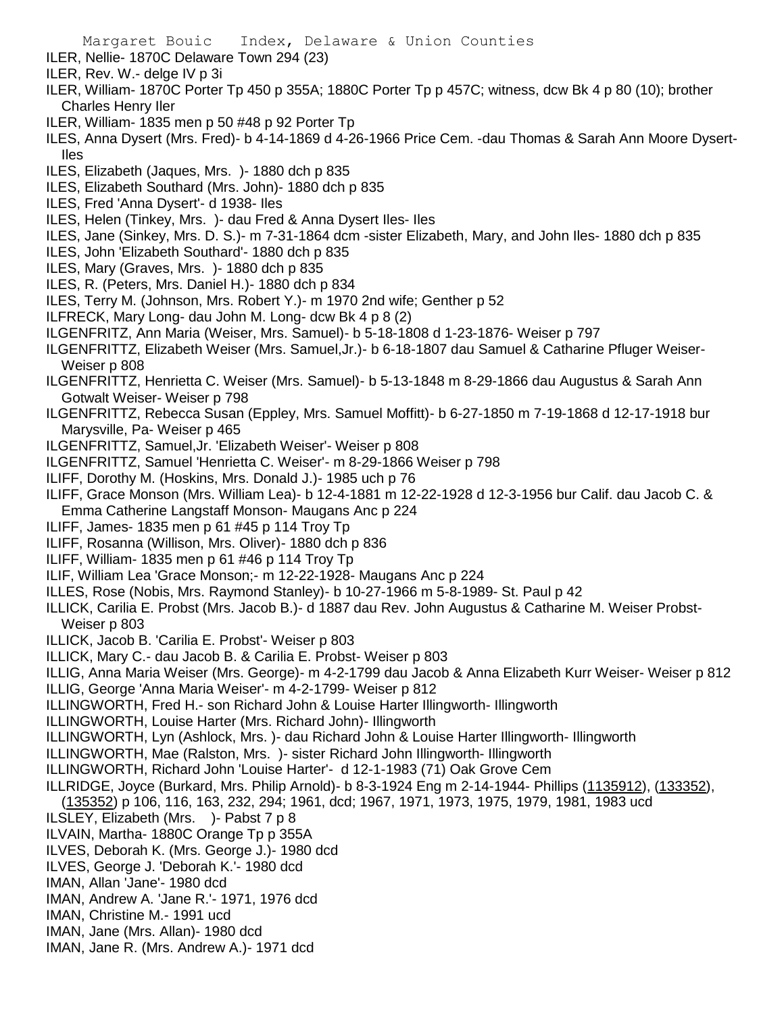Margaret Bouic Index, Delaware & Union Counties ILER, Nellie- 1870C Delaware Town 294 (23) ILER, Rev. W.- delge IV p 3i ILER, William- 1870C Porter Tp 450 p 355A; 1880C Porter Tp p 457C; witness, dcw Bk 4 p 80 (10); brother Charles Henry Iler ILER, William- 1835 men p 50 #48 p 92 Porter Tp ILES, Anna Dysert (Mrs. Fred)- b 4-14-1869 d 4-26-1966 Price Cem. -dau Thomas & Sarah Ann Moore Dysert-Iles ILES, Elizabeth (Jaques, Mrs. )- 1880 dch p 835 ILES, Elizabeth Southard (Mrs. John)- 1880 dch p 835 ILES, Fred 'Anna Dysert'- d 1938- Iles ILES, Helen (Tinkey, Mrs. )- dau Fred & Anna Dysert Iles- Iles ILES, Jane (Sinkey, Mrs. D. S.)- m 7-31-1864 dcm -sister Elizabeth, Mary, and John Iles- 1880 dch p 835 ILES, John 'Elizabeth Southard'- 1880 dch p 835 ILES, Mary (Graves, Mrs. )- 1880 dch p 835 ILES, R. (Peters, Mrs. Daniel H.)- 1880 dch p 834 ILES, Terry M. (Johnson, Mrs. Robert Y.)- m 1970 2nd wife; Genther p 52 ILFRECK, Mary Long- dau John M. Long- dcw Bk 4 p 8 (2) ILGENFRITZ, Ann Maria (Weiser, Mrs. Samuel)- b 5-18-1808 d 1-23-1876- Weiser p 797 ILGENFRITTZ, Elizabeth Weiser (Mrs. Samuel,Jr.)- b 6-18-1807 dau Samuel & Catharine Pfluger Weiser-Weiser p 808 ILGENFRITTZ, Henrietta C. Weiser (Mrs. Samuel)- b 5-13-1848 m 8-29-1866 dau Augustus & Sarah Ann Gotwalt Weiser- Weiser p 798 ILGENFRITTZ, Rebecca Susan (Eppley, Mrs. Samuel Moffitt)- b 6-27-1850 m 7-19-1868 d 12-17-1918 bur Marysville, Pa- Weiser p 465 ILGENFRITTZ, Samuel,Jr. 'Elizabeth Weiser'- Weiser p 808 ILGENFRITTZ, Samuel 'Henrietta C. Weiser'- m 8-29-1866 Weiser p 798 ILIFF, Dorothy M. (Hoskins, Mrs. Donald J.)- 1985 uch p 76 ILIFF, Grace Monson (Mrs. William Lea)- b 12-4-1881 m 12-22-1928 d 12-3-1956 bur Calif. dau Jacob C. & Emma Catherine Langstaff Monson- Maugans Anc p 224 ILIFF, James- 1835 men p 61 #45 p 114 Troy Tp ILIFF, Rosanna (Willison, Mrs. Oliver)- 1880 dch p 836 ILIFF, William- 1835 men p 61 #46 p 114 Troy Tp ILIF, William Lea 'Grace Monson;- m 12-22-1928- Maugans Anc p 224 ILLES, Rose (Nobis, Mrs. Raymond Stanley)- b 10-27-1966 m 5-8-1989- St. Paul p 42 ILLICK, Carilia E. Probst (Mrs. Jacob B.)- d 1887 dau Rev. John Augustus & Catharine M. Weiser Probst-Weiser p 803 ILLICK, Jacob B. 'Carilia E. Probst'- Weiser p 803 ILLICK, Mary C.- dau Jacob B. & Carilia E. Probst- Weiser p 803 ILLIG, Anna Maria Weiser (Mrs. George)- m 4-2-1799 dau Jacob & Anna Elizabeth Kurr Weiser- Weiser p 812 ILLIG, George 'Anna Maria Weiser'- m 4-2-1799- Weiser p 812 ILLINGWORTH, Fred H.- son Richard John & Louise Harter Illingworth- Illingworth ILLINGWORTH, Louise Harter (Mrs. Richard John)- Illingworth ILLINGWORTH, Lyn (Ashlock, Mrs. )- dau Richard John & Louise Harter Illingworth- Illingworth ILLINGWORTH, Mae (Ralston, Mrs. )- sister Richard John Illingworth- Illingworth ILLINGWORTH, Richard John 'Louise Harter'- d 12-1-1983 (71) Oak Grove Cem ILLRIDGE, Joyce (Burkard, Mrs. Philip Arnold)- b 8-3-1924 Eng m 2-14-1944- Phillips (1135912), (133352), (135352) p 106, 116, 163, 232, 294; 1961, dcd; 1967, 1971, 1973, 1975, 1979, 1981, 1983 ucd ILSLEY, Elizabeth (Mrs. )- Pabst 7 p 8 ILVAIN, Martha- 1880C Orange Tp p 355A ILVES, Deborah K. (Mrs. George J.)- 1980 dcd ILVES, George J. 'Deborah K.'- 1980 dcd IMAN, Allan 'Jane'- 1980 dcd IMAN, Andrew A. 'Jane R.'- 1971, 1976 dcd IMAN, Christine M.- 1991 ucd IMAN, Jane (Mrs. Allan)- 1980 dcd IMAN, Jane R. (Mrs. Andrew A.)- 1971 dcd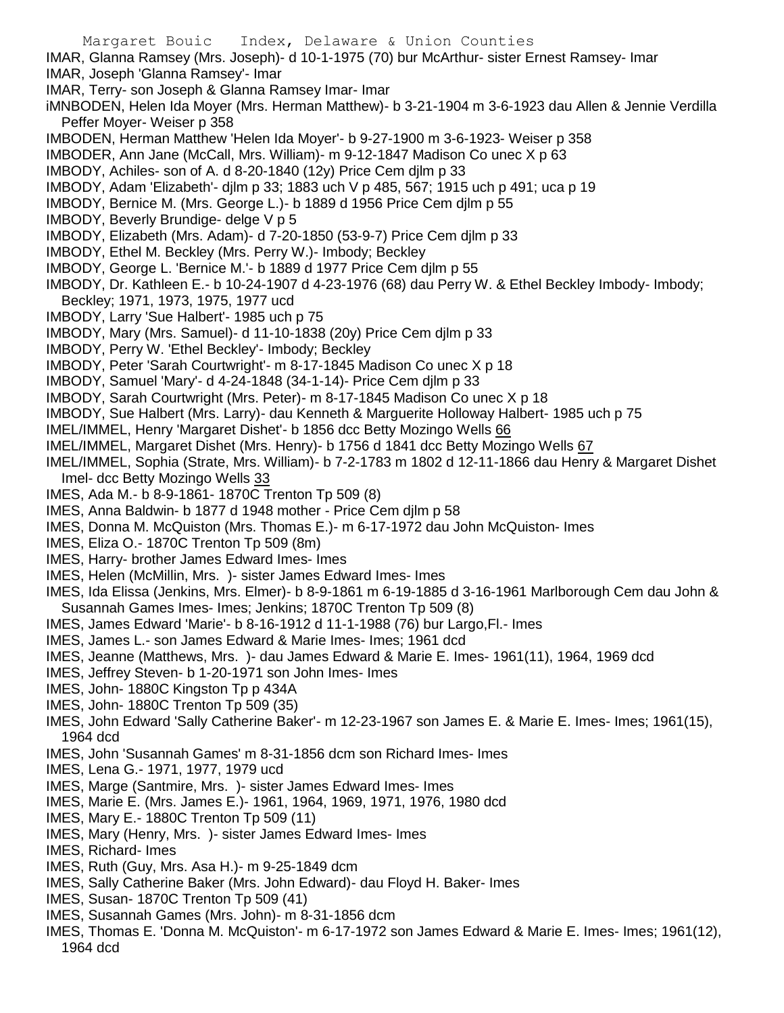- Margaret Bouic Index, Delaware & Union Counties IMAR, Glanna Ramsey (Mrs. Joseph)- d 10-1-1975 (70) bur McArthur- sister Ernest Ramsey- Imar IMAR, Joseph 'Glanna Ramsey'- Imar IMAR, Terry- son Joseph & Glanna Ramsey Imar- Imar iMNBODEN, Helen Ida Moyer (Mrs. Herman Matthew)- b 3-21-1904 m 3-6-1923 dau Allen & Jennie Verdilla Peffer Moyer- Weiser p 358 IMBODEN, Herman Matthew 'Helen Ida Moyer'- b 9-27-1900 m 3-6-1923- Weiser p 358 IMBODER, Ann Jane (McCall, Mrs. William)- m 9-12-1847 Madison Co unec X p 63 IMBODY, Achiles- son of A. d 8-20-1840 (12y) Price Cem djlm p 33 IMBODY, Adam 'Elizabeth'- djlm p 33; 1883 uch V p 485, 567; 1915 uch p 491; uca p 19 IMBODY, Bernice M. (Mrs. George L.)- b 1889 d 1956 Price Cem djlm p 55 IMBODY, Beverly Brundige- delge V p 5 IMBODY, Elizabeth (Mrs. Adam)- d 7-20-1850 (53-9-7) Price Cem djlm p 33 IMBODY, Ethel M. Beckley (Mrs. Perry W.)- Imbody; Beckley IMBODY, George L. 'Bernice M.'- b 1889 d 1977 Price Cem djlm p 55 IMBODY, Dr. Kathleen E.- b 10-24-1907 d 4-23-1976 (68) dau Perry W. & Ethel Beckley Imbody- Imbody; Beckley; 1971, 1973, 1975, 1977 ucd IMBODY, Larry 'Sue Halbert'- 1985 uch p 75 IMBODY, Mary (Mrs. Samuel)- d 11-10-1838 (20y) Price Cem djlm p 33 IMBODY, Perry W. 'Ethel Beckley'- Imbody; Beckley IMBODY, Peter 'Sarah Courtwright'- m 8-17-1845 Madison Co unec X p 18 IMBODY, Samuel 'Mary'- d 4-24-1848 (34-1-14)- Price Cem djlm p 33 IMBODY, Sarah Courtwright (Mrs. Peter)- m 8-17-1845 Madison Co unec X p 18 IMBODY, Sue Halbert (Mrs. Larry)- dau Kenneth & Marguerite Holloway Halbert- 1985 uch p 75 IMEL/IMMEL, Henry 'Margaret Dishet'- b 1856 dcc Betty Mozingo Wells 66 IMEL/IMMEL, Margaret Dishet (Mrs. Henry)- b 1756 d 1841 dcc Betty Mozingo Wells 67 IMEL/IMMEL, Sophia (Strate, Mrs. William)- b 7-2-1783 m 1802 d 12-11-1866 dau Henry & Margaret Dishet Imel- dcc Betty Mozingo Wells 33 IMES, Ada M.- b 8-9-1861- 1870C Trenton Tp 509 (8) IMES, Anna Baldwin- b 1877 d 1948 mother - Price Cem djlm p 58 IMES, Donna M. McQuiston (Mrs. Thomas E.)- m 6-17-1972 dau John McQuiston- Imes IMES, Eliza O.- 1870C Trenton Tp 509 (8m) IMES, Harry- brother James Edward Imes- Imes IMES, Helen (McMillin, Mrs. )- sister James Edward Imes- Imes IMES, Ida Elissa (Jenkins, Mrs. Elmer)- b 8-9-1861 m 6-19-1885 d 3-16-1961 Marlborough Cem dau John & Susannah Games Imes- Imes; Jenkins; 1870C Trenton Tp 509 (8) IMES, James Edward 'Marie'- b 8-16-1912 d 11-1-1988 (76) bur Largo,Fl.- Imes IMES, James L.- son James Edward & Marie Imes- Imes; 1961 dcd IMES, Jeanne (Matthews, Mrs. )- dau James Edward & Marie E. Imes- 1961(11), 1964, 1969 dcd IMES, Jeffrey Steven- b 1-20-1971 son John Imes- Imes IMES, John- 1880C Kingston Tp p 434A IMES, John- 1880C Trenton Tp 509 (35) IMES, John Edward 'Sally Catherine Baker'- m 12-23-1967 son James E. & Marie E. Imes- Imes; 1961(15), 1964 dcd IMES, John 'Susannah Games' m 8-31-1856 dcm son Richard Imes- Imes IMES, Lena G.- 1971, 1977, 1979 ucd IMES, Marge (Santmire, Mrs. )- sister James Edward Imes- Imes IMES, Marie E. (Mrs. James E.)- 1961, 1964, 1969, 1971, 1976, 1980 dcd IMES, Mary E.- 1880C Trenton Tp 509 (11) IMES, Mary (Henry, Mrs. )- sister James Edward Imes- Imes IMES, Richard- Imes IMES, Ruth (Guy, Mrs. Asa H.)- m 9-25-1849 dcm
- IMES, Sally Catherine Baker (Mrs. John Edward)- dau Floyd H. Baker- Imes
- IMES, Susan- 1870C Trenton Tp 509 (41)
- IMES, Susannah Games (Mrs. John)- m 8-31-1856 dcm
- IMES, Thomas E. 'Donna M. McQuiston'- m 6-17-1972 son James Edward & Marie E. Imes- Imes; 1961(12), 1964 dcd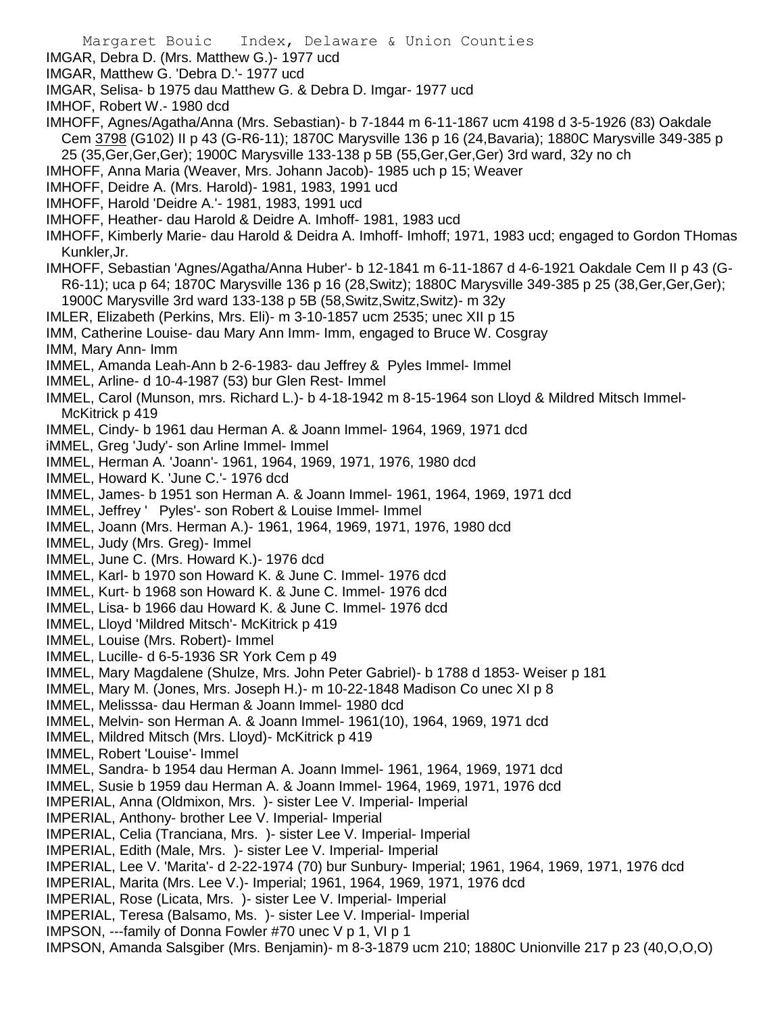IMGAR, Debra D. (Mrs. Matthew G.)- 1977 ucd

- IMGAR, Matthew G. 'Debra D.'- 1977 ucd
- IMGAR, Selisa- b 1975 dau Matthew G. & Debra D. Imgar- 1977 ucd

IMHOF, Robert W.- 1980 dcd

IMHOFF, Agnes/Agatha/Anna (Mrs. Sebastian)- b 7-1844 m 6-11-1867 ucm 4198 d 3-5-1926 (83) Oakdale Cem 3798 (G102) II p 43 (G-R6-11); 1870C Marysville 136 p 16 (24,Bavaria); 1880C Marysville 349-385 p 25 (35,Ger,Ger,Ger); 1900C Marysville 133-138 p 5B (55,Ger,Ger,Ger) 3rd ward, 32y no ch

IMHOFF, Anna Maria (Weaver, Mrs. Johann Jacob)- 1985 uch p 15; Weaver

IMHOFF, Deidre A. (Mrs. Harold)- 1981, 1983, 1991 ucd

IMHOFF, Harold 'Deidre A.'- 1981, 1983, 1991 ucd

- IMHOFF, Heather- dau Harold & Deidre A. Imhoff- 1981, 1983 ucd
- IMHOFF, Kimberly Marie- dau Harold & Deidra A. Imhoff- Imhoff; 1971, 1983 ucd; engaged to Gordon THomas Kunkler,Jr.
- IMHOFF, Sebastian 'Agnes/Agatha/Anna Huber'- b 12-1841 m 6-11-1867 d 4-6-1921 Oakdale Cem II p 43 (G-R6-11); uca p 64; 1870C Marysville 136 p 16 (28,Switz); 1880C Marysville 349-385 p 25 (38,Ger,Ger,Ger); 1900C Marysville 3rd ward 133-138 p 5B (58,Switz,Switz,Switz)- m 32y
- IMLER, Elizabeth (Perkins, Mrs. Eli)- m 3-10-1857 ucm 2535; unec XII p 15
- IMM, Catherine Louise- dau Mary Ann Imm- Imm, engaged to Bruce W. Cosgray
- IMM, Mary Ann- Imm
- IMMEL, Amanda Leah-Ann b 2-6-1983- dau Jeffrey & Pyles Immel- Immel
- IMMEL, Arline- d 10-4-1987 (53) bur Glen Rest- Immel
- IMMEL, Carol (Munson, mrs. Richard L.)- b 4-18-1942 m 8-15-1964 son Lloyd & Mildred Mitsch Immel-McKitrick p 419
- IMMEL, Cindy- b 1961 dau Herman A. & Joann Immel- 1964, 1969, 1971 dcd
- iMMEL, Greg 'Judy'- son Arline Immel- Immel
- IMMEL, Herman A. 'Joann'- 1961, 1964, 1969, 1971, 1976, 1980 dcd
- IMMEL, Howard K. 'June C.'- 1976 dcd
- IMMEL, James- b 1951 son Herman A. & Joann Immel- 1961, 1964, 1969, 1971 dcd
- IMMEL, Jeffrey ' Pyles'- son Robert & Louise Immel- Immel
- IMMEL, Joann (Mrs. Herman A.)- 1961, 1964, 1969, 1971, 1976, 1980 dcd
- IMMEL, Judy (Mrs. Greg)- Immel
- IMMEL, June C. (Mrs. Howard K.)- 1976 dcd
- IMMEL, Karl- b 1970 son Howard K. & June C. Immel- 1976 dcd
- IMMEL, Kurt- b 1968 son Howard K. & June C. Immel- 1976 dcd
- IMMEL, Lisa- b 1966 dau Howard K. & June C. Immel- 1976 dcd
- IMMEL, Lloyd 'Mildred Mitsch'- McKitrick p 419
- IMMEL, Louise (Mrs. Robert)- Immel
- IMMEL, Lucille- d 6-5-1936 SR York Cem p 49
- IMMEL, Mary Magdalene (Shulze, Mrs. John Peter Gabriel)- b 1788 d 1853- Weiser p 181
- IMMEL, Mary M. (Jones, Mrs. Joseph H.)- m 10-22-1848 Madison Co unec XI p 8
- IMMEL, Melisssa- dau Herman & Joann Immel- 1980 dcd
- IMMEL, Melvin- son Herman A. & Joann Immel- 1961(10), 1964, 1969, 1971 dcd
- IMMEL, Mildred Mitsch (Mrs. Lloyd)- McKitrick p 419
- IMMEL, Robert 'Louise'- Immel
- IMMEL, Sandra- b 1954 dau Herman A. Joann Immel- 1961, 1964, 1969, 1971 dcd
- IMMEL, Susie b 1959 dau Herman A. & Joann Immel- 1964, 1969, 1971, 1976 dcd
- IMPERIAL, Anna (Oldmixon, Mrs. )- sister Lee V. Imperial- Imperial
- IMPERIAL, Anthony- brother Lee V. Imperial- Imperial
- IMPERIAL, Celia (Tranciana, Mrs. )- sister Lee V. Imperial- Imperial
- IMPERIAL, Edith (Male, Mrs. )- sister Lee V. Imperial- Imperial
- IMPERIAL, Lee V. 'Marita'- d 2-22-1974 (70) bur Sunbury- Imperial; 1961, 1964, 1969, 1971, 1976 dcd
- IMPERIAL, Marita (Mrs. Lee V.)- Imperial; 1961, 1964, 1969, 1971, 1976 dcd
- IMPERIAL, Rose (Licata, Mrs. )- sister Lee V. Imperial- Imperial
- IMPERIAL, Teresa (Balsamo, Ms. )- sister Lee V. Imperial- Imperial
- IMPSON, ---family of Donna Fowler #70 unec V p 1, VI p 1
- IMPSON, Amanda Salsgiber (Mrs. Benjamin)- m 8-3-1879 ucm 210; 1880C Unionville 217 p 23 (40,O,O,O)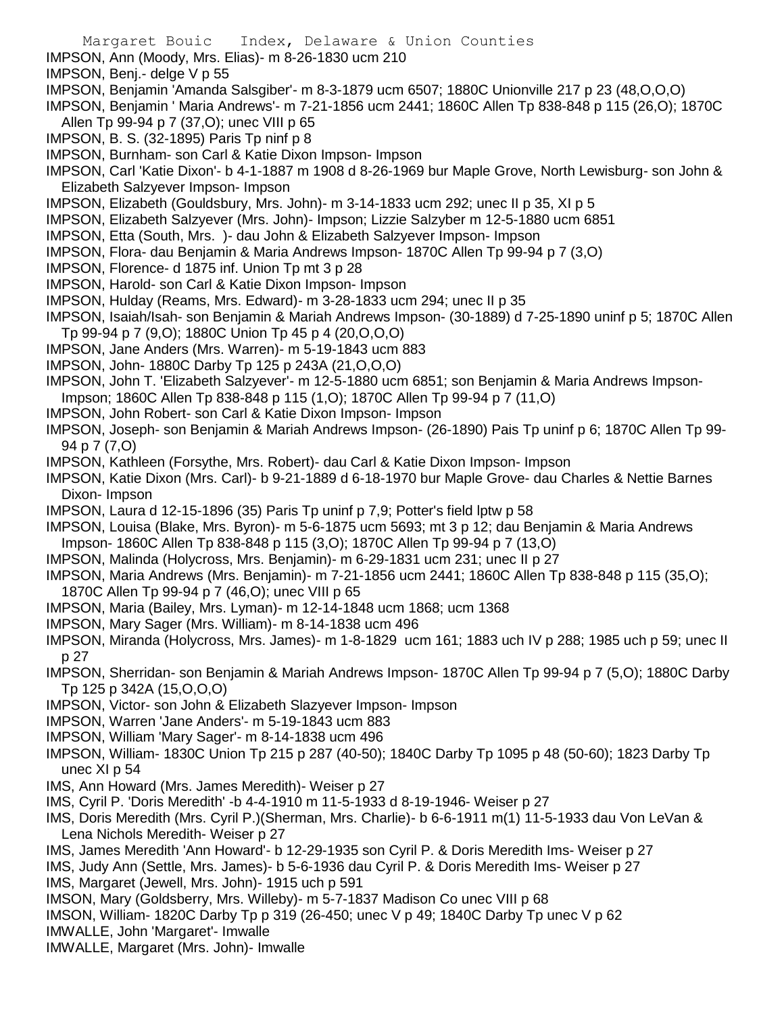- IMPSON, Ann (Moody, Mrs. Elias)- m 8-26-1830 ucm 210
- IMPSON, Benj.- delge V p 55
- IMPSON, Benjamin 'Amanda Salsgiber'- m 8-3-1879 ucm 6507; 1880C Unionville 217 p 23 (48,O,O,O)
- IMPSON, Benjamin ' Maria Andrews'- m 7-21-1856 ucm 2441; 1860C Allen Tp 838-848 p 115 (26,O); 1870C Allen Tp 99-94 p 7 (37,O); unec VIII p 65
- IMPSON, B. S. (32-1895) Paris Tp ninf p 8
- IMPSON, Burnham- son Carl & Katie Dixon Impson- Impson
- IMPSON, Carl 'Katie Dixon'- b 4-1-1887 m 1908 d 8-26-1969 bur Maple Grove, North Lewisburg- son John & Elizabeth Salzyever Impson- Impson
- IMPSON, Elizabeth (Gouldsbury, Mrs. John)- m 3-14-1833 ucm 292; unec II p 35, XI p 5
- IMPSON, Elizabeth Salzyever (Mrs. John)- Impson; Lizzie Salzyber m 12-5-1880 ucm 6851
- IMPSON, Etta (South, Mrs. )- dau John & Elizabeth Salzyever Impson- Impson
- IMPSON, Flora- dau Benjamin & Maria Andrews Impson- 1870C Allen Tp 99-94 p 7 (3,O)
- IMPSON, Florence- d 1875 inf. Union Tp mt 3 p 28
- IMPSON, Harold- son Carl & Katie Dixon Impson- Impson
- IMPSON, Hulday (Reams, Mrs. Edward)- m 3-28-1833 ucm 294; unec II p 35
- IMPSON, Isaiah/Isah- son Benjamin & Mariah Andrews Impson- (30-1889) d 7-25-1890 uninf p 5; 1870C Allen Tp 99-94 p 7 (9,O); 1880C Union Tp 45 p 4 (20,O,O,O)
- IMPSON, Jane Anders (Mrs. Warren)- m 5-19-1843 ucm 883
- IMPSON, John- 1880C Darby Tp 125 p 243A (21,O,O,O)
- IMPSON, John T. 'Elizabeth Salzyever'- m 12-5-1880 ucm 6851; son Benjamin & Maria Andrews Impson-
- Impson; 1860C Allen Tp 838-848 p 115 (1,O); 1870C Allen Tp 99-94 p 7 (11,O)
- IMPSON, John Robert- son Carl & Katie Dixon Impson- Impson
- IMPSON, Joseph- son Benjamin & Mariah Andrews Impson- (26-1890) Pais Tp uninf p 6; 1870C Allen Tp 99- 94 p 7 (7,O)
- IMPSON, Kathleen (Forsythe, Mrs. Robert)- dau Carl & Katie Dixon Impson- Impson
- IMPSON, Katie Dixon (Mrs. Carl)- b 9-21-1889 d 6-18-1970 bur Maple Grove- dau Charles & Nettie Barnes Dixon- Impson
- IMPSON, Laura d 12-15-1896 (35) Paris Tp uninf p 7,9; Potter's field lptw p 58
- IMPSON, Louisa (Blake, Mrs. Byron)- m 5-6-1875 ucm 5693; mt 3 p 12; dau Benjamin & Maria Andrews Impson- 1860C Allen Tp 838-848 p 115 (3,O); 1870C Allen Tp 99-94 p 7 (13,O)
- IMPSON, Malinda (Holycross, Mrs. Benjamin)- m 6-29-1831 ucm 231; unec II p 27
- IMPSON, Maria Andrews (Mrs. Benjamin)- m 7-21-1856 ucm 2441; 1860C Allen Tp 838-848 p 115 (35,O); 1870C Allen Tp 99-94 p 7 (46,O); unec VIII p 65
- IMPSON, Maria (Bailey, Mrs. Lyman)- m 12-14-1848 ucm 1868; ucm 1368
- IMPSON, Mary Sager (Mrs. William)- m 8-14-1838 ucm 496
- IMPSON, Miranda (Holycross, Mrs. James)- m 1-8-1829 ucm 161; 1883 uch IV p 288; 1985 uch p 59; unec II p 27
- IMPSON, Sherridan- son Benjamin & Mariah Andrews Impson- 1870C Allen Tp 99-94 p 7 (5,O); 1880C Darby Tp 125 p 342A (15,O,O,O)
- IMPSON, Victor- son John & Elizabeth Slazyever Impson- Impson
- IMPSON, Warren 'Jane Anders'- m 5-19-1843 ucm 883
- IMPSON, William 'Mary Sager'- m 8-14-1838 ucm 496
- IMPSON, William- 1830C Union Tp 215 p 287 (40-50); 1840C Darby Tp 1095 p 48 (50-60); 1823 Darby Tp unec XI p 54
- IMS, Ann Howard (Mrs. James Meredith)- Weiser p 27
- IMS, Cyril P. 'Doris Meredith' -b 4-4-1910 m 11-5-1933 d 8-19-1946- Weiser p 27
- IMS, Doris Meredith (Mrs. Cyril P.)(Sherman, Mrs. Charlie)- b 6-6-1911 m(1) 11-5-1933 dau Von LeVan & Lena Nichols Meredith- Weiser p 27
- IMS, James Meredith 'Ann Howard'- b 12-29-1935 son Cyril P. & Doris Meredith Ims- Weiser p 27
- IMS, Judy Ann (Settle, Mrs. James)- b 5-6-1936 dau Cyril P. & Doris Meredith Ims- Weiser p 27 IMS, Margaret (Jewell, Mrs. John)- 1915 uch p 591
- IMSON, Mary (Goldsberry, Mrs. Willeby)- m 5-7-1837 Madison Co unec VIII p 68
- IMSON, William- 1820C Darby Tp p 319 (26-450; unec V p 49; 1840C Darby Tp unec V p 62
- IMWALLE, John 'Margaret'- Imwalle
- IMWALLE, Margaret (Mrs. John)- Imwalle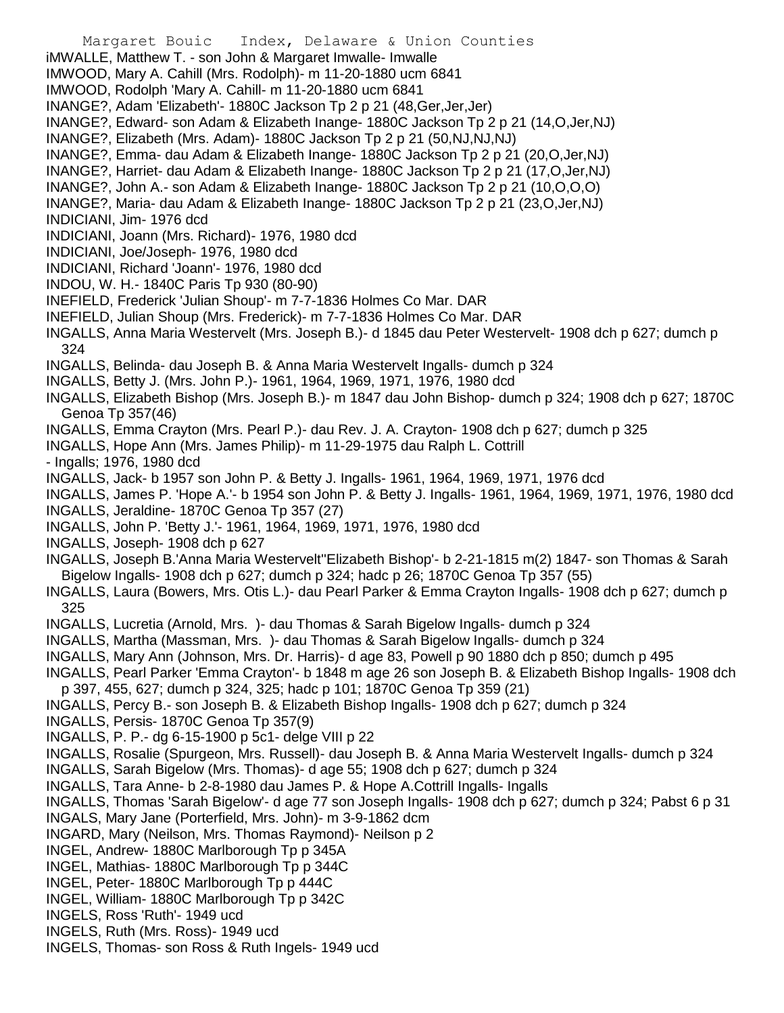- Margaret Bouic Index, Delaware & Union Counties
- iMWALLE, Matthew T. son John & Margaret Imwalle- Imwalle
- IMWOOD, Mary A. Cahill (Mrs. Rodolph)- m 11-20-1880 ucm 6841
- IMWOOD, Rodolph 'Mary A. Cahill- m 11-20-1880 ucm 6841
- INANGE?, Adam 'Elizabeth'- 1880C Jackson Tp 2 p 21 (48,Ger,Jer,Jer)
- INANGE?, Edward- son Adam & Elizabeth Inange- 1880C Jackson Tp 2 p 21 (14,O,Jer,NJ)
- INANGE?, Elizabeth (Mrs. Adam)- 1880C Jackson Tp 2 p 21 (50,NJ,NJ,NJ)
- INANGE?, Emma- dau Adam & Elizabeth Inange- 1880C Jackson Tp 2 p 21 (20,O,Jer,NJ)
- INANGE?, Harriet- dau Adam & Elizabeth Inange- 1880C Jackson Tp 2 p 21 (17,O,Jer,NJ)
- INANGE?, John A.- son Adam & Elizabeth Inange- 1880C Jackson Tp 2 p 21 (10,O,O,O)
- INANGE?, Maria- dau Adam & Elizabeth Inange- 1880C Jackson Tp 2 p 21 (23,O,Jer,NJ)
- INDICIANI, Jim- 1976 dcd
- INDICIANI, Joann (Mrs. Richard)- 1976, 1980 dcd
- INDICIANI, Joe/Joseph- 1976, 1980 dcd
- INDICIANI, Richard 'Joann'- 1976, 1980 dcd
- INDOU, W. H.- 1840C Paris Tp 930 (80-90)
- INEFIELD, Frederick 'Julian Shoup'- m 7-7-1836 Holmes Co Mar. DAR
- INEFIELD, Julian Shoup (Mrs. Frederick)- m 7-7-1836 Holmes Co Mar. DAR
- INGALLS, Anna Maria Westervelt (Mrs. Joseph B.)- d 1845 dau Peter Westervelt- 1908 dch p 627; dumch p 324
- INGALLS, Belinda- dau Joseph B. & Anna Maria Westervelt Ingalls- dumch p 324
- INGALLS, Betty J. (Mrs. John P.)- 1961, 1964, 1969, 1971, 1976, 1980 dcd
- INGALLS, Elizabeth Bishop (Mrs. Joseph B.)- m 1847 dau John Bishop- dumch p 324; 1908 dch p 627; 1870C Genoa Tp 357(46)
- INGALLS, Emma Crayton (Mrs. Pearl P.)- dau Rev. J. A. Crayton- 1908 dch p 627; dumch p 325
- INGALLS, Hope Ann (Mrs. James Philip)- m 11-29-1975 dau Ralph L. Cottrill
- Ingalls; 1976, 1980 dcd
- INGALLS, Jack- b 1957 son John P. & Betty J. Ingalls- 1961, 1964, 1969, 1971, 1976 dcd
- INGALLS, James P. 'Hope A.'- b 1954 son John P. & Betty J. Ingalls- 1961, 1964, 1969, 1971, 1976, 1980 dcd
- INGALLS, Jeraldine- 1870C Genoa Tp 357 (27)
- INGALLS, John P. 'Betty J.'- 1961, 1964, 1969, 1971, 1976, 1980 dcd
- INGALLS, Joseph- 1908 dch p 627
- INGALLS, Joseph B.'Anna Maria Westervelt''Elizabeth Bishop'- b 2-21-1815 m(2) 1847- son Thomas & Sarah Bigelow Ingalls- 1908 dch p 627; dumch p 324; hadc p 26; 1870C Genoa Tp 357 (55)
- INGALLS, Laura (Bowers, Mrs. Otis L.)- dau Pearl Parker & Emma Crayton Ingalls- 1908 dch p 627; dumch p 325
- INGALLS, Lucretia (Arnold, Mrs. )- dau Thomas & Sarah Bigelow Ingalls- dumch p 324
- INGALLS, Martha (Massman, Mrs. )- dau Thomas & Sarah Bigelow Ingalls- dumch p 324
- INGALLS, Mary Ann (Johnson, Mrs. Dr. Harris)- d age 83, Powell p 90 1880 dch p 850; dumch p 495
- INGALLS, Pearl Parker 'Emma Crayton'- b 1848 m age 26 son Joseph B. & Elizabeth Bishop Ingalls- 1908 dch p 397, 455, 627; dumch p 324, 325; hadc p 101; 1870C Genoa Tp 359 (21)
- 
- INGALLS, Percy B.- son Joseph B. & Elizabeth Bishop Ingalls- 1908 dch p 627; dumch p 324
- INGALLS, Persis- 1870C Genoa Tp 357(9)
- INGALLS, P. P.- dg 6-15-1900 p 5c1- delge VIII p 22
- INGALLS, Rosalie (Spurgeon, Mrs. Russell)- dau Joseph B. & Anna Maria Westervelt Ingalls- dumch p 324
- INGALLS, Sarah Bigelow (Mrs. Thomas)- d age 55; 1908 dch p 627; dumch p 324
- INGALLS, Tara Anne- b 2-8-1980 dau James P. & Hope A.Cottrill Ingalls- Ingalls
- INGALLS, Thomas 'Sarah Bigelow'- d age 77 son Joseph Ingalls- 1908 dch p 627; dumch p 324; Pabst 6 p 31
- INGALS, Mary Jane (Porterfield, Mrs. John)- m 3-9-1862 dcm
- INGARD, Mary (Neilson, Mrs. Thomas Raymond)- Neilson p 2
- INGEL, Andrew- 1880C Marlborough Tp p 345A
- INGEL, Mathias- 1880C Marlborough Tp p 344C
- INGEL, Peter- 1880C Marlborough Tp p 444C
- INGEL, William- 1880C Marlborough Tp p 342C
- INGELS, Ross 'Ruth'- 1949 ucd
- INGELS, Ruth (Mrs. Ross)- 1949 ucd
- INGELS, Thomas- son Ross & Ruth Ingels- 1949 ucd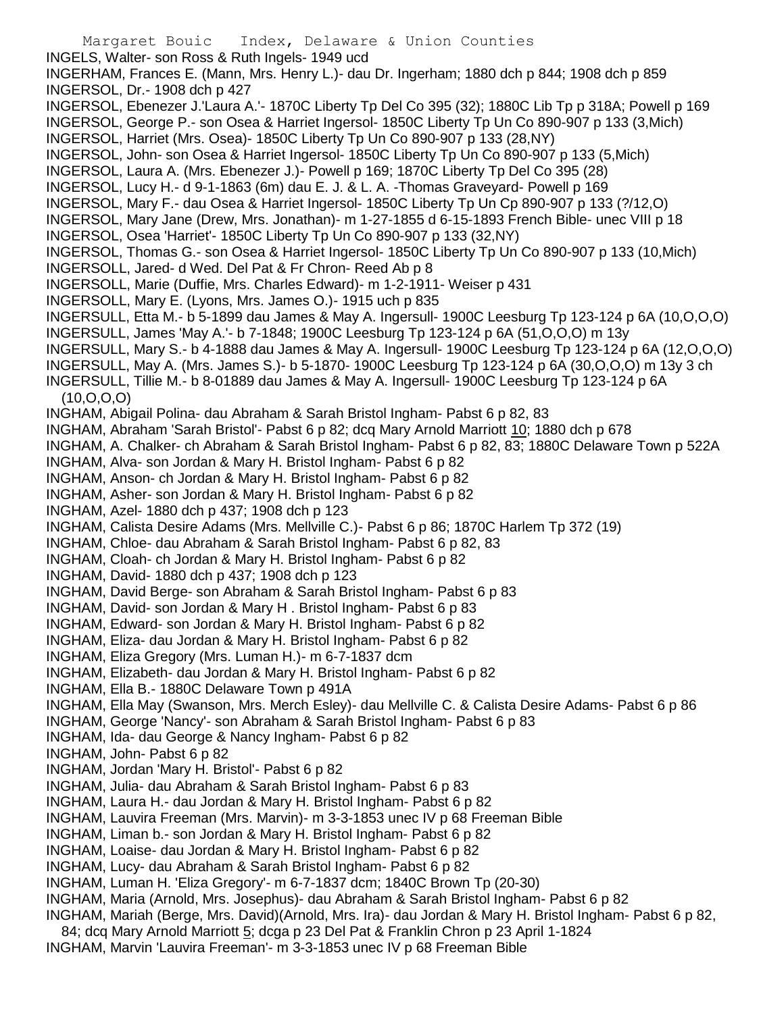Margaret Bouic Index, Delaware & Union Counties INGELS, Walter- son Ross & Ruth Ingels- 1949 ucd INGERHAM, Frances E. (Mann, Mrs. Henry L.)- dau Dr. Ingerham; 1880 dch p 844; 1908 dch p 859 INGERSOL, Dr.- 1908 dch p 427 INGERSOL, Ebenezer J.'Laura A.'- 1870C Liberty Tp Del Co 395 (32); 1880C Lib Tp p 318A; Powell p 169 INGERSOL, George P.- son Osea & Harriet Ingersol- 1850C Liberty Tp Un Co 890-907 p 133 (3,Mich) INGERSOL, Harriet (Mrs. Osea)- 1850C Liberty Tp Un Co 890-907 p 133 (28,NY) INGERSOL, John- son Osea & Harriet Ingersol- 1850C Liberty Tp Un Co 890-907 p 133 (5,Mich) INGERSOL, Laura A. (Mrs. Ebenezer J.)- Powell p 169; 1870C Liberty Tp Del Co 395 (28) INGERSOL, Lucy H.- d 9-1-1863 (6m) dau E. J. & L. A. -Thomas Graveyard- Powell p 169 INGERSOL, Mary F.- dau Osea & Harriet Ingersol- 1850C Liberty Tp Un Cp 890-907 p 133 (?/12,O) INGERSOL, Mary Jane (Drew, Mrs. Jonathan)- m 1-27-1855 d 6-15-1893 French Bible- unec VIII p 18 INGERSOL, Osea 'Harriet'- 1850C Liberty Tp Un Co 890-907 p 133 (32,NY) INGERSOL, Thomas G.- son Osea & Harriet Ingersol- 1850C Liberty Tp Un Co 890-907 p 133 (10,Mich) INGERSOLL, Jared- d Wed. Del Pat & Fr Chron- Reed Ab p 8 INGERSOLL, Marie (Duffie, Mrs. Charles Edward)- m 1-2-1911- Weiser p 431 INGERSOLL, Mary E. (Lyons, Mrs. James O.)- 1915 uch p 835 INGERSULL, Etta M.- b 5-1899 dau James & May A. Ingersull- 1900C Leesburg Tp 123-124 p 6A (10,O,O,O) INGERSULL, James 'May A.'- b 7-1848; 1900C Leesburg Tp 123-124 p 6A (51,O,O,O) m 13y INGERSULL, Mary S.- b 4-1888 dau James & May A. Ingersull- 1900C Leesburg Tp 123-124 p 6A (12,O,O,O) INGERSULL, May A. (Mrs. James S.)- b 5-1870- 1900C Leesburg Tp 123-124 p 6A (30,O,O,O) m 13y 3 ch INGERSULL, Tillie M.- b 8-01889 dau James & May A. Ingersull- 1900C Leesburg Tp 123-124 p 6A (10,O,O,O) INGHAM, Abigail Polina- dau Abraham & Sarah Bristol Ingham- Pabst 6 p 82, 83 INGHAM, Abraham 'Sarah Bristol'- Pabst 6 p 82; dcq Mary Arnold Marriott 10; 1880 dch p 678 INGHAM, A. Chalker- ch Abraham & Sarah Bristol Ingham- Pabst 6 p 82, 83; 1880C Delaware Town p 522A INGHAM, Alva- son Jordan & Mary H. Bristol Ingham- Pabst 6 p 82 INGHAM, Anson- ch Jordan & Mary H. Bristol Ingham- Pabst 6 p 82 INGHAM, Asher- son Jordan & Mary H. Bristol Ingham- Pabst 6 p 82 INGHAM, Azel- 1880 dch p 437; 1908 dch p 123 INGHAM, Calista Desire Adams (Mrs. Mellville C.)- Pabst 6 p 86; 1870C Harlem Tp 372 (19) INGHAM, Chloe- dau Abraham & Sarah Bristol Ingham- Pabst 6 p 82, 83 INGHAM, Cloah- ch Jordan & Mary H. Bristol Ingham- Pabst 6 p 82 INGHAM, David- 1880 dch p 437; 1908 dch p 123 INGHAM, David Berge- son Abraham & Sarah Bristol Ingham- Pabst 6 p 83 INGHAM, David- son Jordan & Mary H . Bristol Ingham- Pabst 6 p 83 INGHAM, Edward- son Jordan & Mary H. Bristol Ingham- Pabst 6 p 82 INGHAM, Eliza- dau Jordan & Mary H. Bristol Ingham- Pabst 6 p 82 INGHAM, Eliza Gregory (Mrs. Luman H.)- m 6-7-1837 dcm INGHAM, Elizabeth- dau Jordan & Mary H. Bristol Ingham- Pabst 6 p 82 INGHAM, Ella B.- 1880C Delaware Town p 491A INGHAM, Ella May (Swanson, Mrs. Merch Esley)- dau Mellville C. & Calista Desire Adams- Pabst 6 p 86 INGHAM, George 'Nancy'- son Abraham & Sarah Bristol Ingham- Pabst 6 p 83 INGHAM, Ida- dau George & Nancy Ingham- Pabst 6 p 82 INGHAM, John- Pabst 6 p 82 INGHAM, Jordan 'Mary H. Bristol'- Pabst 6 p 82 INGHAM, Julia- dau Abraham & Sarah Bristol Ingham- Pabst 6 p 83 INGHAM, Laura H.- dau Jordan & Mary H. Bristol Ingham- Pabst 6 p 82 INGHAM, Lauvira Freeman (Mrs. Marvin)- m 3-3-1853 unec IV p 68 Freeman Bible INGHAM, Liman b.- son Jordan & Mary H. Bristol Ingham- Pabst 6 p 82 INGHAM, Loaise- dau Jordan & Mary H. Bristol Ingham- Pabst 6 p 82 INGHAM, Lucy- dau Abraham & Sarah Bristol Ingham- Pabst 6 p 82 INGHAM, Luman H. 'Eliza Gregory'- m 6-7-1837 dcm; 1840C Brown Tp (20-30) INGHAM, Maria (Arnold, Mrs. Josephus)- dau Abraham & Sarah Bristol Ingham- Pabst 6 p 82 INGHAM, Mariah (Berge, Mrs. David)(Arnold, Mrs. Ira)- dau Jordan & Mary H. Bristol Ingham- Pabst 6 p 82, 84; dcq Mary Arnold Marriott 5; dcga p 23 Del Pat & Franklin Chron p 23 April 1-1824 INGHAM, Marvin 'Lauvira Freeman'- m 3-3-1853 unec IV p 68 Freeman Bible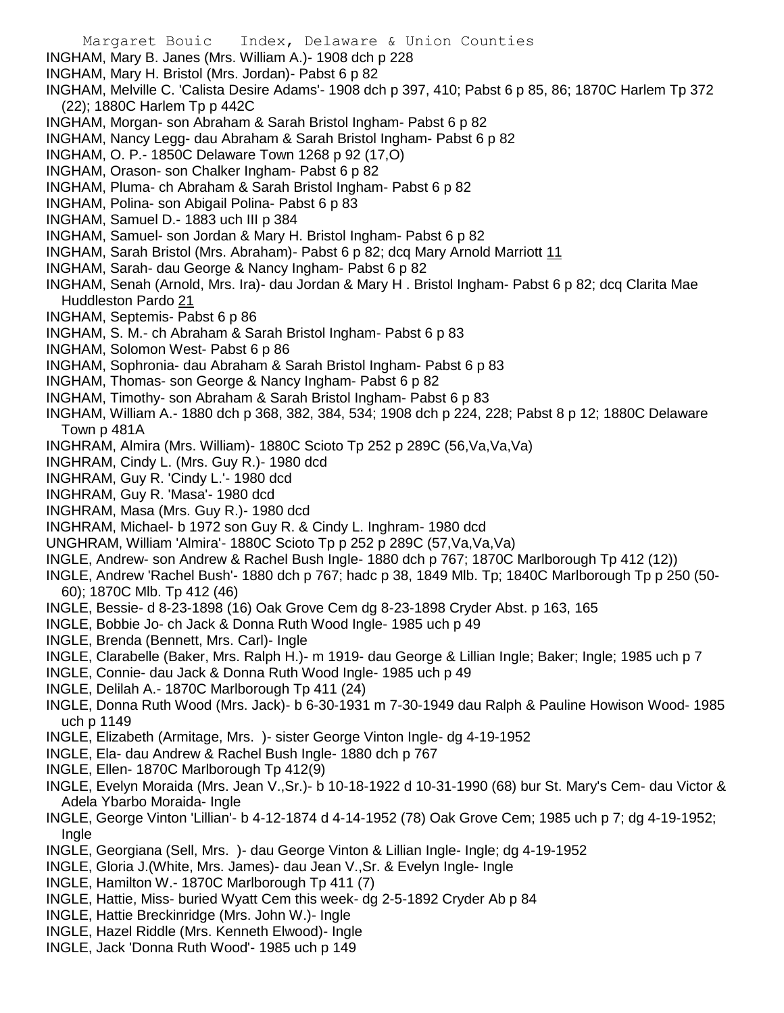- Margaret Bouic Index, Delaware & Union Counties INGHAM, Mary B. Janes (Mrs. William A.)- 1908 dch p 228 INGHAM, Mary H. Bristol (Mrs. Jordan)- Pabst 6 p 82 INGHAM, Melville C. 'Calista Desire Adams'- 1908 dch p 397, 410; Pabst 6 p 85, 86; 1870C Harlem Tp 372 (22); 1880C Harlem Tp p 442C INGHAM, Morgan- son Abraham & Sarah Bristol Ingham- Pabst 6 p 82 INGHAM, Nancy Legg- dau Abraham & Sarah Bristol Ingham- Pabst 6 p 82 INGHAM, O. P.- 1850C Delaware Town 1268 p 92 (17,O) INGHAM, Orason- son Chalker Ingham- Pabst 6 p 82 INGHAM, Pluma- ch Abraham & Sarah Bristol Ingham- Pabst 6 p 82 INGHAM, Polina- son Abigail Polina- Pabst 6 p 83 INGHAM, Samuel D.- 1883 uch III p 384 INGHAM, Samuel- son Jordan & Mary H. Bristol Ingham- Pabst 6 p 82 INGHAM, Sarah Bristol (Mrs. Abraham)- Pabst 6 p 82; dcq Mary Arnold Marriott 11 INGHAM, Sarah- dau George & Nancy Ingham- Pabst 6 p 82 INGHAM, Senah (Arnold, Mrs. Ira)- dau Jordan & Mary H . Bristol Ingham- Pabst 6 p 82; dcq Clarita Mae Huddleston Pardo 21 INGHAM, Septemis- Pabst 6 p 86 INGHAM, S. M.- ch Abraham & Sarah Bristol Ingham- Pabst 6 p 83 INGHAM, Solomon West- Pabst 6 p 86 INGHAM, Sophronia- dau Abraham & Sarah Bristol Ingham- Pabst 6 p 83 INGHAM, Thomas- son George & Nancy Ingham- Pabst 6 p 82 INGHAM, Timothy- son Abraham & Sarah Bristol Ingham- Pabst 6 p 83 INGHAM, William A.- 1880 dch p 368, 382, 384, 534; 1908 dch p 224, 228; Pabst 8 p 12; 1880C Delaware Town p 481A INGHRAM, Almira (Mrs. William)- 1880C Scioto Tp 252 p 289C (56,Va,Va,Va) INGHRAM, Cindy L. (Mrs. Guy R.)- 1980 dcd INGHRAM, Guy R. 'Cindy L.'- 1980 dcd INGHRAM, Guy R. 'Masa'- 1980 dcd INGHRAM, Masa (Mrs. Guy R.)- 1980 dcd INGHRAM, Michael- b 1972 son Guy R. & Cindy L. Inghram- 1980 dcd UNGHRAM, William 'Almira'- 1880C Scioto Tp p 252 p 289C (57,Va,Va,Va) INGLE, Andrew- son Andrew & Rachel Bush Ingle- 1880 dch p 767; 1870C Marlborough Tp 412 (12)) INGLE, Andrew 'Rachel Bush'- 1880 dch p 767; hadc p 38, 1849 Mlb. Tp; 1840C Marlborough Tp p 250 (50- 60); 1870C Mlb. Tp 412 (46) INGLE, Bessie- d 8-23-1898 (16) Oak Grove Cem dg 8-23-1898 Cryder Abst. p 163, 165 INGLE, Bobbie Jo- ch Jack & Donna Ruth Wood Ingle- 1985 uch p 49 INGLE, Brenda (Bennett, Mrs. Carl)- Ingle INGLE, Clarabelle (Baker, Mrs. Ralph H.)- m 1919- dau George & Lillian Ingle; Baker; Ingle; 1985 uch p 7 INGLE, Connie- dau Jack & Donna Ruth Wood Ingle- 1985 uch p 49 INGLE, Delilah A.- 1870C Marlborough Tp 411 (24) INGLE, Donna Ruth Wood (Mrs. Jack)- b 6-30-1931 m 7-30-1949 dau Ralph & Pauline Howison Wood- 1985 uch p 1149 INGLE, Elizabeth (Armitage, Mrs. )- sister George Vinton Ingle- dg 4-19-1952 INGLE, Ela- dau Andrew & Rachel Bush Ingle- 1880 dch p 767 INGLE, Ellen- 1870C Marlborough Tp 412(9) INGLE, Evelyn Moraida (Mrs. Jean V.,Sr.)- b 10-18-1922 d 10-31-1990 (68) bur St. Mary's Cem- dau Victor & Adela Ybarbo Moraida- Ingle INGLE, George Vinton 'Lillian'- b 4-12-1874 d 4-14-1952 (78) Oak Grove Cem; 1985 uch p 7; dg 4-19-1952; Ingle INGLE, Georgiana (Sell, Mrs. )- dau George Vinton & Lillian Ingle- Ingle; dg 4-19-1952 INGLE, Gloria J.(White, Mrs. James)- dau Jean V.,Sr. & Evelyn Ingle- Ingle INGLE, Hamilton W.- 1870C Marlborough Tp 411 (7) INGLE, Hattie, Miss- buried Wyatt Cem this week- dg 2-5-1892 Cryder Ab p 84 INGLE, Hattie Breckinridge (Mrs. John W.)- Ingle
- INGLE, Hazel Riddle (Mrs. Kenneth Elwood)- Ingle
- INGLE, Jack 'Donna Ruth Wood'- 1985 uch p 149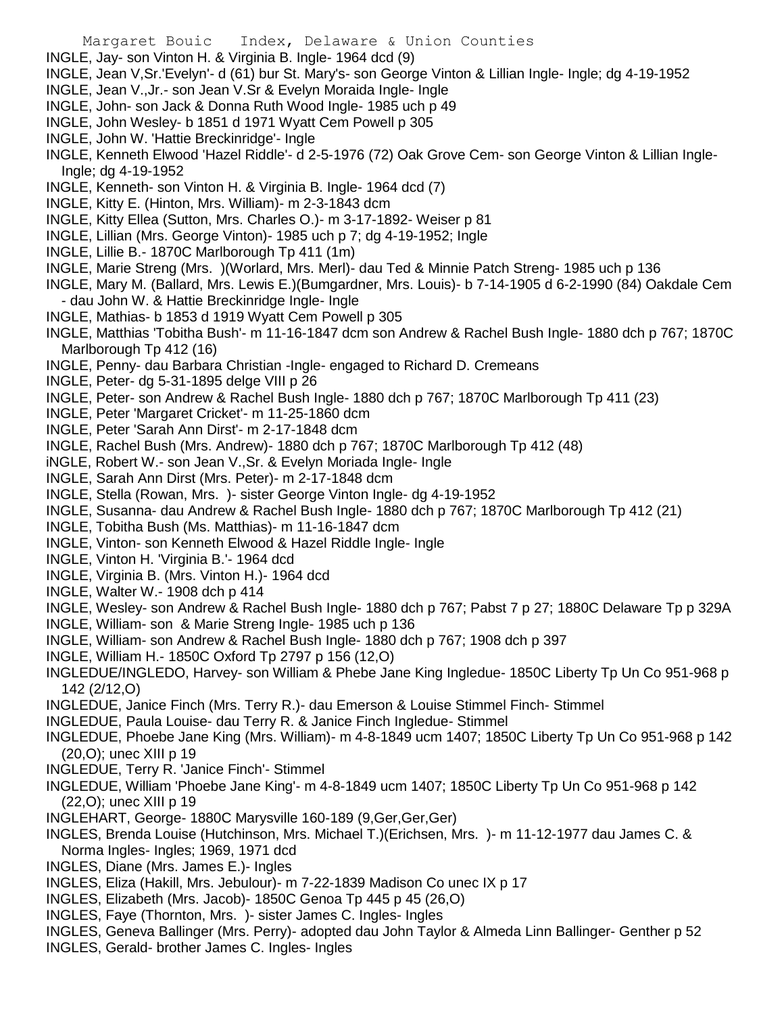- INGLE, Jay- son Vinton H. & Virginia B. Ingle- 1964 dcd (9)
- INGLE, Jean V,Sr.'Evelyn'- d (61) bur St. Mary's- son George Vinton & Lillian Ingle- Ingle; dg 4-19-1952
- INGLE, Jean V.,Jr.- son Jean V.Sr & Evelyn Moraida Ingle- Ingle
- INGLE, John- son Jack & Donna Ruth Wood Ingle- 1985 uch p 49
- INGLE, John Wesley- b 1851 d 1971 Wyatt Cem Powell p 305
- INGLE, John W. 'Hattie Breckinridge'- Ingle
- INGLE, Kenneth Elwood 'Hazel Riddle'- d 2-5-1976 (72) Oak Grove Cem- son George Vinton & Lillian Ingle-Ingle; dg 4-19-1952
- INGLE, Kenneth- son Vinton H. & Virginia B. Ingle- 1964 dcd (7)
- INGLE, Kitty E. (Hinton, Mrs. William)- m 2-3-1843 dcm
- INGLE, Kitty Ellea (Sutton, Mrs. Charles O.)- m 3-17-1892- Weiser p 81
- INGLE, Lillian (Mrs. George Vinton)- 1985 uch p 7; dg 4-19-1952; Ingle
- INGLE, Lillie B.- 1870C Marlborough Tp 411 (1m)
- INGLE, Marie Streng (Mrs. )(Worlard, Mrs. Merl)- dau Ted & Minnie Patch Streng- 1985 uch p 136
- INGLE, Mary M. (Ballard, Mrs. Lewis E.)(Bumgardner, Mrs. Louis)- b 7-14-1905 d 6-2-1990 (84) Oakdale Cem - dau John W. & Hattie Breckinridge Ingle- Ingle
- INGLE, Mathias- b 1853 d 1919 Wyatt Cem Powell p 305
- INGLE, Matthias 'Tobitha Bush'- m 11-16-1847 dcm son Andrew & Rachel Bush Ingle- 1880 dch p 767; 1870C Marlborough Tp 412 (16)
- INGLE, Penny- dau Barbara Christian -Ingle- engaged to Richard D. Cremeans
- INGLE, Peter- dg 5-31-1895 delge VIII p 26
- INGLE, Peter- son Andrew & Rachel Bush Ingle- 1880 dch p 767; 1870C Marlborough Tp 411 (23)
- INGLE, Peter 'Margaret Cricket'- m 11-25-1860 dcm
- INGLE, Peter 'Sarah Ann Dirst'- m 2-17-1848 dcm
- INGLE, Rachel Bush (Mrs. Andrew)- 1880 dch p 767; 1870C Marlborough Tp 412 (48)
- iNGLE, Robert W.- son Jean V.,Sr. & Evelyn Moriada Ingle- Ingle
- INGLE, Sarah Ann Dirst (Mrs. Peter)- m 2-17-1848 dcm
- INGLE, Stella (Rowan, Mrs. )- sister George Vinton Ingle- dg 4-19-1952
- INGLE, Susanna- dau Andrew & Rachel Bush Ingle- 1880 dch p 767; 1870C Marlborough Tp 412 (21)
- INGLE, Tobitha Bush (Ms. Matthias)- m 11-16-1847 dcm
- INGLE, Vinton- son Kenneth Elwood & Hazel Riddle Ingle- Ingle
- INGLE, Vinton H. 'Virginia B.'- 1964 dcd
- INGLE, Virginia B. (Mrs. Vinton H.)- 1964 dcd
- INGLE, Walter W.- 1908 dch p 414
- INGLE, Wesley- son Andrew & Rachel Bush Ingle- 1880 dch p 767; Pabst 7 p 27; 1880C Delaware Tp p 329A
- INGLE, William- son & Marie Streng Ingle- 1985 uch p 136
- INGLE, William- son Andrew & Rachel Bush Ingle- 1880 dch p 767; 1908 dch p 397
- INGLE, William H.- 1850C Oxford Tp 2797 p 156 (12,O)
- INGLEDUE/INGLEDO, Harvey- son William & Phebe Jane King Ingledue- 1850C Liberty Tp Un Co 951-968 p 142 (2/12,O)
- INGLEDUE, Janice Finch (Mrs. Terry R.)- dau Emerson & Louise Stimmel Finch- Stimmel
- INGLEDUE, Paula Louise- dau Terry R. & Janice Finch Ingledue- Stimmel
- INGLEDUE, Phoebe Jane King (Mrs. William)- m 4-8-1849 ucm 1407; 1850C Liberty Tp Un Co 951-968 p 142 (20,O); unec XIII p 19
- INGLEDUE, Terry R. 'Janice Finch'- Stimmel
- INGLEDUE, William 'Phoebe Jane King'- m 4-8-1849 ucm 1407; 1850C Liberty Tp Un Co 951-968 p 142 (22,O); unec XIII p 19
- INGLEHART, George- 1880C Marysville 160-189 (9,Ger,Ger,Ger)
- INGLES, Brenda Louise (Hutchinson, Mrs. Michael T.)(Erichsen, Mrs. )- m 11-12-1977 dau James C. & Norma Ingles- Ingles; 1969, 1971 dcd
- INGLES, Diane (Mrs. James E.)- Ingles
- INGLES, Eliza (Hakill, Mrs. Jebulour)- m 7-22-1839 Madison Co unec IX p 17
- INGLES, Elizabeth (Mrs. Jacob)- 1850C Genoa Tp 445 p 45 (26,O)
- INGLES, Faye (Thornton, Mrs. )- sister James C. Ingles- Ingles
- INGLES, Geneva Ballinger (Mrs. Perry)- adopted dau John Taylor & Almeda Linn Ballinger- Genther p 52
- INGLES, Gerald- brother James C. Ingles- Ingles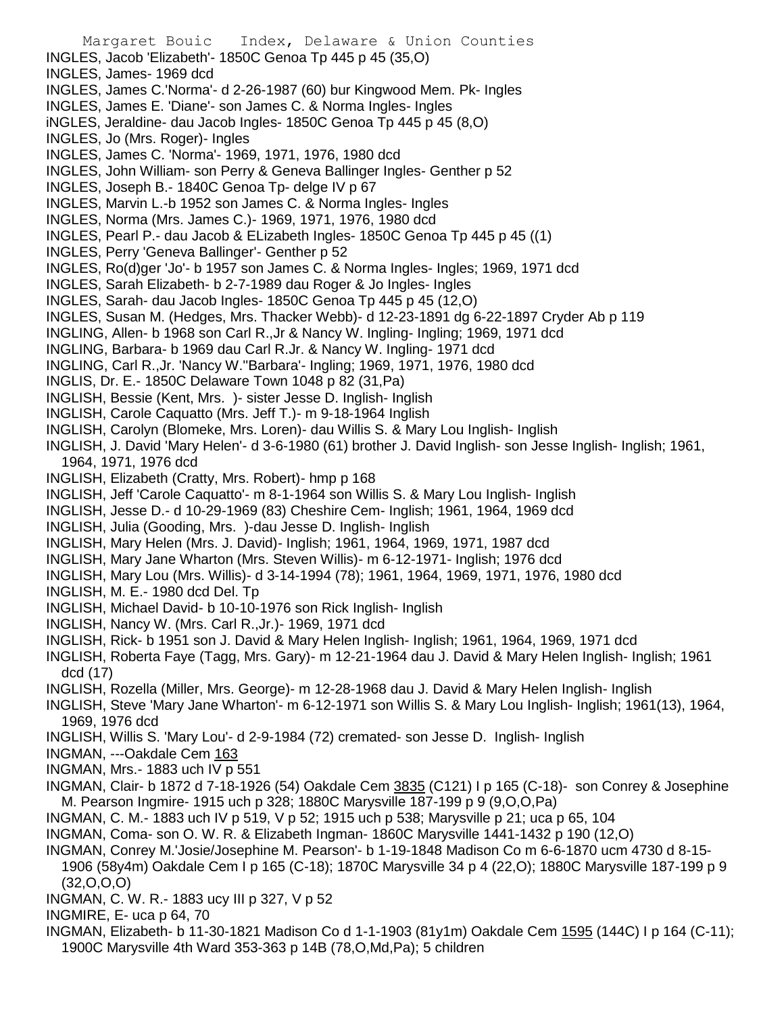Margaret Bouic Index, Delaware & Union Counties INGLES, Jacob 'Elizabeth'- 1850C Genoa Tp 445 p 45 (35,O) INGLES, James- 1969 dcd INGLES, James C.'Norma'- d 2-26-1987 (60) bur Kingwood Mem. Pk- Ingles INGLES, James E. 'Diane'- son James C. & Norma Ingles- Ingles iNGLES, Jeraldine- dau Jacob Ingles- 1850C Genoa Tp 445 p 45 (8,O) INGLES, Jo (Mrs. Roger)- Ingles INGLES, James C. 'Norma'- 1969, 1971, 1976, 1980 dcd INGLES, John William- son Perry & Geneva Ballinger Ingles- Genther p 52 INGLES, Joseph B.- 1840C Genoa Tp- delge IV p 67 INGLES, Marvin L.-b 1952 son James C. & Norma Ingles- Ingles INGLES, Norma (Mrs. James C.)- 1969, 1971, 1976, 1980 dcd INGLES, Pearl P.- dau Jacob & ELizabeth Ingles- 1850C Genoa Tp 445 p 45 ((1) INGLES, Perry 'Geneva Ballinger'- Genther p 52 INGLES, Ro(d)ger 'Jo'- b 1957 son James C. & Norma Ingles- Ingles; 1969, 1971 dcd INGLES, Sarah Elizabeth- b 2-7-1989 dau Roger & Jo Ingles- Ingles INGLES, Sarah- dau Jacob Ingles- 1850C Genoa Tp 445 p 45 (12,O) INGLES, Susan M. (Hedges, Mrs. Thacker Webb)- d 12-23-1891 dg 6-22-1897 Cryder Ab p 119 INGLING, Allen- b 1968 son Carl R.,Jr & Nancy W. Ingling- Ingling; 1969, 1971 dcd INGLING, Barbara- b 1969 dau Carl R.Jr. & Nancy W. Ingling- 1971 dcd INGLING, Carl R.,Jr. 'Nancy W.''Barbara'- Ingling; 1969, 1971, 1976, 1980 dcd INGLIS, Dr. E.- 1850C Delaware Town 1048 p 82 (31,Pa) INGLISH, Bessie (Kent, Mrs. )- sister Jesse D. Inglish- Inglish INGLISH, Carole Caquatto (Mrs. Jeff T.)- m 9-18-1964 Inglish INGLISH, Carolyn (Blomeke, Mrs. Loren)- dau Willis S. & Mary Lou Inglish- Inglish INGLISH, J. David 'Mary Helen'- d 3-6-1980 (61) brother J. David Inglish- son Jesse Inglish- Inglish; 1961, 1964, 1971, 1976 dcd INGLISH, Elizabeth (Cratty, Mrs. Robert)- hmp p 168 INGLISH, Jeff 'Carole Caquatto'- m 8-1-1964 son Willis S. & Mary Lou Inglish- Inglish INGLISH, Jesse D.- d 10-29-1969 (83) Cheshire Cem- Inglish; 1961, 1964, 1969 dcd INGLISH, Julia (Gooding, Mrs. )-dau Jesse D. Inglish- Inglish INGLISH, Mary Helen (Mrs. J. David)- Inglish; 1961, 1964, 1969, 1971, 1987 dcd INGLISH, Mary Jane Wharton (Mrs. Steven Willis)- m 6-12-1971- Inglish; 1976 dcd INGLISH, Mary Lou (Mrs. Willis)- d 3-14-1994 (78); 1961, 1964, 1969, 1971, 1976, 1980 dcd INGLISH, M. E.- 1980 dcd Del. Tp INGLISH, Michael David- b 10-10-1976 son Rick Inglish- Inglish INGLISH, Nancy W. (Mrs. Carl R.,Jr.)- 1969, 1971 dcd INGLISH, Rick- b 1951 son J. David & Mary Helen Inglish- Inglish; 1961, 1964, 1969, 1971 dcd INGLISH, Roberta Faye (Tagg, Mrs. Gary)- m 12-21-1964 dau J. David & Mary Helen Inglish- Inglish; 1961 dcd (17) INGLISH, Rozella (Miller, Mrs. George)- m 12-28-1968 dau J. David & Mary Helen Inglish- Inglish INGLISH, Steve 'Mary Jane Wharton'- m 6-12-1971 son Willis S. & Mary Lou Inglish- Inglish; 1961(13), 1964, 1969, 1976 dcd INGLISH, Willis S. 'Mary Lou'- d 2-9-1984 (72) cremated- son Jesse D. Inglish- Inglish INGMAN, ---Oakdale Cem 163 INGMAN, Mrs.- 1883 uch IV p 551 INGMAN, Clair- b 1872 d 7-18-1926 (54) Oakdale Cem 3835 (C121) I p 165 (C-18)- son Conrey & Josephine M. Pearson Ingmire- 1915 uch p 328; 1880C Marysville 187-199 p 9 (9,O,O,Pa) INGMAN, C. M.- 1883 uch IV p 519, V p 52; 1915 uch p 538; Marysville p 21; uca p 65, 104 INGMAN, Coma- son O. W. R. & Elizabeth Ingman- 1860C Marysville 1441-1432 p 190 (12,O)

INGMAN, Conrey M.'Josie/Josephine M. Pearson'- b 1-19-1848 Madison Co m 6-6-1870 ucm 4730 d 8-15- 1906 (58y4m) Oakdale Cem I p 165 (C-18); 1870C Marysville 34 p 4 (22,O); 1880C Marysville 187-199 p 9 (32,O,O,O)

INGMAN, C. W. R.- 1883 ucy III p 327, V p 52

INGMIRE, E- uca p 64, 70

INGMAN, Elizabeth- b 11-30-1821 Madison Co d 1-1-1903 (81y1m) Oakdale Cem 1595 (144C) I p 164 (C-11); 1900C Marysville 4th Ward 353-363 p 14B (78,O,Md,Pa); 5 children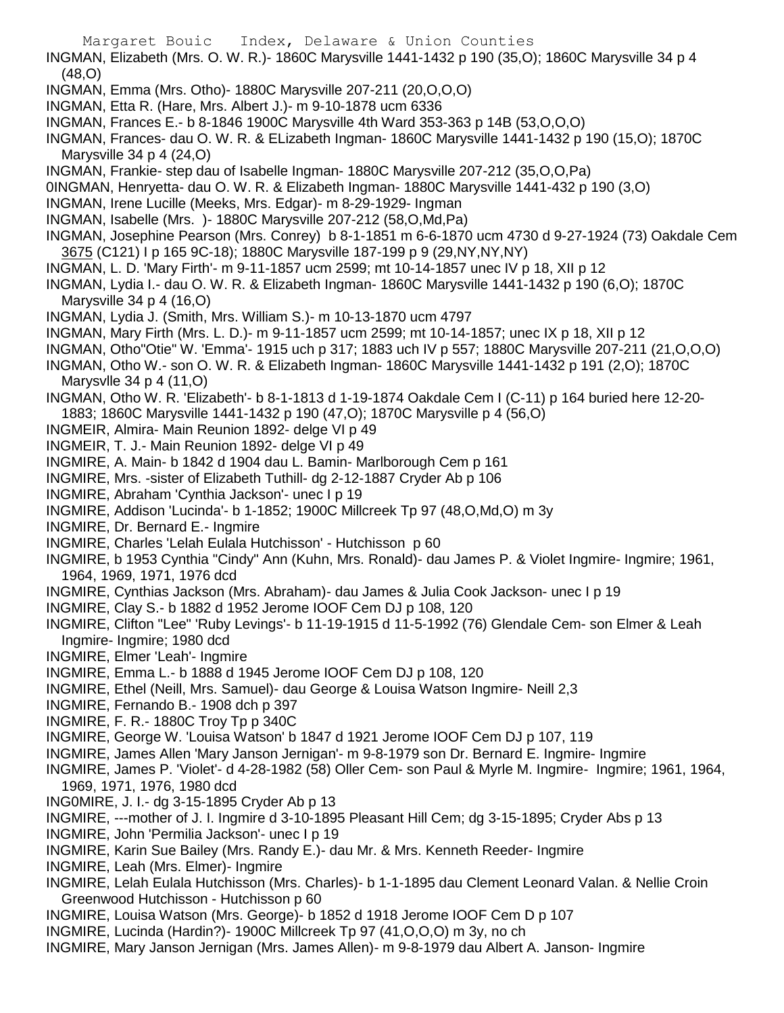- INGMAN, Elizabeth (Mrs. O. W. R.)- 1860C Marysville 1441-1432 p 190 (35,O); 1860C Marysville 34 p 4 (48,O)
- INGMAN, Emma (Mrs. Otho)- 1880C Marysville 207-211 (20,O,O,O)
- INGMAN, Etta R. (Hare, Mrs. Albert J.)- m 9-10-1878 ucm 6336
- INGMAN, Frances E.- b 8-1846 1900C Marysville 4th Ward 353-363 p 14B (53,O,O,O)
- INGMAN, Frances- dau O. W. R. & ELizabeth Ingman- 1860C Marysville 1441-1432 p 190 (15,O); 1870C Marysville 34 p 4 (24,O)
- INGMAN, Frankie- step dau of Isabelle Ingman- 1880C Marysville 207-212 (35,O,O,Pa)
- 0INGMAN, Henryetta- dau O. W. R. & Elizabeth Ingman- 1880C Marysville 1441-432 p 190 (3,O)
- INGMAN, Irene Lucille (Meeks, Mrs. Edgar)- m 8-29-1929- Ingman
- INGMAN, Isabelle (Mrs. )- 1880C Marysville 207-212 (58,O,Md,Pa)
- INGMAN, Josephine Pearson (Mrs. Conrey) b 8-1-1851 m 6-6-1870 ucm 4730 d 9-27-1924 (73) Oakdale Cem 3675 (C121) I p 165 9C-18); 1880C Marysville 187-199 p 9 (29,NY,NY,NY)
- INGMAN, L. D. 'Mary Firth'- m 9-11-1857 ucm 2599; mt 10-14-1857 unec IV p 18, XII p 12

INGMAN, Lydia I.- dau O. W. R. & Elizabeth Ingman- 1860C Marysville 1441-1432 p 190 (6,O); 1870C Marysville 34 p 4 (16,O)

- INGMAN, Lydia J. (Smith, Mrs. William S.)- m 10-13-1870 ucm 4797
- INGMAN, Mary Firth (Mrs. L. D.)- m 9-11-1857 ucm 2599; mt 10-14-1857; unec IX p 18, XII p 12
- INGMAN, Otho"Otie" W. 'Emma'- 1915 uch p 317; 1883 uch IV p 557; 1880C Marysville 207-211 (21,O,O,O)
- INGMAN, Otho W.- son O. W. R. & Elizabeth Ingman- 1860C Marysville 1441-1432 p 191 (2,O); 1870C Marysvlle 34 p 4 (11,O)
- INGMAN, Otho W. R. 'Elizabeth'- b 8-1-1813 d 1-19-1874 Oakdale Cem I (C-11) p 164 buried here 12-20- 1883; 1860C Marysville 1441-1432 p 190 (47,O); 1870C Marysville p 4 (56,O)
- INGMEIR, Almira- Main Reunion 1892- delge VI p 49
- INGMEIR, T. J.- Main Reunion 1892- delge VI p 49
- INGMIRE, A. Main- b 1842 d 1904 dau L. Bamin- Marlborough Cem p 161
- INGMIRE, Mrs. -sister of Elizabeth Tuthill- dg 2-12-1887 Cryder Ab p 106
- INGMIRE, Abraham 'Cynthia Jackson'- unec I p 19
- INGMIRE, Addison 'Lucinda'- b 1-1852; 1900C Millcreek Tp 97 (48,O,Md,O) m 3y
- INGMIRE, Dr. Bernard E.- Ingmire
- INGMIRE, Charles 'Lelah Eulala Hutchisson' Hutchisson p 60
- INGMIRE, b 1953 Cynthia "Cindy" Ann (Kuhn, Mrs. Ronald)- dau James P. & Violet Ingmire- Ingmire; 1961, 1964, 1969, 1971, 1976 dcd
- INGMIRE, Cynthias Jackson (Mrs. Abraham)- dau James & Julia Cook Jackson- unec I p 19
- INGMIRE, Clay S.- b 1882 d 1952 Jerome IOOF Cem DJ p 108, 120
- INGMIRE, Clifton "Lee" 'Ruby Levings'- b 11-19-1915 d 11-5-1992 (76) Glendale Cem- son Elmer & Leah Ingmire- Ingmire; 1980 dcd
- INGMIRE, Elmer 'Leah'- Ingmire
- INGMIRE, Emma L.- b 1888 d 1945 Jerome IOOF Cem DJ p 108, 120
- INGMIRE, Ethel (Neill, Mrs. Samuel)- dau George & Louisa Watson Ingmire- Neill 2,3
- INGMIRE, Fernando B.- 1908 dch p 397
- INGMIRE, F. R.- 1880C Troy Tp p 340C
- INGMIRE, George W. 'Louisa Watson' b 1847 d 1921 Jerome IOOF Cem DJ p 107, 119
- INGMIRE, James Allen 'Mary Janson Jernigan'- m 9-8-1979 son Dr. Bernard E. Ingmire- Ingmire
- INGMIRE, James P. 'Violet'- d 4-28-1982 (58) Oller Cem- son Paul & Myrle M. Ingmire- Ingmire; 1961, 1964, 1969, 1971, 1976, 1980 dcd
- ING0MIRE, J. I.- dg 3-15-1895 Cryder Ab p 13
- INGMIRE, ---mother of J. I. Ingmire d 3-10-1895 Pleasant Hill Cem; dg 3-15-1895; Cryder Abs p 13
- INGMIRE, John 'Permilia Jackson'- unec I p 19
- INGMIRE, Karin Sue Bailey (Mrs. Randy E.)- dau Mr. & Mrs. Kenneth Reeder- Ingmire
- INGMIRE, Leah (Mrs. Elmer)- Ingmire
- INGMIRE, Lelah Eulala Hutchisson (Mrs. Charles)- b 1-1-1895 dau Clement Leonard Valan. & Nellie Croin Greenwood Hutchisson - Hutchisson p 60
- INGMIRE, Louisa Watson (Mrs. George)- b 1852 d 1918 Jerome IOOF Cem D p 107
- INGMIRE, Lucinda (Hardin?)- 1900C Millcreek Tp 97 (41,O,O,O) m 3y, no ch
- INGMIRE, Mary Janson Jernigan (Mrs. James Allen)- m 9-8-1979 dau Albert A. Janson- Ingmire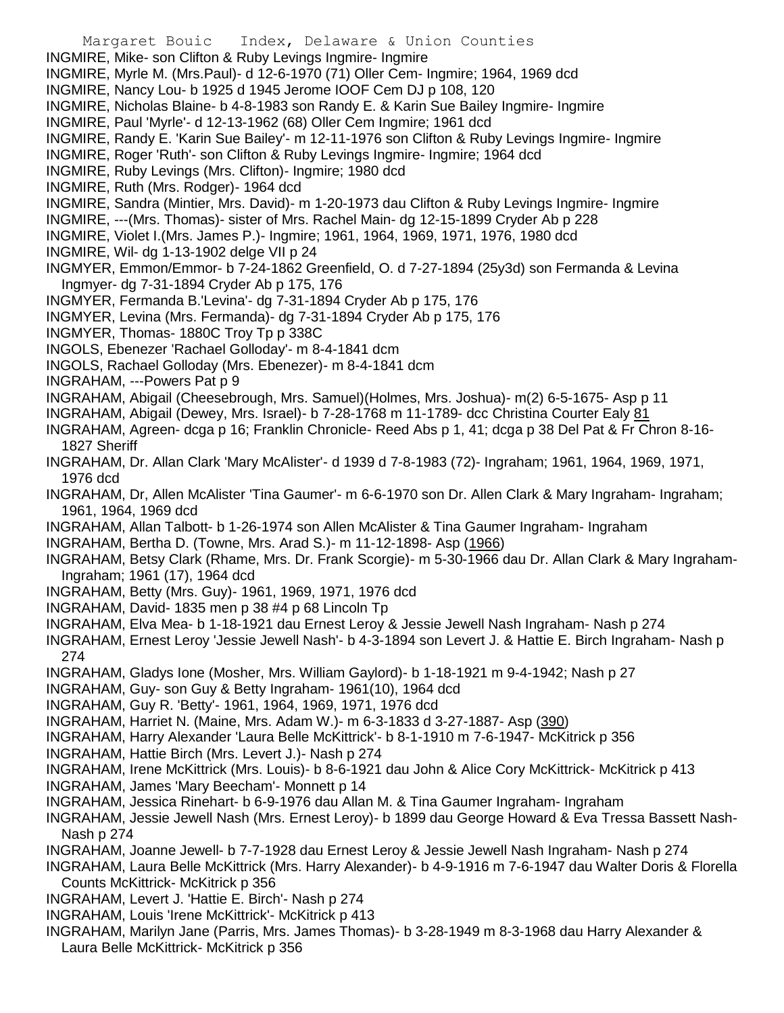Margaret Bouic Index, Delaware & Union Counties INGMIRE, Mike- son Clifton & Ruby Levings Ingmire- Ingmire INGMIRE, Myrle M. (Mrs.Paul)- d 12-6-1970 (71) Oller Cem- Ingmire; 1964, 1969 dcd INGMIRE, Nancy Lou- b 1925 d 1945 Jerome IOOF Cem DJ p 108, 120 INGMIRE, Nicholas Blaine- b 4-8-1983 son Randy E. & Karin Sue Bailey Ingmire- Ingmire INGMIRE, Paul 'Myrle'- d 12-13-1962 (68) Oller Cem Ingmire; 1961 dcd INGMIRE, Randy E. 'Karin Sue Bailey'- m 12-11-1976 son Clifton & Ruby Levings Ingmire- Ingmire INGMIRE, Roger 'Ruth'- son Clifton & Ruby Levings Ingmire- Ingmire; 1964 dcd INGMIRE, Ruby Levings (Mrs. Clifton)- Ingmire; 1980 dcd INGMIRE, Ruth (Mrs. Rodger)- 1964 dcd INGMIRE, Sandra (Mintier, Mrs. David)- m 1-20-1973 dau Clifton & Ruby Levings Ingmire- Ingmire INGMIRE, ---(Mrs. Thomas)- sister of Mrs. Rachel Main- dg 12-15-1899 Cryder Ab p 228 INGMIRE, Violet I.(Mrs. James P.)- Ingmire; 1961, 1964, 1969, 1971, 1976, 1980 dcd INGMIRE, Wil- dg 1-13-1902 delge VII p 24 INGMYER, Emmon/Emmor- b 7-24-1862 Greenfield, O. d 7-27-1894 (25y3d) son Fermanda & Levina Ingmyer- dg 7-31-1894 Cryder Ab p 175, 176 INGMYER, Fermanda B.'Levina'- dg 7-31-1894 Cryder Ab p 175, 176 INGMYER, Levina (Mrs. Fermanda)- dg 7-31-1894 Cryder Ab p 175, 176 INGMYER, Thomas- 1880C Troy Tp p 338C INGOLS, Ebenezer 'Rachael Golloday'- m 8-4-1841 dcm INGOLS, Rachael Golloday (Mrs. Ebenezer)- m 8-4-1841 dcm INGRAHAM, ---Powers Pat p 9 INGRAHAM, Abigail (Cheesebrough, Mrs. Samuel)(Holmes, Mrs. Joshua)- m(2) 6-5-1675- Asp p 11 INGRAHAM, Abigail (Dewey, Mrs. Israel)- b 7-28-1768 m 11-1789- dcc Christina Courter Ealy 81 INGRAHAM, Agreen- dcga p 16; Franklin Chronicle- Reed Abs p 1, 41; dcga p 38 Del Pat & Fr Chron 8-16- 1827 Sheriff INGRAHAM, Dr. Allan Clark 'Mary McAlister'- d 1939 d 7-8-1983 (72)- Ingraham; 1961, 1964, 1969, 1971, 1976 dcd INGRAHAM, Dr, Allen McAlister 'Tina Gaumer'- m 6-6-1970 son Dr. Allen Clark & Mary Ingraham- Ingraham; 1961, 1964, 1969 dcd INGRAHAM, Allan Talbott- b 1-26-1974 son Allen McAlister & Tina Gaumer Ingraham- Ingraham INGRAHAM, Bertha D. (Towne, Mrs. Arad S.)- m 11-12-1898- Asp (1966) INGRAHAM, Betsy Clark (Rhame, Mrs. Dr. Frank Scorgie)- m 5-30-1966 dau Dr. Allan Clark & Mary Ingraham-Ingraham; 1961 (17), 1964 dcd INGRAHAM, Betty (Mrs. Guy)- 1961, 1969, 1971, 1976 dcd INGRAHAM, David- 1835 men p 38 #4 p 68 Lincoln Tp INGRAHAM, Elva Mea- b 1-18-1921 dau Ernest Leroy & Jessie Jewell Nash Ingraham- Nash p 274 INGRAHAM, Ernest Leroy 'Jessie Jewell Nash'- b 4-3-1894 son Levert J. & Hattie E. Birch Ingraham- Nash p 274 INGRAHAM, Gladys Ione (Mosher, Mrs. William Gaylord)- b 1-18-1921 m 9-4-1942; Nash p 27 INGRAHAM, Guy- son Guy & Betty Ingraham- 1961(10), 1964 dcd INGRAHAM, Guy R. 'Betty'- 1961, 1964, 1969, 1971, 1976 dcd INGRAHAM, Harriet N. (Maine, Mrs. Adam W.)- m 6-3-1833 d 3-27-1887- Asp (390) INGRAHAM, Harry Alexander 'Laura Belle McKittrick'- b 8-1-1910 m 7-6-1947- McKitrick p 356 INGRAHAM, Hattie Birch (Mrs. Levert J.)- Nash p 274 INGRAHAM, Irene McKittrick (Mrs. Louis)- b 8-6-1921 dau John & Alice Cory McKittrick- McKitrick p 413 INGRAHAM, James 'Mary Beecham'- Monnett p 14 INGRAHAM, Jessica Rinehart- b 6-9-1976 dau Allan M. & Tina Gaumer Ingraham- Ingraham INGRAHAM, Jessie Jewell Nash (Mrs. Ernest Leroy)- b 1899 dau George Howard & Eva Tressa Bassett Nash-Nash p 274

INGRAHAM, Joanne Jewell- b 7-7-1928 dau Ernest Leroy & Jessie Jewell Nash Ingraham- Nash p 274

INGRAHAM, Laura Belle McKittrick (Mrs. Harry Alexander)- b 4-9-1916 m 7-6-1947 dau Walter Doris & Florella Counts McKittrick- McKitrick p 356

- INGRAHAM, Levert J. 'Hattie E. Birch'- Nash p 274
- INGRAHAM, Louis 'Irene McKittrick'- McKitrick p 413
- INGRAHAM, Marilyn Jane (Parris, Mrs. James Thomas)- b 3-28-1949 m 8-3-1968 dau Harry Alexander & Laura Belle McKittrick- McKitrick p 356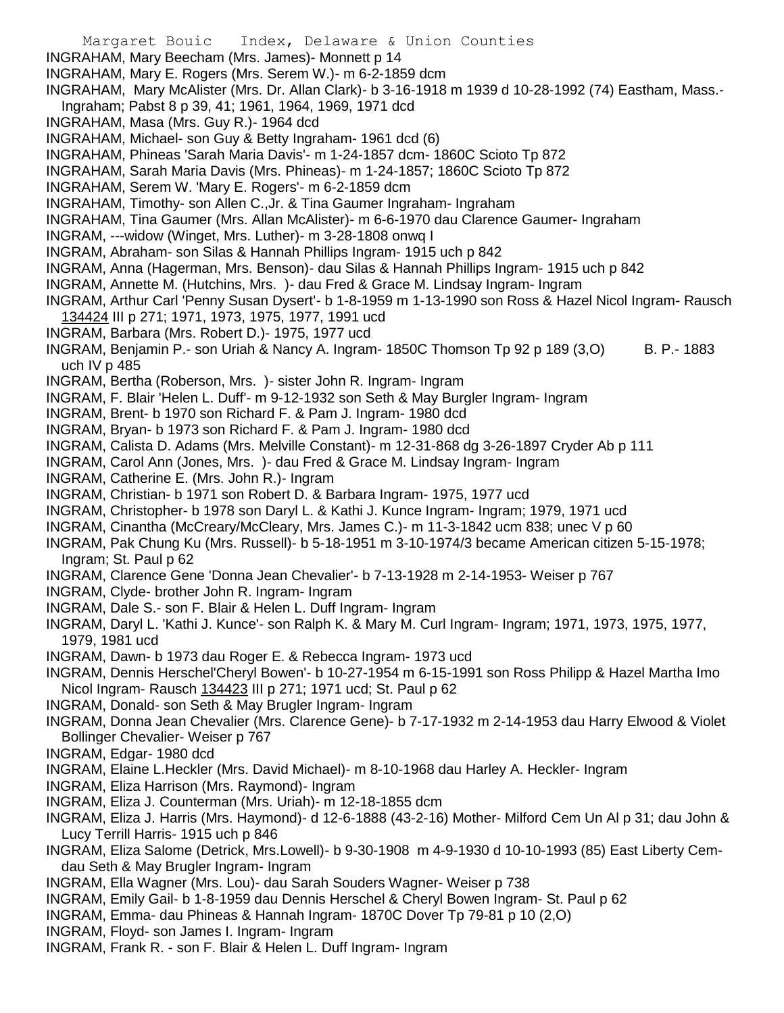- Margaret Bouic Index, Delaware & Union Counties INGRAHAM, Mary Beecham (Mrs. James)- Monnett p 14 INGRAHAM, Mary E. Rogers (Mrs. Serem W.)- m 6-2-1859 dcm INGRAHAM, Mary McAlister (Mrs. Dr. Allan Clark)- b 3-16-1918 m 1939 d 10-28-1992 (74) Eastham, Mass.- Ingraham; Pabst 8 p 39, 41; 1961, 1964, 1969, 1971 dcd INGRAHAM, Masa (Mrs. Guy R.)- 1964 dcd INGRAHAM, Michael- son Guy & Betty Ingraham- 1961 dcd (6) INGRAHAM, Phineas 'Sarah Maria Davis'- m 1-24-1857 dcm- 1860C Scioto Tp 872 INGRAHAM, Sarah Maria Davis (Mrs. Phineas)- m 1-24-1857; 1860C Scioto Tp 872 INGRAHAM, Serem W. 'Mary E. Rogers'- m 6-2-1859 dcm INGRAHAM, Timothy- son Allen C.,Jr. & Tina Gaumer Ingraham- Ingraham INGRAHAM, Tina Gaumer (Mrs. Allan McAlister)- m 6-6-1970 dau Clarence Gaumer- Ingraham INGRAM, ---widow (Winget, Mrs. Luther)- m 3-28-1808 onwq I INGRAM, Abraham- son Silas & Hannah Phillips Ingram- 1915 uch p 842 INGRAM, Anna (Hagerman, Mrs. Benson)- dau Silas & Hannah Phillips Ingram- 1915 uch p 842 INGRAM, Annette M. (Hutchins, Mrs. )- dau Fred & Grace M. Lindsay Ingram- Ingram INGRAM, Arthur Carl 'Penny Susan Dysert'- b 1-8-1959 m 1-13-1990 son Ross & Hazel Nicol Ingram- Rausch 134424 III p 271; 1971, 1973, 1975, 1977, 1991 ucd INGRAM, Barbara (Mrs. Robert D.)- 1975, 1977 ucd INGRAM, Benjamin P.- son Uriah & Nancy A. Ingram- 1850C Thomson Tp 92 p 189 (3,O) B. P.- 1883 uch IV p 485 INGRAM, Bertha (Roberson, Mrs. )- sister John R. Ingram- Ingram INGRAM, F. Blair 'Helen L. Duff'- m 9-12-1932 son Seth & May Burgler Ingram- Ingram INGRAM, Brent- b 1970 son Richard F. & Pam J. Ingram- 1980 dcd INGRAM, Bryan- b 1973 son Richard F. & Pam J. Ingram- 1980 dcd INGRAM, Calista D. Adams (Mrs. Melville Constant)- m 12-31-868 dg 3-26-1897 Cryder Ab p 111 INGRAM, Carol Ann (Jones, Mrs. )- dau Fred & Grace M. Lindsay Ingram- Ingram INGRAM, Catherine E. (Mrs. John R.)- Ingram INGRAM, Christian- b 1971 son Robert D. & Barbara Ingram- 1975, 1977 ucd INGRAM, Christopher- b 1978 son Daryl L. & Kathi J. Kunce Ingram- Ingram; 1979, 1971 ucd INGRAM, Cinantha (McCreary/McCleary, Mrs. James C.)- m 11-3-1842 ucm 838; unec V p 60 INGRAM, Pak Chung Ku (Mrs. Russell)- b 5-18-1951 m 3-10-1974/3 became American citizen 5-15-1978; Ingram; St. Paul p 62 INGRAM, Clarence Gene 'Donna Jean Chevalier'- b 7-13-1928 m 2-14-1953- Weiser p 767 INGRAM, Clyde- brother John R. Ingram- Ingram INGRAM, Dale S.- son F. Blair & Helen L. Duff Ingram- Ingram INGRAM, Daryl L. 'Kathi J. Kunce'- son Ralph K. & Mary M. Curl Ingram- Ingram; 1971, 1973, 1975, 1977, 1979, 1981 ucd INGRAM, Dawn- b 1973 dau Roger E. & Rebecca Ingram- 1973 ucd INGRAM, Dennis Herschel'Cheryl Bowen'- b 10-27-1954 m 6-15-1991 son Ross Philipp & Hazel Martha Imo Nicol Ingram- Rausch 134423 III p 271; 1971 ucd; St. Paul p 62 INGRAM, Donald- son Seth & May Brugler Ingram- Ingram INGRAM, Donna Jean Chevalier (Mrs. Clarence Gene)- b 7-17-1932 m 2-14-1953 dau Harry Elwood & Violet Bollinger Chevalier- Weiser p 767 INGRAM, Edgar- 1980 dcd INGRAM, Elaine L.Heckler (Mrs. David Michael)- m 8-10-1968 dau Harley A. Heckler- Ingram INGRAM, Eliza Harrison (Mrs. Raymond)- Ingram INGRAM, Eliza J. Counterman (Mrs. Uriah)- m 12-18-1855 dcm INGRAM, Eliza J. Harris (Mrs. Haymond)- d 12-6-1888 (43-2-16) Mother- Milford Cem Un Al p 31; dau John & Lucy Terrill Harris- 1915 uch p 846 INGRAM, Eliza Salome (Detrick, Mrs.Lowell)- b 9-30-1908 m 4-9-1930 d 10-10-1993 (85) East Liberty Cemdau Seth & May Brugler Ingram- Ingram INGRAM, Ella Wagner (Mrs. Lou)- dau Sarah Souders Wagner- Weiser p 738 INGRAM, Emily Gail- b 1-8-1959 dau Dennis Herschel & Cheryl Bowen Ingram- St. Paul p 62
- INGRAM, Emma- dau Phineas & Hannah Ingram- 1870C Dover Tp 79-81 p 10 (2,O)
- INGRAM, Floyd- son James I. Ingram- Ingram
- INGRAM, Frank R. son F. Blair & Helen L. Duff Ingram- Ingram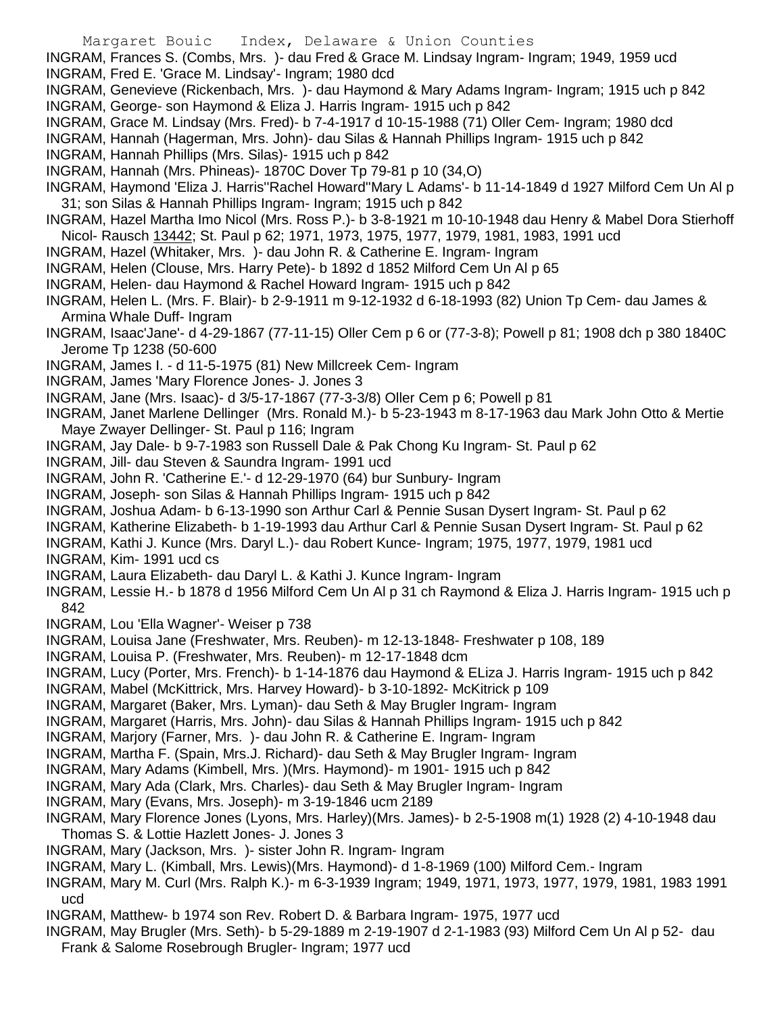- Margaret Bouic Index, Delaware & Union Counties
- INGRAM, Frances S. (Combs, Mrs. )- dau Fred & Grace M. Lindsay Ingram- Ingram; 1949, 1959 ucd INGRAM, Fred E. 'Grace M. Lindsay'- Ingram; 1980 dcd
- INGRAM, Genevieve (Rickenbach, Mrs. )- dau Haymond & Mary Adams Ingram- Ingram; 1915 uch p 842 INGRAM, George- son Haymond & Eliza J. Harris Ingram- 1915 uch p 842
- INGRAM, Grace M. Lindsay (Mrs. Fred)- b 7-4-1917 d 10-15-1988 (71) Oller Cem- Ingram; 1980 dcd
- INGRAM, Hannah (Hagerman, Mrs. John)- dau Silas & Hannah Phillips Ingram- 1915 uch p 842
- INGRAM, Hannah Phillips (Mrs. Silas)- 1915 uch p 842
- INGRAM, Hannah (Mrs. Phineas)- 1870C Dover Tp 79-81 p 10 (34,O)
- INGRAM, Haymond 'Eliza J. Harris''Rachel Howard''Mary L Adams'- b 11-14-1849 d 1927 Milford Cem Un Al p 31; son Silas & Hannah Phillips Ingram- Ingram; 1915 uch p 842
- INGRAM, Hazel Martha Imo Nicol (Mrs. Ross P.)- b 3-8-1921 m 10-10-1948 dau Henry & Mabel Dora Stierhoff Nicol- Rausch 13442; St. Paul p 62; 1971, 1973, 1975, 1977, 1979, 1981, 1983, 1991 ucd
- INGRAM, Hazel (Whitaker, Mrs. )- dau John R. & Catherine E. Ingram- Ingram
- INGRAM, Helen (Clouse, Mrs. Harry Pete)- b 1892 d 1852 Milford Cem Un Al p 65
- INGRAM, Helen- dau Haymond & Rachel Howard Ingram- 1915 uch p 842
- INGRAM, Helen L. (Mrs. F. Blair)- b 2-9-1911 m 9-12-1932 d 6-18-1993 (82) Union Tp Cem- dau James & Armina Whale Duff- Ingram
- INGRAM, Isaac'Jane'- d 4-29-1867 (77-11-15) Oller Cem p 6 or (77-3-8); Powell p 81; 1908 dch p 380 1840C Jerome Tp 1238 (50-600
- INGRAM, James I. d 11-5-1975 (81) New Millcreek Cem- Ingram
- INGRAM, James 'Mary Florence Jones- J. Jones 3
- INGRAM, Jane (Mrs. Isaac)- d 3/5-17-1867 (77-3-3/8) Oller Cem p 6; Powell p 81
- INGRAM, Janet Marlene Dellinger (Mrs. Ronald M.)- b 5-23-1943 m 8-17-1963 dau Mark John Otto & Mertie Maye Zwayer Dellinger- St. Paul p 116; Ingram
- INGRAM, Jay Dale- b 9-7-1983 son Russell Dale & Pak Chong Ku Ingram- St. Paul p 62
- INGRAM, Jill- dau Steven & Saundra Ingram- 1991 ucd
- INGRAM, John R. 'Catherine E.'- d 12-29-1970 (64) bur Sunbury- Ingram
- INGRAM, Joseph- son Silas & Hannah Phillips Ingram- 1915 uch p 842
- INGRAM, Joshua Adam- b 6-13-1990 son Arthur Carl & Pennie Susan Dysert Ingram- St. Paul p 62
- INGRAM, Katherine Elizabeth- b 1-19-1993 dau Arthur Carl & Pennie Susan Dysert Ingram- St. Paul p 62
- INGRAM, Kathi J. Kunce (Mrs. Daryl L.)- dau Robert Kunce- Ingram; 1975, 1977, 1979, 1981 ucd INGRAM, Kim- 1991 ucd cs
- INGRAM, Laura Elizabeth- dau Daryl L. & Kathi J. Kunce Ingram- Ingram
- INGRAM, Lessie H.- b 1878 d 1956 Milford Cem Un Al p 31 ch Raymond & Eliza J. Harris Ingram- 1915 uch p 842
- INGRAM, Lou 'Ella Wagner'- Weiser p 738
- INGRAM, Louisa Jane (Freshwater, Mrs. Reuben)- m 12-13-1848- Freshwater p 108, 189
- INGRAM, Louisa P. (Freshwater, Mrs. Reuben)- m 12-17-1848 dcm
- INGRAM, Lucy (Porter, Mrs. French)- b 1-14-1876 dau Haymond & ELiza J. Harris Ingram- 1915 uch p 842
- INGRAM, Mabel (McKittrick, Mrs. Harvey Howard)- b 3-10-1892- McKitrick p 109
- INGRAM, Margaret (Baker, Mrs. Lyman)- dau Seth & May Brugler Ingram- Ingram
- INGRAM, Margaret (Harris, Mrs. John)- dau Silas & Hannah Phillips Ingram- 1915 uch p 842
- INGRAM, Marjory (Farner, Mrs. )- dau John R. & Catherine E. Ingram- Ingram
- INGRAM, Martha F. (Spain, Mrs.J. Richard)- dau Seth & May Brugler Ingram- Ingram
- INGRAM, Mary Adams (Kimbell, Mrs. )(Mrs. Haymond)- m 1901- 1915 uch p 842
- INGRAM, Mary Ada (Clark, Mrs. Charles)- dau Seth & May Brugler Ingram- Ingram
- INGRAM, Mary (Evans, Mrs. Joseph)- m 3-19-1846 ucm 2189
- INGRAM, Mary Florence Jones (Lyons, Mrs. Harley)(Mrs. James)- b 2-5-1908 m(1) 1928 (2) 4-10-1948 dau Thomas S. & Lottie Hazlett Jones- J. Jones 3
- INGRAM, Mary (Jackson, Mrs. )- sister John R. Ingram- Ingram
- INGRAM, Mary L. (Kimball, Mrs. Lewis)(Mrs. Haymond)- d 1-8-1969 (100) Milford Cem.- Ingram
- INGRAM, Mary M. Curl (Mrs. Ralph K.)- m 6-3-1939 Ingram; 1949, 1971, 1973, 1977, 1979, 1981, 1983 1991 ucd
- INGRAM, Matthew- b 1974 son Rev. Robert D. & Barbara Ingram- 1975, 1977 ucd
- INGRAM, May Brugler (Mrs. Seth)- b 5-29-1889 m 2-19-1907 d 2-1-1983 (93) Milford Cem Un Al p 52- dau
	- Frank & Salome Rosebrough Brugler- Ingram; 1977 ucd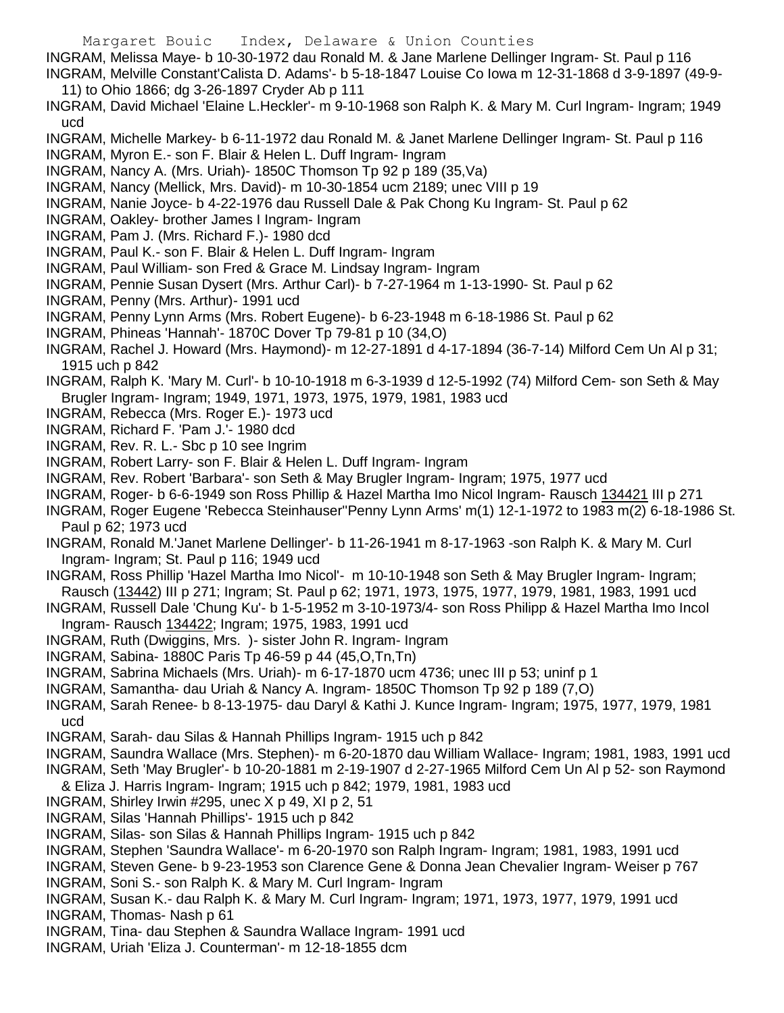- Margaret Bouic Index, Delaware & Union Counties
- INGRAM, Melissa Maye- b 10-30-1972 dau Ronald M. & Jane Marlene Dellinger Ingram- St. Paul p 116 INGRAM, Melville Constant'Calista D. Adams'- b 5-18-1847 Louise Co Iowa m 12-31-1868 d 3-9-1897 (49-9- 11) to Ohio 1866; dg 3-26-1897 Cryder Ab p 111
- INGRAM, David Michael 'Elaine L.Heckler'- m 9-10-1968 son Ralph K. & Mary M. Curl Ingram- Ingram; 1949 ucd
- INGRAM, Michelle Markey- b 6-11-1972 dau Ronald M. & Janet Marlene Dellinger Ingram- St. Paul p 116
- INGRAM, Myron E.- son F. Blair & Helen L. Duff Ingram- Ingram
- INGRAM, Nancy A. (Mrs. Uriah)- 1850C Thomson Tp 92 p 189 (35,Va)
- INGRAM, Nancy (Mellick, Mrs. David)- m 10-30-1854 ucm 2189; unec VIII p 19
- INGRAM, Nanie Joyce- b 4-22-1976 dau Russell Dale & Pak Chong Ku Ingram- St. Paul p 62
- INGRAM, Oakley- brother James I Ingram- Ingram
- INGRAM, Pam J. (Mrs. Richard F.)- 1980 dcd
- INGRAM, Paul K.- son F. Blair & Helen L. Duff Ingram- Ingram
- INGRAM, Paul William- son Fred & Grace M. Lindsay Ingram- Ingram
- INGRAM, Pennie Susan Dysert (Mrs. Arthur Carl)- b 7-27-1964 m 1-13-1990- St. Paul p 62
- INGRAM, Penny (Mrs. Arthur)- 1991 ucd
- INGRAM, Penny Lynn Arms (Mrs. Robert Eugene)- b 6-23-1948 m 6-18-1986 St. Paul p 62
- INGRAM, Phineas 'Hannah'- 1870C Dover Tp 79-81 p 10 (34,O)
- INGRAM, Rachel J. Howard (Mrs. Haymond)- m 12-27-1891 d 4-17-1894 (36-7-14) Milford Cem Un Al p 31; 1915 uch p 842
- INGRAM, Ralph K. 'Mary M. Curl'- b 10-10-1918 m 6-3-1939 d 12-5-1992 (74) Milford Cem- son Seth & May Brugler Ingram- Ingram; 1949, 1971, 1973, 1975, 1979, 1981, 1983 ucd
- INGRAM, Rebecca (Mrs. Roger E.)- 1973 ucd
- INGRAM, Richard F. 'Pam J.'- 1980 dcd
- INGRAM, Rev. R. L.- Sbc p 10 see Ingrim
- INGRAM, Robert Larry- son F. Blair & Helen L. Duff Ingram- Ingram
- INGRAM, Rev. Robert 'Barbara'- son Seth & May Brugler Ingram- Ingram; 1975, 1977 ucd
- INGRAM, Roger- b 6-6-1949 son Ross Phillip & Hazel Martha Imo Nicol Ingram- Rausch 134421 III p 271
- INGRAM, Roger Eugene 'Rebecca Steinhauser''Penny Lynn Arms' m(1) 12-1-1972 to 1983 m(2) 6-18-1986 St. Paul p 62; 1973 ucd
- INGRAM, Ronald M.'Janet Marlene Dellinger'- b 11-26-1941 m 8-17-1963 -son Ralph K. & Mary M. Curl Ingram- Ingram; St. Paul p 116; 1949 ucd
- INGRAM, Ross Phillip 'Hazel Martha Imo Nicol'- m 10-10-1948 son Seth & May Brugler Ingram- Ingram; Rausch (13442) III p 271; Ingram; St. Paul p 62; 1971, 1973, 1975, 1977, 1979, 1981, 1983, 1991 ucd
- INGRAM, Russell Dale 'Chung Ku'- b 1-5-1952 m 3-10-1973/4- son Ross Philipp & Hazel Martha Imo Incol Ingram- Rausch 134422; Ingram; 1975, 1983, 1991 ucd
- INGRAM, Ruth (Dwiggins, Mrs. )- sister John R. Ingram- Ingram
- INGRAM, Sabina- 1880C Paris Tp 46-59 p 44 (45,O,Tn,Tn)
- INGRAM, Sabrina Michaels (Mrs. Uriah)- m 6-17-1870 ucm 4736; unec III p 53; uninf p 1
- INGRAM, Samantha- dau Uriah & Nancy A. Ingram- 1850C Thomson Tp 92 p 189 (7,O)
- INGRAM, Sarah Renee- b 8-13-1975- dau Daryl & Kathi J. Kunce Ingram- Ingram; 1975, 1977, 1979, 1981 ucd
- INGRAM, Sarah- dau Silas & Hannah Phillips Ingram- 1915 uch p 842
- INGRAM, Saundra Wallace (Mrs. Stephen)- m 6-20-1870 dau William Wallace- Ingram; 1981, 1983, 1991 ucd INGRAM, Seth 'May Brugler'- b 10-20-1881 m 2-19-1907 d 2-27-1965 Milford Cem Un Al p 52- son Raymond
- & Eliza J. Harris Ingram- Ingram; 1915 uch p 842; 1979, 1981, 1983 ucd
- INGRAM, Shirley Irwin #295, unec X p 49, XI p 2, 51
- INGRAM, Silas 'Hannah Phillips'- 1915 uch p 842
- INGRAM, Silas- son Silas & Hannah Phillips Ingram- 1915 uch p 842
- INGRAM, Stephen 'Saundra Wallace'- m 6-20-1970 son Ralph Ingram- Ingram; 1981, 1983, 1991 ucd
- INGRAM, Steven Gene- b 9-23-1953 son Clarence Gene & Donna Jean Chevalier Ingram- Weiser p 767
- INGRAM, Soni S.- son Ralph K. & Mary M. Curl Ingram- Ingram
- INGRAM, Susan K.- dau Ralph K. & Mary M. Curl Ingram- Ingram; 1971, 1973, 1977, 1979, 1991 ucd INGRAM, Thomas- Nash p 61
- INGRAM, Tina- dau Stephen & Saundra Wallace Ingram- 1991 ucd
- INGRAM, Uriah 'Eliza J. Counterman'- m 12-18-1855 dcm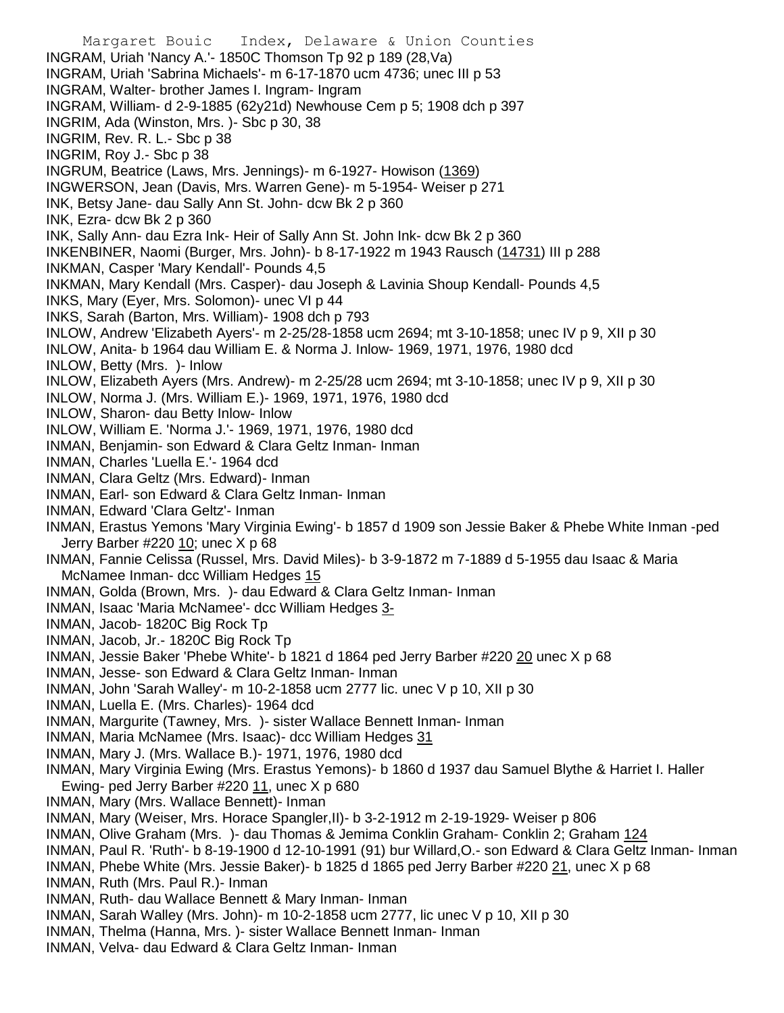Margaret Bouic Index, Delaware & Union Counties INGRAM, Uriah 'Nancy A.'- 1850C Thomson Tp 92 p 189 (28,Va) INGRAM, Uriah 'Sabrina Michaels'- m 6-17-1870 ucm 4736; unec III p 53 INGRAM, Walter- brother James I. Ingram- Ingram INGRAM, William- d 2-9-1885 (62y21d) Newhouse Cem p 5; 1908 dch p 397 INGRIM, Ada (Winston, Mrs. )- Sbc p 30, 38 INGRIM, Rev. R. L.- Sbc p 38 INGRIM, Roy J.- Sbc p 38 INGRUM, Beatrice (Laws, Mrs. Jennings)- m 6-1927- Howison (1369) INGWERSON, Jean (Davis, Mrs. Warren Gene)- m 5-1954- Weiser p 271 INK, Betsy Jane- dau Sally Ann St. John- dcw Bk 2 p 360 INK, Ezra- dcw Bk 2 p 360 INK, Sally Ann- dau Ezra Ink- Heir of Sally Ann St. John Ink- dcw Bk 2 p 360 INKENBINER, Naomi (Burger, Mrs. John)- b 8-17-1922 m 1943 Rausch (14731) III p 288 INKMAN, Casper 'Mary Kendall'- Pounds 4,5 INKMAN, Mary Kendall (Mrs. Casper)- dau Joseph & Lavinia Shoup Kendall- Pounds 4,5 INKS, Mary (Eyer, Mrs. Solomon)- unec VI p 44 INKS, Sarah (Barton, Mrs. William)- 1908 dch p 793 INLOW, Andrew 'Elizabeth Ayers'- m 2-25/28-1858 ucm 2694; mt 3-10-1858; unec IV p 9, XII p 30 INLOW, Anita- b 1964 dau William E. & Norma J. Inlow- 1969, 1971, 1976, 1980 dcd INLOW, Betty (Mrs. )- Inlow INLOW, Elizabeth Ayers (Mrs. Andrew)- m 2-25/28 ucm 2694; mt 3-10-1858; unec IV p 9, XII p 30 INLOW, Norma J. (Mrs. William E.)- 1969, 1971, 1976, 1980 dcd INLOW, Sharon- dau Betty Inlow- Inlow INLOW, William E. 'Norma J.'- 1969, 1971, 1976, 1980 dcd INMAN, Benjamin- son Edward & Clara Geltz Inman- Inman INMAN, Charles 'Luella E.'- 1964 dcd INMAN, Clara Geltz (Mrs. Edward)- Inman INMAN, Earl- son Edward & Clara Geltz Inman- Inman INMAN, Edward 'Clara Geltz'- Inman INMAN, Erastus Yemons 'Mary Virginia Ewing'- b 1857 d 1909 son Jessie Baker & Phebe White Inman -ped Jerry Barber #220 10; unec X p 68 INMAN, Fannie Celissa (Russel, Mrs. David Miles)- b 3-9-1872 m 7-1889 d 5-1955 dau Isaac & Maria McNamee Inman- dcc William Hedges 15 INMAN, Golda (Brown, Mrs. )- dau Edward & Clara Geltz Inman- Inman INMAN, Isaac 'Maria McNamee'- dcc William Hedges 3- INMAN, Jacob- 1820C Big Rock Tp INMAN, Jacob, Jr.- 1820C Big Rock Tp INMAN, Jessie Baker 'Phebe White'- b 1821 d 1864 ped Jerry Barber #220 20 unec X p 68 INMAN, Jesse- son Edward & Clara Geltz Inman- Inman INMAN, John 'Sarah Walley'- m 10-2-1858 ucm 2777 lic. unec V p 10, XII p 30 INMAN, Luella E. (Mrs. Charles)- 1964 dcd INMAN, Margurite (Tawney, Mrs. )- sister Wallace Bennett Inman- Inman INMAN, Maria McNamee (Mrs. Isaac)- dcc William Hedges 31 INMAN, Mary J. (Mrs. Wallace B.)- 1971, 1976, 1980 dcd INMAN, Mary Virginia Ewing (Mrs. Erastus Yemons)- b 1860 d 1937 dau Samuel Blythe & Harriet I. Haller Ewing- ped Jerry Barber #220 11, unec X p 680 INMAN, Mary (Mrs. Wallace Bennett)- Inman INMAN, Mary (Weiser, Mrs. Horace Spangler,II)- b 3-2-1912 m 2-19-1929- Weiser p 806 INMAN, Olive Graham (Mrs.)- dau Thomas & Jemima Conklin Graham- Conklin 2; Graham 124 INMAN, Paul R. 'Ruth'- b 8-19-1900 d 12-10-1991 (91) bur Willard,O.- son Edward & Clara Geltz Inman- Inman INMAN, Phebe White (Mrs. Jessie Baker)- b 1825 d 1865 ped Jerry Barber #220 21, unec X p 68 INMAN, Ruth (Mrs. Paul R.)- Inman INMAN, Ruth- dau Wallace Bennett & Mary Inman- Inman INMAN, Sarah Walley (Mrs. John)- m 10-2-1858 ucm 2777, lic unec V p 10, XII p 30 INMAN, Thelma (Hanna, Mrs. )- sister Wallace Bennett Inman- Inman

INMAN, Velva- dau Edward & Clara Geltz Inman- Inman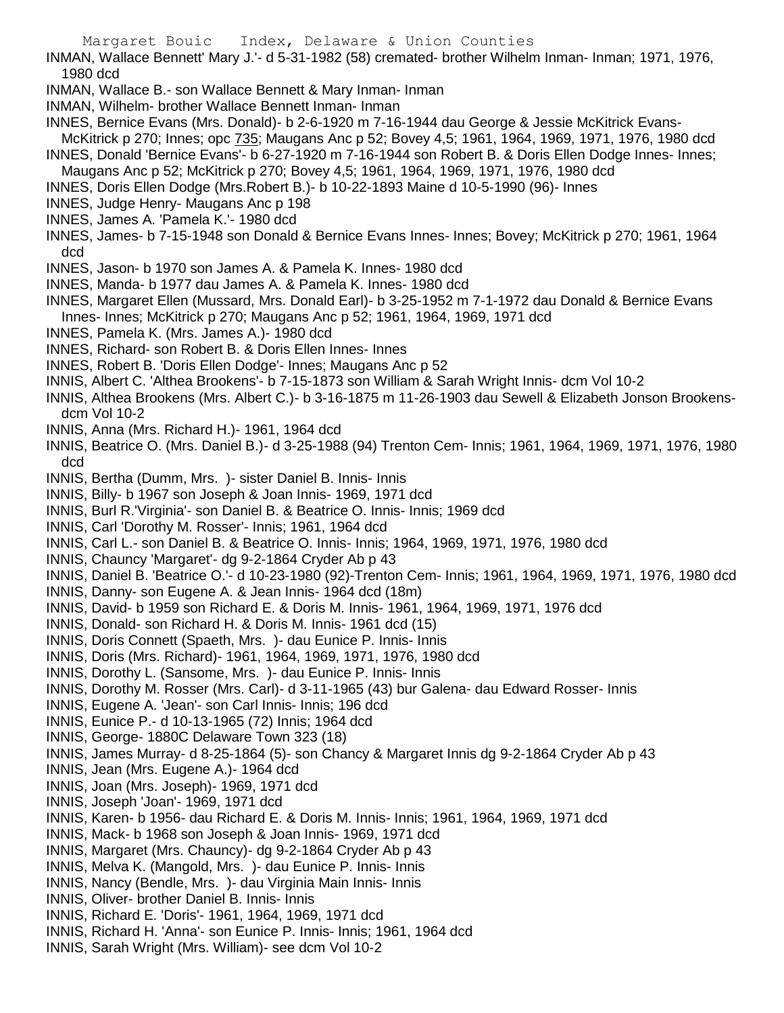- INMAN, Wallace Bennett' Mary J.'- d 5-31-1982 (58) cremated- brother Wilhelm Inman- Inman; 1971, 1976, 1980 dcd
- INMAN, Wallace B.- son Wallace Bennett & Mary Inman- Inman
- INMAN, Wilhelm- brother Wallace Bennett Inman- Inman
- INNES, Bernice Evans (Mrs. Donald)- b 2-6-1920 m 7-16-1944 dau George & Jessie McKitrick Evans-
- McKitrick p 270; Innes; opc 735; Maugans Anc p 52; Bovey 4,5; 1961, 1964, 1969, 1971, 1976, 1980 dcd INNES, Donald 'Bernice Evans'- b 6-27-1920 m 7-16-1944 son Robert B. & Doris Ellen Dodge Innes- Innes;
- Maugans Anc p 52; McKitrick p 270; Bovey 4,5; 1961, 1964, 1969, 1971, 1976, 1980 dcd
- INNES, Doris Ellen Dodge (Mrs.Robert B.)- b 10-22-1893 Maine d 10-5-1990 (96)- Innes
- INNES, Judge Henry- Maugans Anc p 198
- INNES, James A. 'Pamela K.'- 1980 dcd
- INNES, James- b 7-15-1948 son Donald & Bernice Evans Innes- Innes; Bovey; McKitrick p 270; 1961, 1964 dcd
- INNES, Jason- b 1970 son James A. & Pamela K. Innes- 1980 dcd
- INNES, Manda- b 1977 dau James A. & Pamela K. Innes- 1980 dcd
- INNES, Margaret Ellen (Mussard, Mrs. Donald Earl)- b 3-25-1952 m 7-1-1972 dau Donald & Bernice Evans Innes- Innes; McKitrick p 270; Maugans Anc p 52; 1961, 1964, 1969, 1971 dcd
- INNES, Pamela K. (Mrs. James A.)- 1980 dcd
- INNES, Richard- son Robert B. & Doris Ellen Innes- Innes
- INNES, Robert B. 'Doris Ellen Dodge'- Innes; Maugans Anc p 52
- INNIS, Albert C. 'Althea Brookens'- b 7-15-1873 son William & Sarah Wright Innis- dcm Vol 10-2
- INNIS, Althea Brookens (Mrs. Albert C.)- b 3-16-1875 m 11-26-1903 dau Sewell & Elizabeth Jonson Brookensdcm Vol 10-2
- INNIS, Anna (Mrs. Richard H.)- 1961, 1964 dcd
- INNIS, Beatrice O. (Mrs. Daniel B.)- d 3-25-1988 (94) Trenton Cem- Innis; 1961, 1964, 1969, 1971, 1976, 1980 dcd
- INNIS, Bertha (Dumm, Mrs. )- sister Daniel B. Innis- Innis
- INNIS, Billy- b 1967 son Joseph & Joan Innis- 1969, 1971 dcd
- INNIS, Burl R.'Virginia'- son Daniel B. & Beatrice O. Innis- Innis; 1969 dcd
- INNIS, Carl 'Dorothy M. Rosser'- Innis; 1961, 1964 dcd
- INNIS, Carl L.- son Daniel B. & Beatrice O. Innis- Innis; 1964, 1969, 1971, 1976, 1980 dcd
- INNIS, Chauncy 'Margaret'- dg 9-2-1864 Cryder Ab p 43
- INNIS, Daniel B. 'Beatrice O.'- d 10-23-1980 (92)-Trenton Cem- Innis; 1961, 1964, 1969, 1971, 1976, 1980 dcd
- INNIS, Danny- son Eugene A. & Jean Innis- 1964 dcd (18m)
- INNIS, David- b 1959 son Richard E. & Doris M. Innis- 1961, 1964, 1969, 1971, 1976 dcd
- INNIS, Donald- son Richard H. & Doris M. Innis- 1961 dcd (15)
- INNIS, Doris Connett (Spaeth, Mrs. )- dau Eunice P. Innis- Innis
- INNIS, Doris (Mrs. Richard)- 1961, 1964, 1969, 1971, 1976, 1980 dcd
- INNIS, Dorothy L. (Sansome, Mrs. )- dau Eunice P. Innis- Innis
- INNIS, Dorothy M. Rosser (Mrs. Carl)- d 3-11-1965 (43) bur Galena- dau Edward Rosser- Innis
- INNIS, Eugene A. 'Jean'- son Carl Innis- Innis; 196 dcd
- INNIS, Eunice P.- d 10-13-1965 (72) Innis; 1964 dcd
- INNIS, George- 1880C Delaware Town 323 (18)
- INNIS, James Murray- d 8-25-1864 (5)- son Chancy & Margaret Innis dg 9-2-1864 Cryder Ab p 43
- INNIS, Jean (Mrs. Eugene A.)- 1964 dcd
- INNIS, Joan (Mrs. Joseph)- 1969, 1971 dcd
- INNIS, Joseph 'Joan'- 1969, 1971 dcd
- INNIS, Karen- b 1956- dau Richard E. & Doris M. Innis- Innis; 1961, 1964, 1969, 1971 dcd
- INNIS, Mack- b 1968 son Joseph & Joan Innis- 1969, 1971 dcd
- INNIS, Margaret (Mrs. Chauncy)- dg 9-2-1864 Cryder Ab p 43
- INNIS, Melva K. (Mangold, Mrs. )- dau Eunice P. Innis- Innis
- INNIS, Nancy (Bendle, Mrs. )- dau Virginia Main Innis- Innis
- INNIS, Oliver- brother Daniel B. Innis- Innis
- INNIS, Richard E. 'Doris'- 1961, 1964, 1969, 1971 dcd
- INNIS, Richard H. 'Anna'- son Eunice P. Innis- Innis; 1961, 1964 dcd
- INNIS, Sarah Wright (Mrs. William)- see dcm Vol 10-2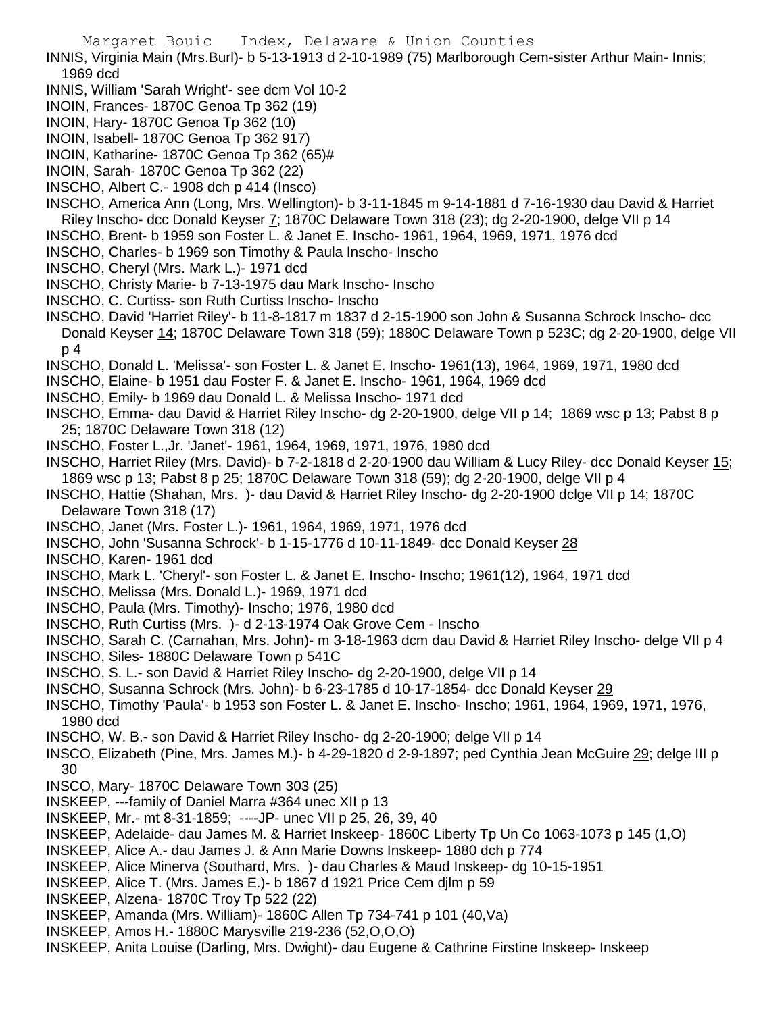INNIS, Virginia Main (Mrs.Burl)- b 5-13-1913 d 2-10-1989 (75) Marlborough Cem-sister Arthur Main- Innis; 1969 dcd

- INNIS, William 'Sarah Wright'- see dcm Vol 10-2
- INOIN, Frances- 1870C Genoa Tp 362 (19)
- INOIN, Hary- 1870C Genoa Tp 362 (10)
- INOIN, Isabell- 1870C Genoa Tp 362 917)
- INOIN, Katharine- 1870C Genoa Tp 362 (65)#
- INOIN, Sarah- 1870C Genoa Tp 362 (22)
- INSCHO, Albert C.- 1908 dch p 414 (Insco)

INSCHO, America Ann (Long, Mrs. Wellington)- b 3-11-1845 m 9-14-1881 d 7-16-1930 dau David & Harriet Riley Inscho- dcc Donald Keyser 7; 1870C Delaware Town 318 (23); dg 2-20-1900, delge VII p 14

- INSCHO, Brent- b 1959 son Foster L. & Janet E. Inscho- 1961, 1964, 1969, 1971, 1976 dcd
- INSCHO, Charles- b 1969 son Timothy & Paula Inscho- Inscho
- INSCHO, Cheryl (Mrs. Mark L.)- 1971 dcd
- INSCHO, Christy Marie- b 7-13-1975 dau Mark Inscho- Inscho
- INSCHO, C. Curtiss- son Ruth Curtiss Inscho- Inscho
- INSCHO, David 'Harriet Riley'- b 11-8-1817 m 1837 d 2-15-1900 son John & Susanna Schrock Inscho- dcc Donald Keyser 14; 1870C Delaware Town 318 (59); 1880C Delaware Town p 523C; dg 2-20-1900, delge VII p 4
- INSCHO, Donald L. 'Melissa'- son Foster L. & Janet E. Inscho- 1961(13), 1964, 1969, 1971, 1980 dcd
- INSCHO, Elaine- b 1951 dau Foster F. & Janet E. Inscho- 1961, 1964, 1969 dcd
- INSCHO, Emily- b 1969 dau Donald L. & Melissa Inscho- 1971 dcd

INSCHO, Emma- dau David & Harriet Riley Inscho- dg 2-20-1900, delge VII p 14; 1869 wsc p 13; Pabst 8 p 25; 1870C Delaware Town 318 (12)

- INSCHO, Foster L.,Jr. 'Janet'- 1961, 1964, 1969, 1971, 1976, 1980 dcd
- INSCHO, Harriet Riley (Mrs. David)- b 7-2-1818 d 2-20-1900 dau William & Lucy Riley- dcc Donald Keyser 15; 1869 wsc p 13; Pabst 8 p 25; 1870C Delaware Town 318 (59); dg 2-20-1900, delge VII p 4
- INSCHO, Hattie (Shahan, Mrs. )- dau David & Harriet Riley Inscho- dg 2-20-1900 dclge VII p 14; 1870C Delaware Town 318 (17)
- INSCHO, Janet (Mrs. Foster L.)- 1961, 1964, 1969, 1971, 1976 dcd
- INSCHO, John 'Susanna Schrock'- b 1-15-1776 d 10-11-1849- dcc Donald Keyser 28
- INSCHO, Karen- 1961 dcd
- INSCHO, Mark L. 'Cheryl'- son Foster L. & Janet E. Inscho- Inscho; 1961(12), 1964, 1971 dcd
- INSCHO, Melissa (Mrs. Donald L.)- 1969, 1971 dcd
- INSCHO, Paula (Mrs. Timothy)- Inscho; 1976, 1980 dcd
- INSCHO, Ruth Curtiss (Mrs. )- d 2-13-1974 Oak Grove Cem Inscho
- INSCHO, Sarah C. (Carnahan, Mrs. John)- m 3-18-1963 dcm dau David & Harriet Riley Inscho- delge VII p 4
- INSCHO, Siles- 1880C Delaware Town p 541C
- INSCHO, S. L.- son David & Harriet Riley Inscho- dg 2-20-1900, delge VII p 14
- INSCHO, Susanna Schrock (Mrs. John)- b 6-23-1785 d 10-17-1854- dcc Donald Keyser 29
- INSCHO, Timothy 'Paula'- b 1953 son Foster L. & Janet E. Inscho- Inscho; 1961, 1964, 1969, 1971, 1976, 1980 dcd
- INSCHO, W. B.- son David & Harriet Riley Inscho- dg 2-20-1900; delge VII p 14
- INSCO, Elizabeth (Pine, Mrs. James M.)- b 4-29-1820 d 2-9-1897; ped Cynthia Jean McGuire 29; delge III p 30
- INSCO, Mary- 1870C Delaware Town 303 (25)
- INSKEEP, ---family of Daniel Marra #364 unec XII p 13
- INSKEEP, Mr.- mt 8-31-1859; ----JP- unec VII p 25, 26, 39, 40
- INSKEEP, Adelaide- dau James M. & Harriet Inskeep- 1860C Liberty Tp Un Co 1063-1073 p 145 (1,O)
- INSKEEP, Alice A.- dau James J. & Ann Marie Downs Inskeep- 1880 dch p 774
- INSKEEP, Alice Minerva (Southard, Mrs. )- dau Charles & Maud Inskeep- dg 10-15-1951
- INSKEEP, Alice T. (Mrs. James E.)- b 1867 d 1921 Price Cem djlm p 59
- INSKEEP, Alzena- 1870C Troy Tp 522 (22)
- INSKEEP, Amanda (Mrs. William)- 1860C Allen Tp 734-741 p 101 (40,Va)
- INSKEEP, Amos H.- 1880C Marysville 219-236 (52,O,O,O)
- INSKEEP, Anita Louise (Darling, Mrs. Dwight)- dau Eugene & Cathrine Firstine Inskeep- Inskeep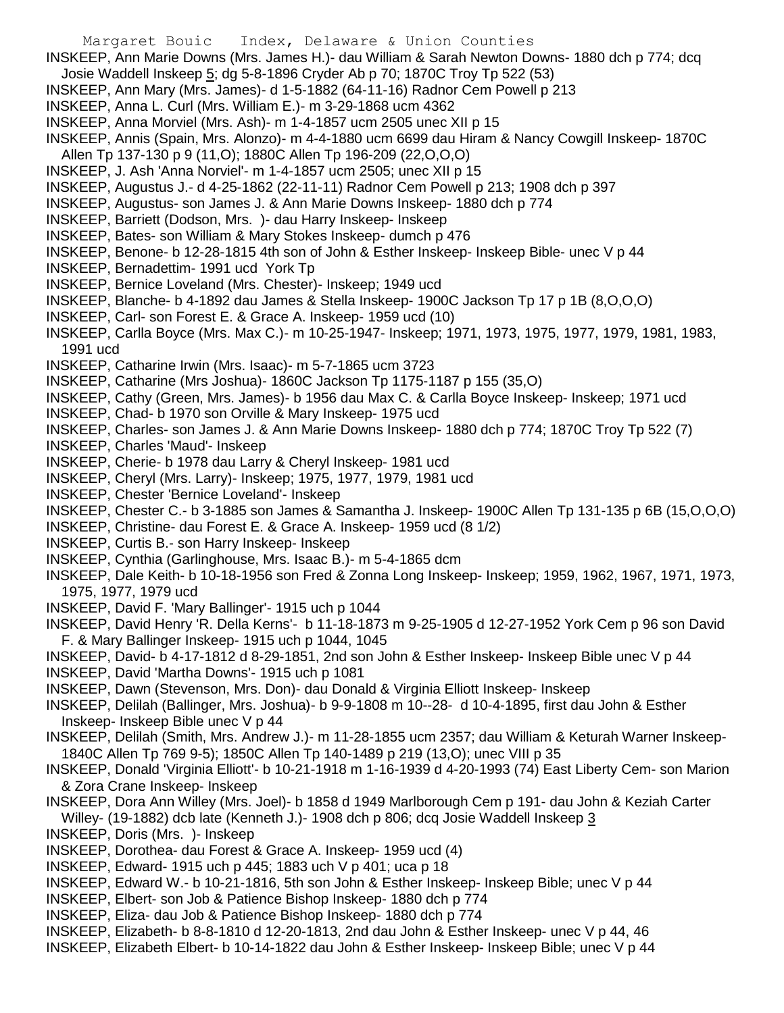- INSKEEP, Ann Marie Downs (Mrs. James H.)- dau William & Sarah Newton Downs- 1880 dch p 774; dcq Josie Waddell Inskeep 5; dg 5-8-1896 Cryder Ab p 70; 1870C Troy Tp 522 (53)
- INSKEEP, Ann Mary (Mrs. James)- d 1-5-1882 (64-11-16) Radnor Cem Powell p 213
- INSKEEP, Anna L. Curl (Mrs. William E.)- m 3-29-1868 ucm 4362
- INSKEEP, Anna Morviel (Mrs. Ash)- m 1-4-1857 ucm 2505 unec XII p 15
- INSKEEP, Annis (Spain, Mrs. Alonzo)- m 4-4-1880 ucm 6699 dau Hiram & Nancy Cowgill Inskeep- 1870C Allen Tp 137-130 p 9 (11,O); 1880C Allen Tp 196-209 (22,O,O,O)
- INSKEEP, J. Ash 'Anna Norviel'- m 1-4-1857 ucm 2505; unec XII p 15
- INSKEEP, Augustus J.- d 4-25-1862 (22-11-11) Radnor Cem Powell p 213; 1908 dch p 397
- INSKEEP, Augustus- son James J. & Ann Marie Downs Inskeep- 1880 dch p 774
- INSKEEP, Barriett (Dodson, Mrs. )- dau Harry Inskeep- Inskeep
- INSKEEP, Bates- son William & Mary Stokes Inskeep- dumch p 476
- INSKEEP, Benone- b 12-28-1815 4th son of John & Esther Inskeep- Inskeep Bible- unec V p 44
- INSKEEP, Bernadettim- 1991 ucd York Tp
- INSKEEP, Bernice Loveland (Mrs. Chester)- Inskeep; 1949 ucd
- INSKEEP, Blanche- b 4-1892 dau James & Stella Inskeep- 1900C Jackson Tp 17 p 1B (8,O,O,O)
- INSKEEP, Carl- son Forest E. & Grace A. Inskeep- 1959 ucd (10)
- INSKEEP, Carlla Boyce (Mrs. Max C.)- m 10-25-1947- Inskeep; 1971, 1973, 1975, 1977, 1979, 1981, 1983, 1991 ucd
- INSKEEP, Catharine Irwin (Mrs. Isaac)- m 5-7-1865 ucm 3723
- INSKEEP, Catharine (Mrs Joshua)- 1860C Jackson Tp 1175-1187 p 155 (35,O)
- INSKEEP, Cathy (Green, Mrs. James)- b 1956 dau Max C. & Carlla Boyce Inskeep- Inskeep; 1971 ucd
- INSKEEP, Chad- b 1970 son Orville & Mary Inskeep- 1975 ucd
- INSKEEP, Charles- son James J. & Ann Marie Downs Inskeep- 1880 dch p 774; 1870C Troy Tp 522 (7)
- INSKEEP, Charles 'Maud'- Inskeep
- INSKEEP, Cherie- b 1978 dau Larry & Cheryl Inskeep- 1981 ucd
- INSKEEP, Cheryl (Mrs. Larry)- Inskeep; 1975, 1977, 1979, 1981 ucd
- INSKEEP, Chester 'Bernice Loveland'- Inskeep
- INSKEEP, Chester C.- b 3-1885 son James & Samantha J. Inskeep- 1900C Allen Tp 131-135 p 6B (15,O,O,O)
- INSKEEP, Christine- dau Forest E. & Grace A. Inskeep- 1959 ucd (8 1/2)
- INSKEEP, Curtis B.- son Harry Inskeep- Inskeep
- INSKEEP, Cynthia (Garlinghouse, Mrs. Isaac B.)- m 5-4-1865 dcm
- INSKEEP, Dale Keith- b 10-18-1956 son Fred & Zonna Long Inskeep- Inskeep; 1959, 1962, 1967, 1971, 1973, 1975, 1977, 1979 ucd
- INSKEEP, David F. 'Mary Ballinger'- 1915 uch p 1044
- INSKEEP, David Henry 'R. Della Kerns'- b 11-18-1873 m 9-25-1905 d 12-27-1952 York Cem p 96 son David F. & Mary Ballinger Inskeep- 1915 uch p 1044, 1045
- INSKEEP, David- b 4-17-1812 d 8-29-1851, 2nd son John & Esther Inskeep- Inskeep Bible unec V p 44
- INSKEEP, David 'Martha Downs'- 1915 uch p 1081
- INSKEEP, Dawn (Stevenson, Mrs. Don)- dau Donald & Virginia Elliott Inskeep- Inskeep
- INSKEEP, Delilah (Ballinger, Mrs. Joshua)- b 9-9-1808 m 10--28- d 10-4-1895, first dau John & Esther Inskeep- Inskeep Bible unec V p 44
- INSKEEP, Delilah (Smith, Mrs. Andrew J.)- m 11-28-1855 ucm 2357; dau William & Keturah Warner Inskeep-1840C Allen Tp 769 9-5); 1850C Allen Tp 140-1489 p 219 (13,O); unec VIII p 35
- INSKEEP, Donald 'Virginia Elliott'- b 10-21-1918 m 1-16-1939 d 4-20-1993 (74) East Liberty Cem- son Marion & Zora Crane Inskeep- Inskeep
- INSKEEP, Dora Ann Willey (Mrs. Joel)- b 1858 d 1949 Marlborough Cem p 191- dau John & Keziah Carter Willey- (19-1882) dcb late (Kenneth J.)- 1908 dch p 806; dcq Josie Waddell Inskeep 3
- INSKEEP, Doris (Mrs. )- Inskeep
- INSKEEP, Dorothea- dau Forest & Grace A. Inskeep- 1959 ucd (4)
- INSKEEP, Edward- 1915 uch p 445; 1883 uch V p 401; uca p 18
- INSKEEP, Edward W.- b 10-21-1816, 5th son John & Esther Inskeep- Inskeep Bible; unec V p 44
- INSKEEP, Elbert- son Job & Patience Bishop Inskeep- 1880 dch p 774
- INSKEEP, Eliza- dau Job & Patience Bishop Inskeep- 1880 dch p 774
- INSKEEP, Elizabeth- b 8-8-1810 d 12-20-1813, 2nd dau John & Esther Inskeep- unec V p 44, 46
- INSKEEP, Elizabeth Elbert- b 10-14-1822 dau John & Esther Inskeep- Inskeep Bible; unec V p 44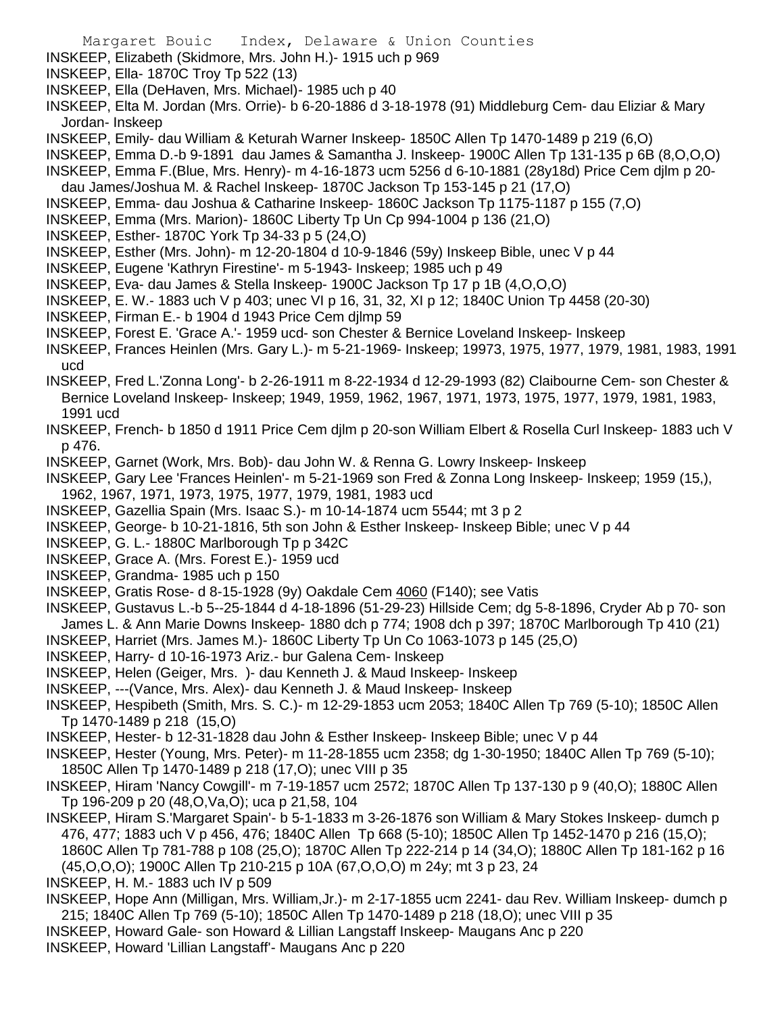- INSKEEP, Elizabeth (Skidmore, Mrs. John H.)- 1915 uch p 969
- INSKEEP, Ella- 1870C Troy Tp 522 (13)
- INSKEEP, Ella (DeHaven, Mrs. Michael)- 1985 uch p 40
- INSKEEP, Elta M. Jordan (Mrs. Orrie)- b 6-20-1886 d 3-18-1978 (91) Middleburg Cem- dau Eliziar & Mary Jordan- Inskeep
- INSKEEP, Emily- dau William & Keturah Warner Inskeep- 1850C Allen Tp 1470-1489 p 219 (6,O)
- INSKEEP, Emma D.-b 9-1891 dau James & Samantha J. Inskeep- 1900C Allen Tp 131-135 p 6B (8,O,O,O)
- INSKEEP, Emma F.(Blue, Mrs. Henry)- m 4-16-1873 ucm 5256 d 6-10-1881 (28y18d) Price Cem djlm p 20 dau James/Joshua M. & Rachel Inskeep- 1870C Jackson Tp 153-145 p 21 (17,O)
- INSKEEP, Emma- dau Joshua & Catharine Inskeep- 1860C Jackson Tp 1175-1187 p 155 (7,O)
- INSKEEP, Emma (Mrs. Marion)- 1860C Liberty Tp Un Cp 994-1004 p 136 (21,O)
- INSKEEP, Esther- 1870C York Tp 34-33 p 5 (24,O)
- INSKEEP, Esther (Mrs. John)- m 12-20-1804 d 10-9-1846 (59y) Inskeep Bible, unec V p 44
- INSKEEP, Eugene 'Kathryn Firestine'- m 5-1943- Inskeep; 1985 uch p 49
- INSKEEP, Eva- dau James & Stella Inskeep- 1900C Jackson Tp 17 p 1B (4,O,O,O)
- INSKEEP, E. W.- 1883 uch V p 403; unec VI p 16, 31, 32, XI p 12; 1840C Union Tp 4458 (20-30)
- INSKEEP, Firman E.- b 1904 d 1943 Price Cem djlmp 59
- INSKEEP, Forest E. 'Grace A.'- 1959 ucd- son Chester & Bernice Loveland Inskeep- Inskeep
- INSKEEP, Frances Heinlen (Mrs. Gary L.)- m 5-21-1969- Inskeep; 19973, 1975, 1977, 1979, 1981, 1983, 1991 ucd
- INSKEEP, Fred L.'Zonna Long'- b 2-26-1911 m 8-22-1934 d 12-29-1993 (82) Claibourne Cem- son Chester & Bernice Loveland Inskeep- Inskeep; 1949, 1959, 1962, 1967, 1971, 1973, 1975, 1977, 1979, 1981, 1983, 1991 ucd
- INSKEEP, French- b 1850 d 1911 Price Cem djlm p 20-son William Elbert & Rosella Curl Inskeep- 1883 uch V p 476.
- INSKEEP, Garnet (Work, Mrs. Bob)- dau John W. & Renna G. Lowry Inskeep- Inskeep
- INSKEEP, Gary Lee 'Frances Heinlen'- m 5-21-1969 son Fred & Zonna Long Inskeep- Inskeep; 1959 (15,), 1962, 1967, 1971, 1973, 1975, 1977, 1979, 1981, 1983 ucd
- INSKEEP, Gazellia Spain (Mrs. Isaac S.)- m 10-14-1874 ucm 5544; mt 3 p 2
- INSKEEP, George- b 10-21-1816, 5th son John & Esther Inskeep- Inskeep Bible; unec V p 44
- INSKEEP, G. L.- 1880C Marlborough Tp p 342C
- INSKEEP, Grace A. (Mrs. Forest E.)- 1959 ucd
- INSKEEP, Grandma- 1985 uch p 150
- INSKEEP, Gratis Rose- d 8-15-1928 (9y) Oakdale Cem 4060 (F140); see Vatis
- INSKEEP, Gustavus L.-b 5--25-1844 d 4-18-1896 (51-29-23) Hillside Cem; dg 5-8-1896, Cryder Ab p 70- son
- James L. & Ann Marie Downs Inskeep- 1880 dch p 774; 1908 dch p 397; 1870C Marlborough Tp 410 (21)
- INSKEEP, Harriet (Mrs. James M.)- 1860C Liberty Tp Un Co 1063-1073 p 145 (25,O)
- INSKEEP, Harry- d 10-16-1973 Ariz.- bur Galena Cem- Inskeep
- INSKEEP, Helen (Geiger, Mrs. )- dau Kenneth J. & Maud Inskeep- Inskeep
- INSKEEP, ---(Vance, Mrs. Alex)- dau Kenneth J. & Maud Inskeep- Inskeep
- INSKEEP, Hespibeth (Smith, Mrs. S. C.)- m 12-29-1853 ucm 2053; 1840C Allen Tp 769 (5-10); 1850C Allen Tp 1470-1489 p 218 (15,O)
- INSKEEP, Hester- b 12-31-1828 dau John & Esther Inskeep- Inskeep Bible; unec V p 44
- INSKEEP, Hester (Young, Mrs. Peter)- m 11-28-1855 ucm 2358; dg 1-30-1950; 1840C Allen Tp 769 (5-10); 1850C Allen Tp 1470-1489 p 218 (17,O); unec VIII p 35
- INSKEEP, Hiram 'Nancy Cowgill'- m 7-19-1857 ucm 2572; 1870C Allen Tp 137-130 p 9 (40,O); 1880C Allen Tp 196-209 p 20 (48,O,Va,O); uca p 21,58, 104
- INSKEEP, Hiram S.'Margaret Spain'- b 5-1-1833 m 3-26-1876 son William & Mary Stokes Inskeep- dumch p 476, 477; 1883 uch V p 456, 476; 1840C Allen Tp 668 (5-10); 1850C Allen Tp 1452-1470 p 216 (15,O); 1860C Allen Tp 781-788 p 108 (25,O); 1870C Allen Tp 222-214 p 14 (34,O); 1880C Allen Tp 181-162 p 16 (45,O,O,O); 1900C Allen Tp 210-215 p 10A (67,O,O,O) m 24y; mt 3 p 23, 24
- INSKEEP, H. M.- 1883 uch IV p 509
- INSKEEP, Hope Ann (Milligan, Mrs. William,Jr.)- m 2-17-1855 ucm 2241- dau Rev. William Inskeep- dumch p 215; 1840C Allen Tp 769 (5-10); 1850C Allen Tp 1470-1489 p 218 (18,O); unec VIII p 35
- INSKEEP, Howard Gale- son Howard & Lillian Langstaff Inskeep- Maugans Anc p 220
- INSKEEP, Howard 'Lillian Langstaff'- Maugans Anc p 220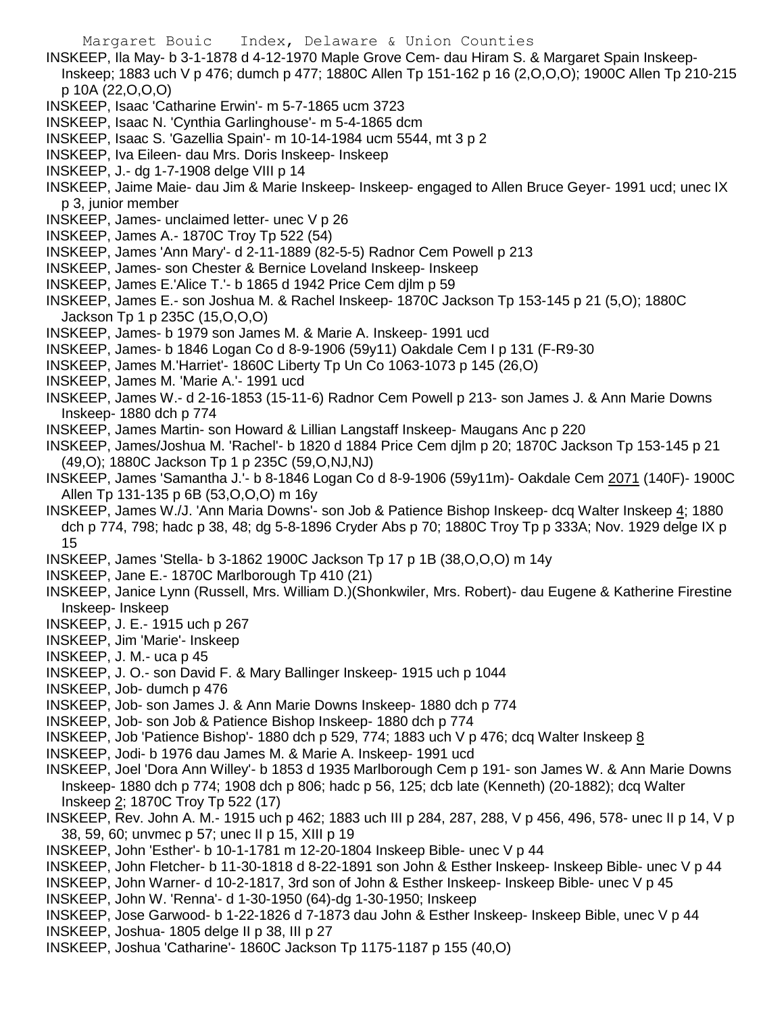- INSKEEP, Ila May- b 3-1-1878 d 4-12-1970 Maple Grove Cem- dau Hiram S. & Margaret Spain Inskeep-Inskeep; 1883 uch V p 476; dumch p 477; 1880C Allen Tp 151-162 p 16 (2,O,O,O); 1900C Allen Tp 210-215 p 10A (22,O,O,O)
- INSKEEP, Isaac 'Catharine Erwin'- m 5-7-1865 ucm 3723
- INSKEEP, Isaac N. 'Cynthia Garlinghouse'- m 5-4-1865 dcm
- INSKEEP, Isaac S. 'Gazellia Spain'- m 10-14-1984 ucm 5544, mt 3 p 2
- INSKEEP, Iva Eileen- dau Mrs. Doris Inskeep- Inskeep
- INSKEEP, J.- dg 1-7-1908 delge VIII p 14
- INSKEEP, Jaime Maie- dau Jim & Marie Inskeep- Inskeep- engaged to Allen Bruce Geyer- 1991 ucd; unec IX p 3, junior member
- INSKEEP, James- unclaimed letter- unec V p 26
- INSKEEP, James A.- 1870C Troy Tp 522 (54)
- INSKEEP, James 'Ann Mary'- d 2-11-1889 (82-5-5) Radnor Cem Powell p 213
- INSKEEP, James- son Chester & Bernice Loveland Inskeep- Inskeep
- INSKEEP, James E.'Alice T.'- b 1865 d 1942 Price Cem djlm p 59
- INSKEEP, James E.- son Joshua M. & Rachel Inskeep- 1870C Jackson Tp 153-145 p 21 (5,O); 1880C Jackson Tp 1 p 235C (15,O,O,O)
- INSKEEP, James- b 1979 son James M. & Marie A. Inskeep- 1991 ucd
- INSKEEP, James- b 1846 Logan Co d 8-9-1906 (59y11) Oakdale Cem I p 131 (F-R9-30
- INSKEEP, James M.'Harriet'- 1860C Liberty Tp Un Co 1063-1073 p 145 (26,O)
- INSKEEP, James M. 'Marie A.'- 1991 ucd
- INSKEEP, James W.- d 2-16-1853 (15-11-6) Radnor Cem Powell p 213- son James J. & Ann Marie Downs Inskeep- 1880 dch p 774
- INSKEEP, James Martin- son Howard & Lillian Langstaff Inskeep- Maugans Anc p 220
- INSKEEP, James/Joshua M. 'Rachel'- b 1820 d 1884 Price Cem djlm p 20; 1870C Jackson Tp 153-145 p 21 (49,O); 1880C Jackson Tp 1 p 235C (59,O,NJ,NJ)
- INSKEEP, James 'Samantha J.'- b 8-1846 Logan Co d 8-9-1906 (59y11m)- Oakdale Cem 2071 (140F)- 1900C Allen Tp 131-135 p 6B (53,O,O,O) m 16y
- INSKEEP, James W./J. 'Ann Maria Downs'- son Job & Patience Bishop Inskeep- dcq Walter Inskeep 4; 1880 dch p 774, 798; hadc p 38, 48; dg 5-8-1896 Cryder Abs p 70; 1880C Troy Tp p 333A; Nov. 1929 delge IX p 15
- INSKEEP, James 'Stella- b 3-1862 1900C Jackson Tp 17 p 1B (38,O,O,O) m 14y
- INSKEEP, Jane E.- 1870C Marlborough Tp 410 (21)
- INSKEEP, Janice Lynn (Russell, Mrs. William D.)(Shonkwiler, Mrs. Robert)- dau Eugene & Katherine Firestine Inskeep- Inskeep
- INSKEEP, J. E.- 1915 uch p 267
- INSKEEP, Jim 'Marie'- Inskeep
- INSKEEP, J. M.- uca p 45
- INSKEEP, J. O.- son David F. & Mary Ballinger Inskeep- 1915 uch p 1044
- INSKEEP, Job- dumch p 476
- INSKEEP, Job- son James J. & Ann Marie Downs Inskeep- 1880 dch p 774
- INSKEEP, Job- son Job & Patience Bishop Inskeep- 1880 dch p 774
- INSKEEP, Job 'Patience Bishop'- 1880 dch p 529, 774; 1883 uch V p 476; dcq Walter Inskeep 8
- INSKEEP, Jodi- b 1976 dau James M. & Marie A. Inskeep- 1991 ucd
- INSKEEP, Joel 'Dora Ann Willey'- b 1853 d 1935 Marlborough Cem p 191- son James W. & Ann Marie Downs Inskeep- 1880 dch p 774; 1908 dch p 806; hadc p 56, 125; dcb late (Kenneth) (20-1882); dcq Walter Inskeep 2; 1870C Troy Tp 522 (17)
- INSKEEP, Rev. John A. M.- 1915 uch p 462; 1883 uch III p 284, 287, 288, V p 456, 496, 578- unec II p 14, V p 38, 59, 60; unvmec p 57; unec II p 15, XIII p 19
- INSKEEP, John 'Esther'- b 10-1-1781 m 12-20-1804 Inskeep Bible- unec V p 44
- INSKEEP, John Fletcher- b 11-30-1818 d 8-22-1891 son John & Esther Inskeep- Inskeep Bible- unec V p 44
- INSKEEP, John Warner- d 10-2-1817, 3rd son of John & Esther Inskeep- Inskeep Bible- unec V p 45
- INSKEEP, John W. 'Renna'- d 1-30-1950 (64)-dg 1-30-1950; Inskeep
- INSKEEP, Jose Garwood- b 1-22-1826 d 7-1873 dau John & Esther Inskeep- Inskeep Bible, unec V p 44
- INSKEEP, Joshua- 1805 delge II p 38, III p 27
- INSKEEP, Joshua 'Catharine'- 1860C Jackson Tp 1175-1187 p 155 (40,O)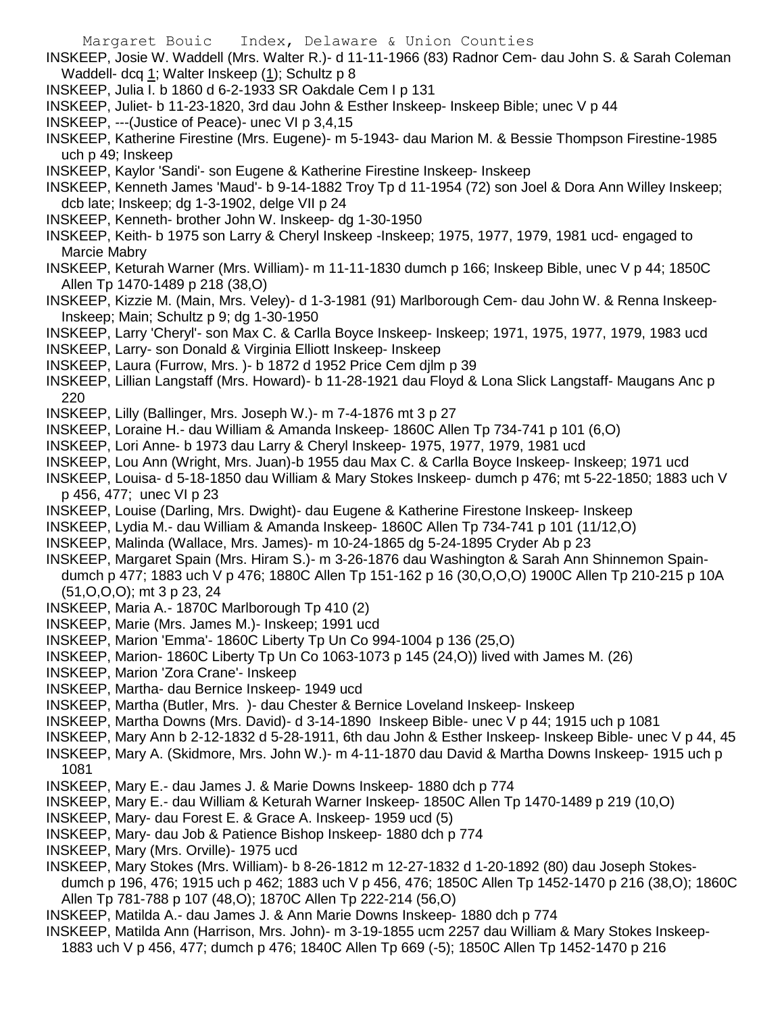- INSKEEP, Josie W. Waddell (Mrs. Walter R.)- d 11-11-1966 (83) Radnor Cem- dau John S. & Sarah Coleman Waddell- dcq 1; Walter Inskeep (1); Schultz p 8
- INSKEEP, Julia I. b 1860 d 6-2-1933 SR Oakdale Cem I p 131
- INSKEEP, Juliet- b 11-23-1820, 3rd dau John & Esther Inskeep- Inskeep Bible; unec V p 44
- INSKEEP, ---(Justice of Peace)- unec VI p 3,4,15

INSKEEP, Katherine Firestine (Mrs. Eugene)- m 5-1943- dau Marion M. & Bessie Thompson Firestine-1985 uch p 49; Inskeep

INSKEEP, Kaylor 'Sandi'- son Eugene & Katherine Firestine Inskeep- Inskeep

INSKEEP, Kenneth James 'Maud'- b 9-14-1882 Troy Tp d 11-1954 (72) son Joel & Dora Ann Willey Inskeep; dcb late; Inskeep; dg 1-3-1902, delge VII p 24

- INSKEEP, Kenneth- brother John W. Inskeep- dg 1-30-1950
- INSKEEP, Keith- b 1975 son Larry & Cheryl Inskeep -Inskeep; 1975, 1977, 1979, 1981 ucd- engaged to Marcie Mabry
- INSKEEP, Keturah Warner (Mrs. William)- m 11-11-1830 dumch p 166; Inskeep Bible, unec V p 44; 1850C Allen Tp 1470-1489 p 218 (38,O)
- INSKEEP, Kizzie M. (Main, Mrs. Veley)- d 1-3-1981 (91) Marlborough Cem- dau John W. & Renna Inskeep-Inskeep; Main; Schultz p 9; dg 1-30-1950
- INSKEEP, Larry 'Cheryl'- son Max C. & Carlla Boyce Inskeep- Inskeep; 1971, 1975, 1977, 1979, 1983 ucd
- INSKEEP, Larry- son Donald & Virginia Elliott Inskeep- Inskeep
- INSKEEP, Laura (Furrow, Mrs. )- b 1872 d 1952 Price Cem djlm p 39
- INSKEEP, Lillian Langstaff (Mrs. Howard)- b 11-28-1921 dau Floyd & Lona Slick Langstaff- Maugans Anc p 220
- INSKEEP, Lilly (Ballinger, Mrs. Joseph W.)- m 7-4-1876 mt 3 p 27
- INSKEEP, Loraine H.- dau William & Amanda Inskeep- 1860C Allen Tp 734-741 p 101 (6,O)
- INSKEEP, Lori Anne- b 1973 dau Larry & Cheryl Inskeep- 1975, 1977, 1979, 1981 ucd
- INSKEEP, Lou Ann (Wright, Mrs. Juan)-b 1955 dau Max C. & Carlla Boyce Inskeep- Inskeep; 1971 ucd
- INSKEEP, Louisa- d 5-18-1850 dau William & Mary Stokes Inskeep- dumch p 476; mt 5-22-1850; 1883 uch V p 456, 477; unec VI p 23
- INSKEEP, Louise (Darling, Mrs. Dwight)- dau Eugene & Katherine Firestone Inskeep- Inskeep
- INSKEEP, Lydia M.- dau William & Amanda Inskeep- 1860C Allen Tp 734-741 p 101 (11/12,O)
- INSKEEP, Malinda (Wallace, Mrs. James)- m 10-24-1865 dg 5-24-1895 Cryder Ab p 23
- INSKEEP, Margaret Spain (Mrs. Hiram S.)- m 3-26-1876 dau Washington & Sarah Ann Shinnemon Spaindumch p 477; 1883 uch V p 476; 1880C Allen Tp 151-162 p 16 (30,O,O,O) 1900C Allen Tp 210-215 p 10A (51,O,O,O); mt 3 p 23, 24
- INSKEEP, Maria A.- 1870C Marlborough Tp 410 (2)
- INSKEEP, Marie (Mrs. James M.)- Inskeep; 1991 ucd
- INSKEEP, Marion 'Emma'- 1860C Liberty Tp Un Co 994-1004 p 136 (25,O)
- INSKEEP, Marion- 1860C Liberty Tp Un Co 1063-1073 p 145 (24,O)) lived with James M. (26)
- INSKEEP, Marion 'Zora Crane'- Inskeep
- INSKEEP, Martha- dau Bernice Inskeep- 1949 ucd
- INSKEEP, Martha (Butler, Mrs. )- dau Chester & Bernice Loveland Inskeep- Inskeep
- INSKEEP, Martha Downs (Mrs. David)- d 3-14-1890 Inskeep Bible- unec V p 44; 1915 uch p 1081
- INSKEEP, Mary Ann b 2-12-1832 d 5-28-1911, 6th dau John & Esther Inskeep- Inskeep Bible- unec V p 44, 45
- INSKEEP, Mary A. (Skidmore, Mrs. John W.)- m 4-11-1870 dau David & Martha Downs Inskeep- 1915 uch p 1081
- INSKEEP, Mary E.- dau James J. & Marie Downs Inskeep- 1880 dch p 774
- INSKEEP, Mary E.- dau William & Keturah Warner Inskeep- 1850C Allen Tp 1470-1489 p 219 (10,O)
- INSKEEP, Mary- dau Forest E. & Grace A. Inskeep- 1959 ucd (5)
- INSKEEP, Mary- dau Job & Patience Bishop Inskeep- 1880 dch p 774
- INSKEEP, Mary (Mrs. Orville)- 1975 ucd
- INSKEEP, Mary Stokes (Mrs. William)- b 8-26-1812 m 12-27-1832 d 1-20-1892 (80) dau Joseph Stokesdumch p 196, 476; 1915 uch p 462; 1883 uch V p 456, 476; 1850C Allen Tp 1452-1470 p 216 (38,O); 1860C Allen Tp 781-788 p 107 (48,O); 1870C Allen Tp 222-214 (56,O)
- INSKEEP, Matilda A.- dau James J. & Ann Marie Downs Inskeep- 1880 dch p 774
- INSKEEP, Matilda Ann (Harrison, Mrs. John)- m 3-19-1855 ucm 2257 dau William & Mary Stokes Inskeep-1883 uch V p 456, 477; dumch p 476; 1840C Allen Tp 669 (-5); 1850C Allen Tp 1452-1470 p 216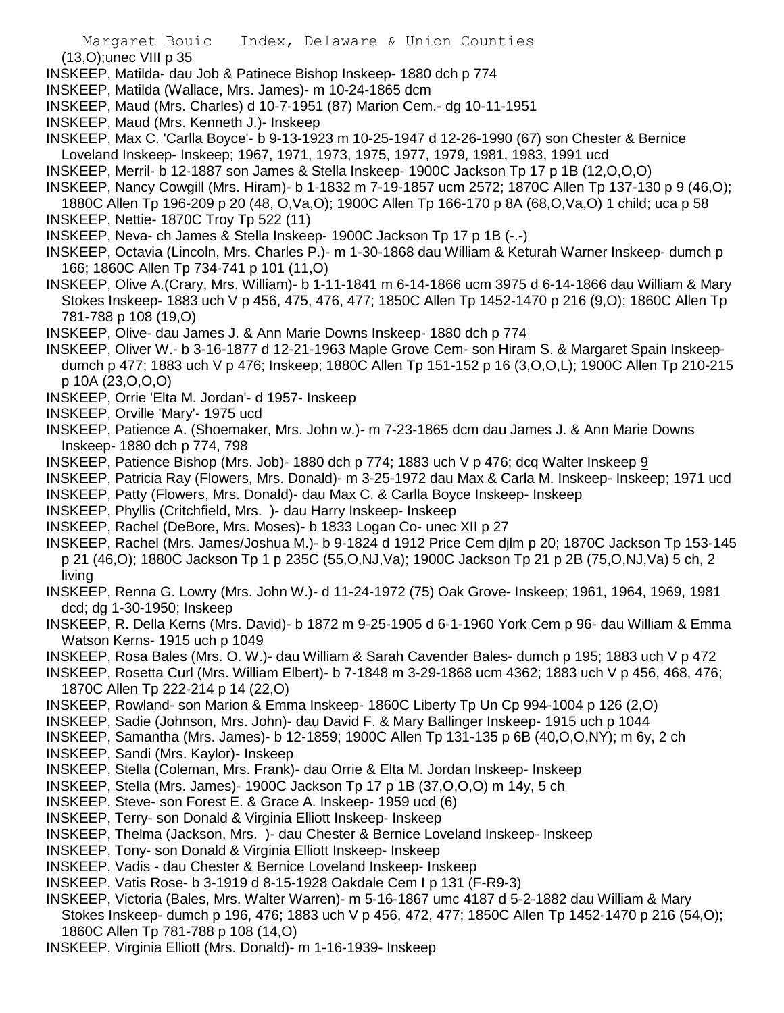(13,O);unec VIII p 35

- INSKEEP, Matilda- dau Job & Patinece Bishop Inskeep- 1880 dch p 774
- INSKEEP, Matilda (Wallace, Mrs. James)- m 10-24-1865 dcm
- INSKEEP, Maud (Mrs. Charles) d 10-7-1951 (87) Marion Cem.- dg 10-11-1951
- INSKEEP, Maud (Mrs. Kenneth J.)- Inskeep

INSKEEP, Max C. 'Carlla Boyce'- b 9-13-1923 m 10-25-1947 d 12-26-1990 (67) son Chester & Bernice Loveland Inskeep- Inskeep; 1967, 1971, 1973, 1975, 1977, 1979, 1981, 1983, 1991 ucd

- INSKEEP, Merril- b 12-1887 son James & Stella Inskeep- 1900C Jackson Tp 17 p 1B (12,O,O,O)
- INSKEEP, Nancy Cowgill (Mrs. Hiram)- b 1-1832 m 7-19-1857 ucm 2572; 1870C Allen Tp 137-130 p 9 (46,O);

1880C Allen Tp 196-209 p 20 (48, O,Va,O); 1900C Allen Tp 166-170 p 8A (68,O,Va,O) 1 child; uca p 58

- INSKEEP, Nettie- 1870C Troy Tp 522 (11)
- INSKEEP, Neva- ch James & Stella Inskeep- 1900C Jackson Tp 17 p 1B (-.-)
- INSKEEP, Octavia (Lincoln, Mrs. Charles P.)- m 1-30-1868 dau William & Keturah Warner Inskeep- dumch p 166; 1860C Allen Tp 734-741 p 101 (11,O)
- INSKEEP, Olive A.(Crary, Mrs. William)- b 1-11-1841 m 6-14-1866 ucm 3975 d 6-14-1866 dau William & Mary Stokes Inskeep- 1883 uch V p 456, 475, 476, 477; 1850C Allen Tp 1452-1470 p 216 (9,O); 1860C Allen Tp 781-788 p 108 (19,O)
- INSKEEP, Olive- dau James J. & Ann Marie Downs Inskeep- 1880 dch p 774
- INSKEEP, Oliver W.- b 3-16-1877 d 12-21-1963 Maple Grove Cem- son Hiram S. & Margaret Spain Inskeepdumch p 477; 1883 uch V p 476; Inskeep; 1880C Allen Tp 151-152 p 16 (3,O,O,L); 1900C Allen Tp 210-215 p 10A (23,O,O,O)
- INSKEEP, Orrie 'Elta M. Jordan'- d 1957- Inskeep
- INSKEEP, Orville 'Mary'- 1975 ucd
- INSKEEP, Patience A. (Shoemaker, Mrs. John w.)- m 7-23-1865 dcm dau James J. & Ann Marie Downs Inskeep- 1880 dch p 774, 798
- INSKEEP, Patience Bishop (Mrs. Job)- 1880 dch p 774; 1883 uch V p 476; dcq Walter Inskeep 9
- INSKEEP, Patricia Ray (Flowers, Mrs. Donald)- m 3-25-1972 dau Max & Carla M. Inskeep- Inskeep; 1971 ucd INSKEEP, Patty (Flowers, Mrs. Donald)- dau Max C. & Carlla Boyce Inskeep- Inskeep
- INSKEEP, Phyllis (Critchfield, Mrs. )- dau Harry Inskeep- Inskeep
- INSKEEP, Rachel (DeBore, Mrs. Moses)- b 1833 Logan Co- unec XII p 27
- INSKEEP, Rachel (Mrs. James/Joshua M.)- b 9-1824 d 1912 Price Cem djlm p 20; 1870C Jackson Tp 153-145 p 21 (46,O); 1880C Jackson Tp 1 p 235C (55,O,NJ,Va); 1900C Jackson Tp 21 p 2B (75,O,NJ,Va) 5 ch, 2 living
- INSKEEP, Renna G. Lowry (Mrs. John W.)- d 11-24-1972 (75) Oak Grove- Inskeep; 1961, 1964, 1969, 1981 dcd; dg 1-30-1950; Inskeep
- INSKEEP, R. Della Kerns (Mrs. David)- b 1872 m 9-25-1905 d 6-1-1960 York Cem p 96- dau William & Emma Watson Kerns- 1915 uch p 1049
- INSKEEP, Rosa Bales (Mrs. O. W.)- dau William & Sarah Cavender Bales- dumch p 195; 1883 uch V p 472
- INSKEEP, Rosetta Curl (Mrs. William Elbert)- b 7-1848 m 3-29-1868 ucm 4362; 1883 uch V p 456, 468, 476; 1870C Allen Tp 222-214 p 14 (22,O)
- INSKEEP, Rowland- son Marion & Emma Inskeep- 1860C Liberty Tp Un Cp 994-1004 p 126 (2,O)
- INSKEEP, Sadie (Johnson, Mrs. John)- dau David F. & Mary Ballinger Inskeep- 1915 uch p 1044
- INSKEEP, Samantha (Mrs. James)- b 12-1859; 1900C Allen Tp 131-135 p 6B (40,O,O,NY); m 6y, 2 ch
- INSKEEP, Sandi (Mrs. Kaylor)- Inskeep
- INSKEEP, Stella (Coleman, Mrs. Frank)- dau Orrie & Elta M. Jordan Inskeep- Inskeep
- INSKEEP, Stella (Mrs. James)- 1900C Jackson Tp 17 p 1B (37,O,O,O) m 14y, 5 ch
- INSKEEP, Steve- son Forest E. & Grace A. Inskeep- 1959 ucd (6)
- INSKEEP, Terry- son Donald & Virginia Elliott Inskeep- Inskeep
- INSKEEP, Thelma (Jackson, Mrs. )- dau Chester & Bernice Loveland Inskeep- Inskeep
- INSKEEP, Tony- son Donald & Virginia Elliott Inskeep- Inskeep
- INSKEEP, Vadis dau Chester & Bernice Loveland Inskeep- Inskeep
- INSKEEP, Vatis Rose- b 3-1919 d 8-15-1928 Oakdale Cem I p 131 (F-R9-3)
- INSKEEP, Victoria (Bales, Mrs. Walter Warren)- m 5-16-1867 umc 4187 d 5-2-1882 dau William & Mary Stokes Inskeep- dumch p 196, 476; 1883 uch V p 456, 472, 477; 1850C Allen Tp 1452-1470 p 216 (54,O); 1860C Allen Tp 781-788 p 108 (14,O)
- INSKEEP, Virginia Elliott (Mrs. Donald)- m 1-16-1939- Inskeep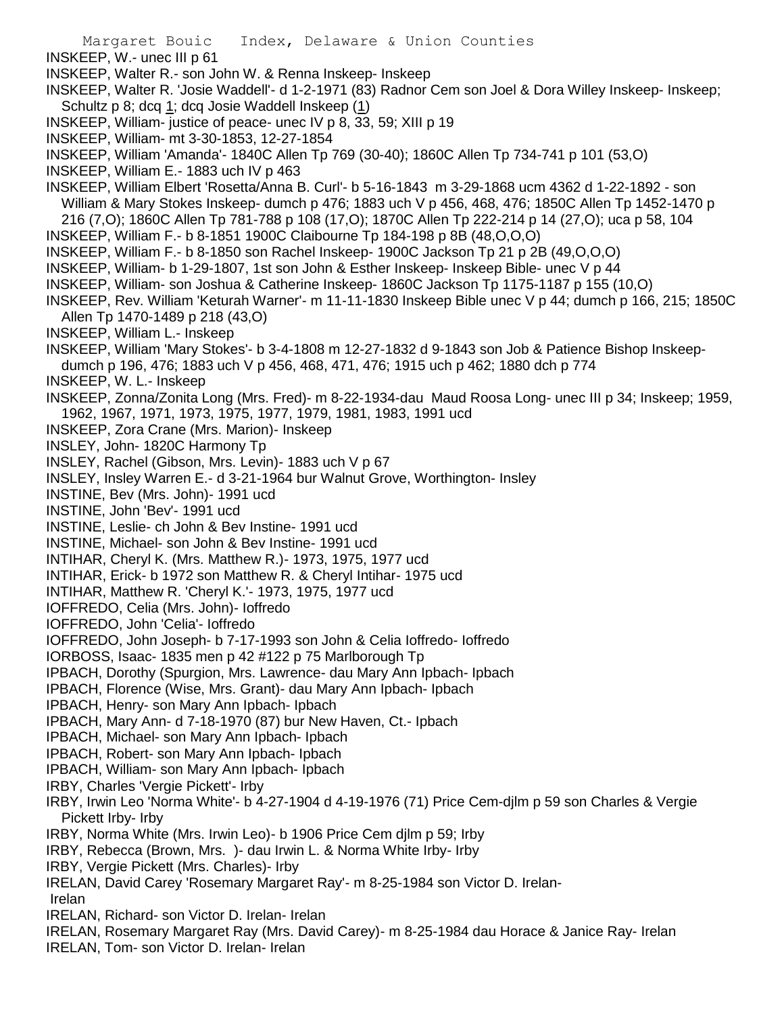Margaret Bouic Index, Delaware & Union Counties INSKEEP, W.- unec III p 61 INSKEEP, Walter R.- son John W. & Renna Inskeep- Inskeep INSKEEP, Walter R. 'Josie Waddell'- d 1-2-1971 (83) Radnor Cem son Joel & Dora Willey Inskeep- Inskeep; Schultz p 8; dcq 1; dcq Josie Waddell Inskeep (1) INSKEEP, William- justice of peace- unec IV p 8, 33, 59; XIII p 19 INSKEEP, William- mt 3-30-1853, 12-27-1854 INSKEEP, William 'Amanda'- 1840C Allen Tp 769 (30-40); 1860C Allen Tp 734-741 p 101 (53,O) INSKEEP, William E.- 1883 uch IV p 463 INSKEEP, William Elbert 'Rosetta/Anna B. Curl'- b 5-16-1843 m 3-29-1868 ucm 4362 d 1-22-1892 - son William & Mary Stokes Inskeep- dumch p 476; 1883 uch V p 456, 468, 476; 1850C Allen Tp 1452-1470 p 216 (7,O); 1860C Allen Tp 781-788 p 108 (17,O); 1870C Allen Tp 222-214 p 14 (27,O); uca p 58, 104 INSKEEP, William F.- b 8-1851 1900C Claibourne Tp 184-198 p 8B (48,O,O,O) INSKEEP, William F.- b 8-1850 son Rachel Inskeep- 1900C Jackson Tp 21 p 2B (49,O,O,O) INSKEEP, William- b 1-29-1807, 1st son John & Esther Inskeep- Inskeep Bible- unec V p 44 INSKEEP, William- son Joshua & Catherine Inskeep- 1860C Jackson Tp 1175-1187 p 155 (10,O) INSKEEP, Rev. William 'Keturah Warner'- m 11-11-1830 Inskeep Bible unec V p 44; dumch p 166, 215; 1850C Allen Tp 1470-1489 p 218 (43,O) INSKEEP, William L.- Inskeep INSKEEP, William 'Mary Stokes'- b 3-4-1808 m 12-27-1832 d 9-1843 son Job & Patience Bishop Inskeepdumch p 196, 476; 1883 uch V p 456, 468, 471, 476; 1915 uch p 462; 1880 dch p 774 INSKEEP, W. L.- Inskeep INSKEEP, Zonna/Zonita Long (Mrs. Fred)- m 8-22-1934-dau Maud Roosa Long- unec III p 34; Inskeep; 1959, 1962, 1967, 1971, 1973, 1975, 1977, 1979, 1981, 1983, 1991 ucd INSKEEP, Zora Crane (Mrs. Marion)- Inskeep INSLEY, John- 1820C Harmony Tp INSLEY, Rachel (Gibson, Mrs. Levin)- 1883 uch V p 67 INSLEY, Insley Warren E.- d 3-21-1964 bur Walnut Grove, Worthington- Insley INSTINE, Bev (Mrs. John)- 1991 ucd INSTINE, John 'Bev'- 1991 ucd INSTINE, Leslie- ch John & Bev Instine- 1991 ucd INSTINE, Michael- son John & Bev Instine- 1991 ucd INTIHAR, Cheryl K. (Mrs. Matthew R.)- 1973, 1975, 1977 ucd INTIHAR, Erick- b 1972 son Matthew R. & Cheryl Intihar- 1975 ucd INTIHAR, Matthew R. 'Cheryl K.'- 1973, 1975, 1977 ucd IOFFREDO, Celia (Mrs. John)- Ioffredo IOFFREDO, John 'Celia'- Ioffredo IOFFREDO, John Joseph- b 7-17-1993 son John & Celia Ioffredo- Ioffredo IORBOSS, Isaac- 1835 men p 42 #122 p 75 Marlborough Tp IPBACH, Dorothy (Spurgion, Mrs. Lawrence- dau Mary Ann Ipbach- Ipbach IPBACH, Florence (Wise, Mrs. Grant)- dau Mary Ann Ipbach- Ipbach IPBACH, Henry- son Mary Ann Ipbach- Ipbach IPBACH, Mary Ann- d 7-18-1970 (87) bur New Haven, Ct.- Ipbach IPBACH, Michael- son Mary Ann Ipbach- Ipbach IPBACH, Robert- son Mary Ann Ipbach- Ipbach IPBACH, William- son Mary Ann Ipbach- Ipbach IRBY, Charles 'Vergie Pickett'- Irby IRBY, Irwin Leo 'Norma White'- b 4-27-1904 d 4-19-1976 (71) Price Cem-djlm p 59 son Charles & Vergie Pickett Irby- Irby IRBY, Norma White (Mrs. Irwin Leo)- b 1906 Price Cem djlm p 59; Irby IRBY, Rebecca (Brown, Mrs. )- dau Irwin L. & Norma White Irby- Irby IRBY, Vergie Pickett (Mrs. Charles)- Irby IRELAN, David Carey 'Rosemary Margaret Ray'- m 8-25-1984 son Victor D. Irelan-Irelan IRELAN, Richard- son Victor D. Irelan- Irelan IRELAN, Rosemary Margaret Ray (Mrs. David Carey)- m 8-25-1984 dau Horace & Janice Ray- Irelan IRELAN, Tom- son Victor D. Irelan- Irelan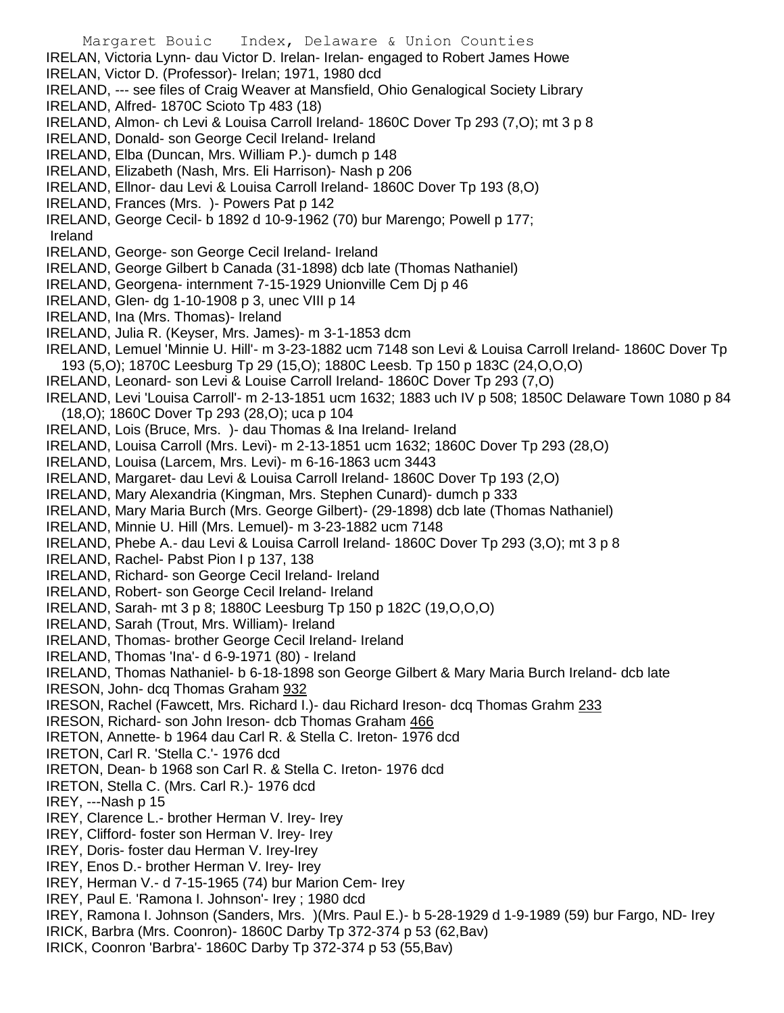- Margaret Bouic Index, Delaware & Union Counties IRELAN, Victoria Lynn- dau Victor D. Irelan- Irelan- engaged to Robert James Howe IRELAN, Victor D. (Professor)- Irelan; 1971, 1980 dcd IRELAND, --- see files of Craig Weaver at Mansfield, Ohio Genalogical Society Library IRELAND, Alfred- 1870C Scioto Tp 483 (18) IRELAND, Almon- ch Levi & Louisa Carroll Ireland- 1860C Dover Tp 293 (7,O); mt 3 p 8 IRELAND, Donald- son George Cecil Ireland- Ireland IRELAND, Elba (Duncan, Mrs. William P.)- dumch p 148 IRELAND, Elizabeth (Nash, Mrs. Eli Harrison)- Nash p 206 IRELAND, Ellnor- dau Levi & Louisa Carroll Ireland- 1860C Dover Tp 193 (8,O) IRELAND, Frances (Mrs. )- Powers Pat p 142 IRELAND, George Cecil- b 1892 d 10-9-1962 (70) bur Marengo; Powell p 177; Ireland IRELAND, George- son George Cecil Ireland- Ireland IRELAND, George Gilbert b Canada (31-1898) dcb late (Thomas Nathaniel) IRELAND, Georgena- internment 7-15-1929 Unionville Cem Dj p 46 IRELAND, Glen- dg 1-10-1908 p 3, unec VIII p 14 IRELAND, Ina (Mrs. Thomas)- Ireland IRELAND, Julia R. (Keyser, Mrs. James)- m 3-1-1853 dcm IRELAND, Lemuel 'Minnie U. Hill'- m 3-23-1882 ucm 7148 son Levi & Louisa Carroll Ireland- 1860C Dover Tp 193 (5,O); 1870C Leesburg Tp 29 (15,O); 1880C Leesb. Tp 150 p 183C (24,O,O,O) IRELAND, Leonard- son Levi & Louise Carroll Ireland- 1860C Dover Tp 293 (7,O) IRELAND, Levi 'Louisa Carroll'- m 2-13-1851 ucm 1632; 1883 uch IV p 508; 1850C Delaware Town 1080 p 84 (18,O); 1860C Dover Tp 293 (28,O); uca p 104 IRELAND, Lois (Bruce, Mrs. )- dau Thomas & Ina Ireland- Ireland IRELAND, Louisa Carroll (Mrs. Levi)- m 2-13-1851 ucm 1632; 1860C Dover Tp 293 (28,O) IRELAND, Louisa (Larcem, Mrs. Levi)- m 6-16-1863 ucm 3443 IRELAND, Margaret- dau Levi & Louisa Carroll Ireland- 1860C Dover Tp 193 (2,O) IRELAND, Mary Alexandria (Kingman, Mrs. Stephen Cunard)- dumch p 333 IRELAND, Mary Maria Burch (Mrs. George Gilbert)- (29-1898) dcb late (Thomas Nathaniel) IRELAND, Minnie U. Hill (Mrs. Lemuel)- m 3-23-1882 ucm 7148 IRELAND, Phebe A.- dau Levi & Louisa Carroll Ireland- 1860C Dover Tp 293 (3,O); mt 3 p 8 IRELAND, Rachel- Pabst Pion I p 137, 138 IRELAND, Richard- son George Cecil Ireland- Ireland IRELAND, Robert- son George Cecil Ireland- Ireland IRELAND, Sarah- mt 3 p 8; 1880C Leesburg Tp 150 p 182C (19,O,O,O) IRELAND, Sarah (Trout, Mrs. William)- Ireland IRELAND, Thomas- brother George Cecil Ireland- Ireland IRELAND, Thomas 'Ina'- d 6-9-1971 (80) - Ireland IRELAND, Thomas Nathaniel- b 6-18-1898 son George Gilbert & Mary Maria Burch Ireland- dcb late IRESON, John- dcq Thomas Graham 932 IRESON, Rachel (Fawcett, Mrs. Richard I.)- dau Richard Ireson- dcq Thomas Grahm 233 IRESON, Richard- son John Ireson- dcb Thomas Graham 466 IRETON, Annette- b 1964 dau Carl R. & Stella C. Ireton- 1976 dcd IRETON, Carl R. 'Stella C.'- 1976 dcd IRETON, Dean- b 1968 son Carl R. & Stella C. Ireton- 1976 dcd IRETON, Stella C. (Mrs. Carl R.)- 1976 dcd IREY, ---Nash p 15 IREY, Clarence L.- brother Herman V. Irey- Irey IREY, Clifford- foster son Herman V. Irey- Irey IREY, Doris- foster dau Herman V. Irey-Irey IREY, Enos D.- brother Herman V. Irey- Irey IREY, Herman V.- d 7-15-1965 (74) bur Marion Cem- Irey IREY, Paul E. 'Ramona I. Johnson'- Irey ; 1980 dcd IREY, Ramona I. Johnson (Sanders, Mrs. )(Mrs. Paul E.)- b 5-28-1929 d 1-9-1989 (59) bur Fargo, ND- Irey IRICK, Barbra (Mrs. Coonron)- 1860C Darby Tp 372-374 p 53 (62,Bav)
- IRICK, Coonron 'Barbra'- 1860C Darby Tp 372-374 p 53 (55,Bav)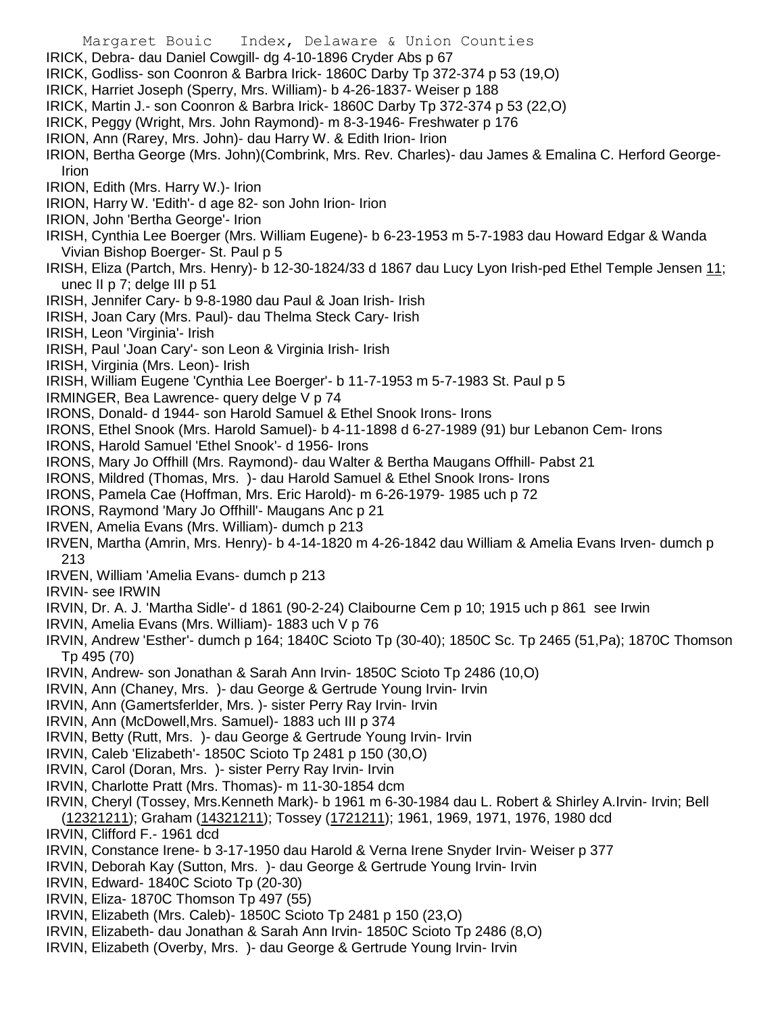- Margaret Bouic Index, Delaware & Union Counties
- IRICK, Debra- dau Daniel Cowgill- dg 4-10-1896 Cryder Abs p 67
- IRICK, Godliss- son Coonron & Barbra Irick- 1860C Darby Tp 372-374 p 53 (19,O)
- IRICK, Harriet Joseph (Sperry, Mrs. William)- b 4-26-1837- Weiser p 188
- IRICK, Martin J.- son Coonron & Barbra Irick- 1860C Darby Tp 372-374 p 53 (22,O)
- IRICK, Peggy (Wright, Mrs. John Raymond)- m 8-3-1946- Freshwater p 176
- IRION, Ann (Rarey, Mrs. John)- dau Harry W. & Edith Irion- Irion
- IRION, Bertha George (Mrs. John)(Combrink, Mrs. Rev. Charles)- dau James & Emalina C. Herford George-Irion
- IRION, Edith (Mrs. Harry W.)- Irion
- IRION, Harry W. 'Edith'- d age 82- son John Irion- Irion
- IRION, John 'Bertha George'- Irion
- IRISH, Cynthia Lee Boerger (Mrs. William Eugene)- b 6-23-1953 m 5-7-1983 dau Howard Edgar & Wanda Vivian Bishop Boerger- St. Paul p 5
- IRISH, Eliza (Partch, Mrs. Henry)- b 12-30-1824/33 d 1867 dau Lucy Lyon Irish-ped Ethel Temple Jensen 11; unec II p 7; delge III p 51
- IRISH, Jennifer Cary- b 9-8-1980 dau Paul & Joan Irish- Irish
- IRISH, Joan Cary (Mrs. Paul)- dau Thelma Steck Cary- Irish
- IRISH, Leon 'Virginia'- Irish
- IRISH, Paul 'Joan Cary'- son Leon & Virginia Irish- Irish
- IRISH, Virginia (Mrs. Leon)- Irish
- IRISH, William Eugene 'Cynthia Lee Boerger'- b 11-7-1953 m 5-7-1983 St. Paul p 5
- IRMINGER, Bea Lawrence- query delge V p 74
- IRONS, Donald- d 1944- son Harold Samuel & Ethel Snook Irons- Irons
- IRONS, Ethel Snook (Mrs. Harold Samuel)- b 4-11-1898 d 6-27-1989 (91) bur Lebanon Cem- Irons
- IRONS, Harold Samuel 'Ethel Snook'- d 1956- Irons
- IRONS, Mary Jo Offhill (Mrs. Raymond)- dau Walter & Bertha Maugans Offhill- Pabst 21
- IRONS, Mildred (Thomas, Mrs. )- dau Harold Samuel & Ethel Snook Irons- Irons
- IRONS, Pamela Cae (Hoffman, Mrs. Eric Harold)- m 6-26-1979- 1985 uch p 72
- IRONS, Raymond 'Mary Jo Offhill'- Maugans Anc p 21
- IRVEN, Amelia Evans (Mrs. William)- dumch p 213
- IRVEN, Martha (Amrin, Mrs. Henry)- b 4-14-1820 m 4-26-1842 dau William & Amelia Evans Irven- dumch p 213
- IRVEN, William 'Amelia Evans- dumch p 213
- IRVIN- see IRWIN
- IRVIN, Dr. A. J. 'Martha Sidle'- d 1861 (90-2-24) Claibourne Cem p 10; 1915 uch p 861 see Irwin
- IRVIN, Amelia Evans (Mrs. William)- 1883 uch V p 76
- IRVIN, Andrew 'Esther'- dumch p 164; 1840C Scioto Tp (30-40); 1850C Sc. Tp 2465 (51,Pa); 1870C Thomson Tp 495 (70)
- IRVIN, Andrew- son Jonathan & Sarah Ann Irvin- 1850C Scioto Tp 2486 (10,O)
- IRVIN, Ann (Chaney, Mrs. )- dau George & Gertrude Young Irvin- Irvin
- IRVIN, Ann (Gamertsferlder, Mrs. )- sister Perry Ray Irvin- Irvin
- IRVIN, Ann (McDowell,Mrs. Samuel)- 1883 uch III p 374
- IRVIN, Betty (Rutt, Mrs. )- dau George & Gertrude Young Irvin- Irvin
- IRVIN, Caleb 'Elizabeth'- 1850C Scioto Tp 2481 p 150 (30,O)
- IRVIN, Carol (Doran, Mrs. )- sister Perry Ray Irvin- Irvin
- IRVIN, Charlotte Pratt (Mrs. Thomas)- m 11-30-1854 dcm
- IRVIN, Cheryl (Tossey, Mrs.Kenneth Mark)- b 1961 m 6-30-1984 dau L. Robert & Shirley A.Irvin- Irvin; Bell (12321211); Graham (14321211); Tossey (1721211); 1961, 1969, 1971, 1976, 1980 dcd
- IRVIN, Clifford F.- 1961 dcd
- IRVIN, Constance Irene- b 3-17-1950 dau Harold & Verna Irene Snyder Irvin- Weiser p 377
- IRVIN, Deborah Kay (Sutton, Mrs. )- dau George & Gertrude Young Irvin- Irvin
- IRVIN, Edward- 1840C Scioto Tp (20-30)
- IRVIN, Eliza- 1870C Thomson Tp 497 (55)
- IRVIN, Elizabeth (Mrs. Caleb)- 1850C Scioto Tp 2481 p 150 (23,O)
- IRVIN, Elizabeth- dau Jonathan & Sarah Ann Irvin- 1850C Scioto Tp 2486 (8,O)
- IRVIN, Elizabeth (Overby, Mrs. )- dau George & Gertrude Young Irvin- Irvin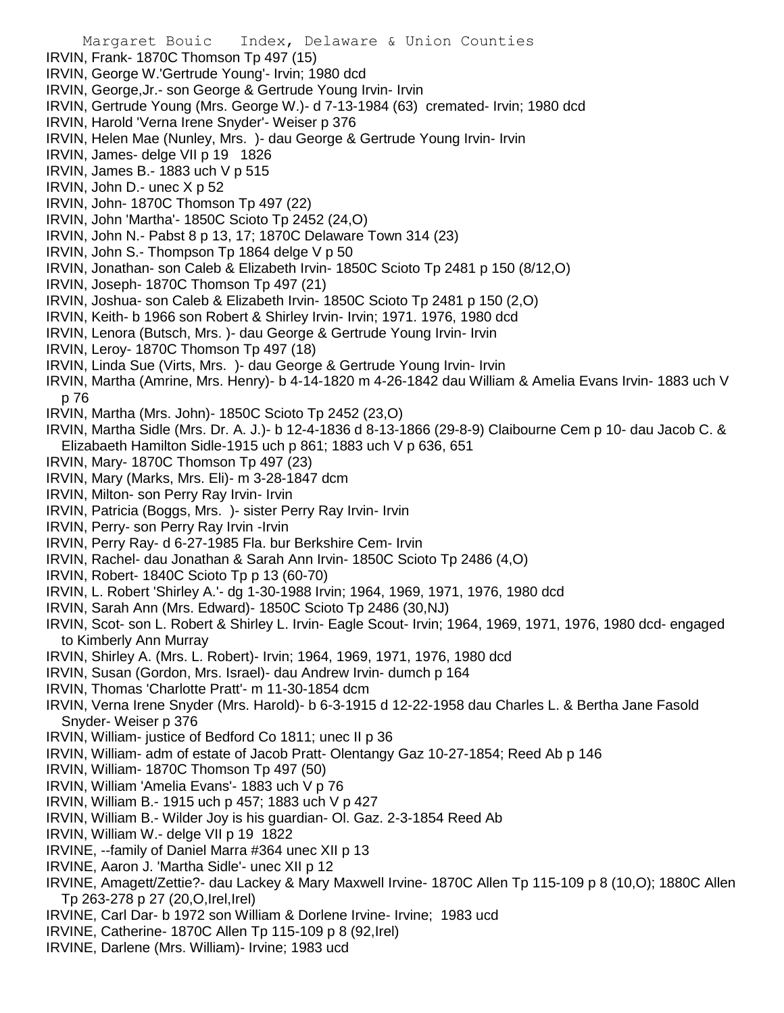IRVIN, Frank- 1870C Thomson Tp 497 (15) IRVIN, George W.'Gertrude Young'- Irvin; 1980 dcd IRVIN, George,Jr.- son George & Gertrude Young Irvin- Irvin IRVIN, Gertrude Young (Mrs. George W.)- d 7-13-1984 (63) cremated- Irvin; 1980 dcd IRVIN, Harold 'Verna Irene Snyder'- Weiser p 376 IRVIN, Helen Mae (Nunley, Mrs. )- dau George & Gertrude Young Irvin- Irvin IRVIN, James- delge VII p 19 1826 IRVIN, James B.- 1883 uch V p 515 IRVIN, John D.- unec X p 52 IRVIN, John- 1870C Thomson Tp 497 (22) IRVIN, John 'Martha'- 1850C Scioto Tp 2452 (24,O) IRVIN, John N.- Pabst 8 p 13, 17; 1870C Delaware Town 314 (23) IRVIN, John S.- Thompson Tp 1864 delge V p 50 IRVIN, Jonathan- son Caleb & Elizabeth Irvin- 1850C Scioto Tp 2481 p 150 (8/12,O) IRVIN, Joseph- 1870C Thomson Tp 497 (21) IRVIN, Joshua- son Caleb & Elizabeth Irvin- 1850C Scioto Tp 2481 p 150 (2,O) IRVIN, Keith- b 1966 son Robert & Shirley Irvin- Irvin; 1971. 1976, 1980 dcd IRVIN, Lenora (Butsch, Mrs. )- dau George & Gertrude Young Irvin- Irvin IRVIN, Leroy- 1870C Thomson Tp 497 (18) IRVIN, Linda Sue (Virts, Mrs. )- dau George & Gertrude Young Irvin- Irvin IRVIN, Martha (Amrine, Mrs. Henry)- b 4-14-1820 m 4-26-1842 dau William & Amelia Evans Irvin- 1883 uch V p 76 IRVIN, Martha (Mrs. John)- 1850C Scioto Tp 2452 (23,O) IRVIN, Martha Sidle (Mrs. Dr. A. J.)- b 12-4-1836 d 8-13-1866 (29-8-9) Claibourne Cem p 10- dau Jacob C. & Elizabaeth Hamilton Sidle-1915 uch p 861; 1883 uch V p 636, 651 IRVIN, Mary- 1870C Thomson Tp 497 (23) IRVIN, Mary (Marks, Mrs. Eli)- m 3-28-1847 dcm IRVIN, Milton- son Perry Ray Irvin- Irvin IRVIN, Patricia (Boggs, Mrs. )- sister Perry Ray Irvin- Irvin IRVIN, Perry- son Perry Ray Irvin -Irvin IRVIN, Perry Ray- d 6-27-1985 Fla. bur Berkshire Cem- Irvin IRVIN, Rachel- dau Jonathan & Sarah Ann Irvin- 1850C Scioto Tp 2486 (4,O) IRVIN, Robert- 1840C Scioto Tp p 13 (60-70) IRVIN, L. Robert 'Shirley A.'- dg 1-30-1988 Irvin; 1964, 1969, 1971, 1976, 1980 dcd IRVIN, Sarah Ann (Mrs. Edward)- 1850C Scioto Tp 2486 (30,NJ) IRVIN, Scot- son L. Robert & Shirley L. Irvin- Eagle Scout- Irvin; 1964, 1969, 1971, 1976, 1980 dcd- engaged to Kimberly Ann Murray IRVIN, Shirley A. (Mrs. L. Robert)- Irvin; 1964, 1969, 1971, 1976, 1980 dcd IRVIN, Susan (Gordon, Mrs. Israel)- dau Andrew Irvin- dumch p 164 IRVIN, Thomas 'Charlotte Pratt'- m 11-30-1854 dcm IRVIN, Verna Irene Snyder (Mrs. Harold)- b 6-3-1915 d 12-22-1958 dau Charles L. & Bertha Jane Fasold Snyder- Weiser p 376 IRVIN, William- justice of Bedford Co 1811; unec II p 36 IRVIN, William- adm of estate of Jacob Pratt- Olentangy Gaz 10-27-1854; Reed Ab p 146 IRVIN, William- 1870C Thomson Tp 497 (50) IRVIN, William 'Amelia Evans'- 1883 uch V p 76 IRVIN, William B.- 1915 uch p 457; 1883 uch V p 427 IRVIN, William B.- Wilder Joy is his guardian- Ol. Gaz. 2-3-1854 Reed Ab IRVIN, William W.- delge VII p 19 1822 IRVINE, --family of Daniel Marra #364 unec XII p 13 IRVINE, Aaron J. 'Martha Sidle'- unec XII p 12 IRVINE, Amagett/Zettie?- dau Lackey & Mary Maxwell Irvine- 1870C Allen Tp 115-109 p 8 (10,O); 1880C Allen Tp 263-278 p 27 (20,O,Irel,Irel) IRVINE, Carl Dar- b 1972 son William & Dorlene Irvine- Irvine; 1983 ucd IRVINE, Catherine- 1870C Allen Tp 115-109 p 8 (92,Irel)

Margaret Bouic Index, Delaware & Union Counties

IRVINE, Darlene (Mrs. William)- Irvine; 1983 ucd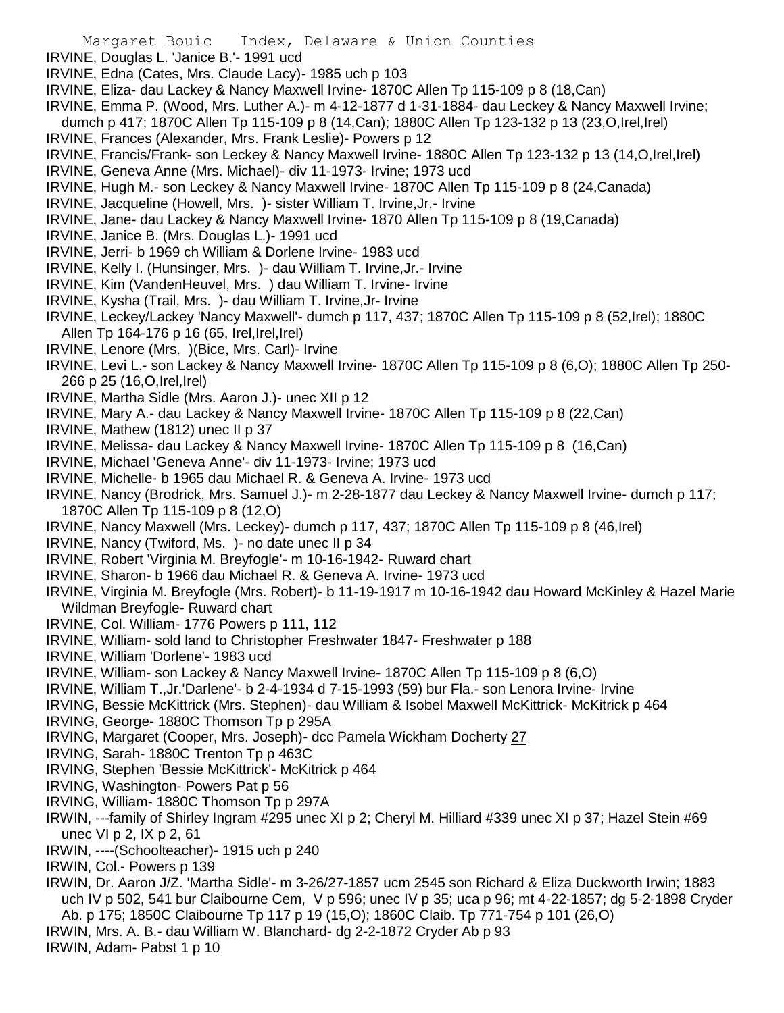- IRVINE, Douglas L. 'Janice B.'- 1991 ucd
- IRVINE, Edna (Cates, Mrs. Claude Lacy)- 1985 uch p 103
- IRVINE, Eliza- dau Lackey & Nancy Maxwell Irvine- 1870C Allen Tp 115-109 p 8 (18,Can)
- IRVINE, Emma P. (Wood, Mrs. Luther A.)- m 4-12-1877 d 1-31-1884- dau Leckey & Nancy Maxwell Irvine;
- dumch p 417; 1870C Allen Tp 115-109 p 8 (14,Can); 1880C Allen Tp 123-132 p 13 (23,O,Irel,Irel)
- IRVINE, Frances (Alexander, Mrs. Frank Leslie)- Powers p 12
- IRVINE, Francis/Frank- son Leckey & Nancy Maxwell Irvine- 1880C Allen Tp 123-132 p 13 (14,O,Irel,Irel)
- IRVINE, Geneva Anne (Mrs. Michael)- div 11-1973- Irvine; 1973 ucd
- IRVINE, Hugh M.- son Leckey & Nancy Maxwell Irvine- 1870C Allen Tp 115-109 p 8 (24,Canada)
- IRVINE, Jacqueline (Howell, Mrs. )- sister William T. Irvine,Jr.- Irvine
- IRVINE, Jane- dau Lackey & Nancy Maxwell Irvine- 1870 Allen Tp 115-109 p 8 (19,Canada)
- IRVINE, Janice B. (Mrs. Douglas L.)- 1991 ucd
- IRVINE, Jerri- b 1969 ch William & Dorlene Irvine- 1983 ucd
- IRVINE, Kelly I. (Hunsinger, Mrs. )- dau William T. Irvine,Jr.- Irvine
- IRVINE, Kim (VandenHeuvel, Mrs. ) dau William T. Irvine- Irvine
- IRVINE, Kysha (Trail, Mrs. )- dau William T. Irvine,Jr- Irvine
- IRVINE, Leckey/Lackey 'Nancy Maxwell'- dumch p 117, 437; 1870C Allen Tp 115-109 p 8 (52,Irel); 1880C Allen Tp 164-176 p 16 (65, Irel, Irel, Irel)
- IRVINE, Lenore (Mrs. )(Bice, Mrs. Carl)- Irvine
- IRVINE, Levi L.- son Lackey & Nancy Maxwell Irvine- 1870C Allen Tp 115-109 p 8 (6,O); 1880C Allen Tp 250- 266 p 25 (16,O,Irel,Irel)
- IRVINE, Martha Sidle (Mrs. Aaron J.)- unec XII p 12
- IRVINE, Mary A.- dau Lackey & Nancy Maxwell Irvine- 1870C Allen Tp 115-109 p 8 (22,Can)
- IRVINE, Mathew (1812) unec II p 37
- IRVINE, Melissa- dau Lackey & Nancy Maxwell Irvine- 1870C Allen Tp 115-109 p 8 (16,Can)
- IRVINE, Michael 'Geneva Anne'- div 11-1973- Irvine; 1973 ucd
- IRVINE, Michelle- b 1965 dau Michael R. & Geneva A. Irvine- 1973 ucd
- IRVINE, Nancy (Brodrick, Mrs. Samuel J.)- m 2-28-1877 dau Leckey & Nancy Maxwell Irvine- dumch p 117; 1870C Allen Tp 115-109 p 8 (12,O)
- IRVINE, Nancy Maxwell (Mrs. Leckey)- dumch p 117, 437; 1870C Allen Tp 115-109 p 8 (46,Irel)
- IRVINE, Nancy (Twiford, Ms. )- no date unec II p 34
- IRVINE, Robert 'Virginia M. Breyfogle'- m 10-16-1942- Ruward chart
- IRVINE, Sharon- b 1966 dau Michael R. & Geneva A. Irvine- 1973 ucd
- IRVINE, Virginia M. Breyfogle (Mrs. Robert)- b 11-19-1917 m 10-16-1942 dau Howard McKinley & Hazel Marie Wildman Breyfogle- Ruward chart
- IRVINE, Col. William- 1776 Powers p 111, 112
- IRVINE, William- sold land to Christopher Freshwater 1847- Freshwater p 188
- IRVINE, William 'Dorlene'- 1983 ucd
- IRVINE, William- son Lackey & Nancy Maxwell Irvine- 1870C Allen Tp 115-109 p 8 (6,O)
- IRVINE, William T.,Jr.'Darlene'- b 2-4-1934 d 7-15-1993 (59) bur Fla.- son Lenora Irvine- Irvine
- IRVING, Bessie McKittrick (Mrs. Stephen)- dau William & Isobel Maxwell McKittrick- McKitrick p 464
- IRVING, George- 1880C Thomson Tp p 295A
- IRVING, Margaret (Cooper, Mrs. Joseph)- dcc Pamela Wickham Docherty 27
- IRVING, Sarah- 1880C Trenton Tp p 463C
- IRVING, Stephen 'Bessie McKittrick'- McKitrick p 464
- IRVING, Washington- Powers Pat p 56
- IRVING, William- 1880C Thomson Tp p 297A
- IRWIN, ---family of Shirley Ingram #295 unec XI p 2; Cheryl M. Hilliard #339 unec XI p 37; Hazel Stein #69 unec VI p 2, IX p 2, 61
- IRWIN, ----(Schoolteacher)- 1915 uch p 240
- IRWIN, Col.- Powers p 139
- IRWIN, Dr. Aaron J/Z. 'Martha Sidle'- m 3-26/27-1857 ucm 2545 son Richard & Eliza Duckworth Irwin; 1883 uch IV p 502, 541 bur Claibourne Cem, V p 596; unec IV p 35; uca p 96; mt 4-22-1857; dg 5-2-1898 Cryder Ab. p 175; 1850C Claibourne Tp 117 p 19 (15,O); 1860C Claib. Tp 771-754 p 101 (26,O)
- IRWIN, Mrs. A. B.- dau William W. Blanchard- dg 2-2-1872 Cryder Ab p 93
- IRWIN, Adam- Pabst 1 p 10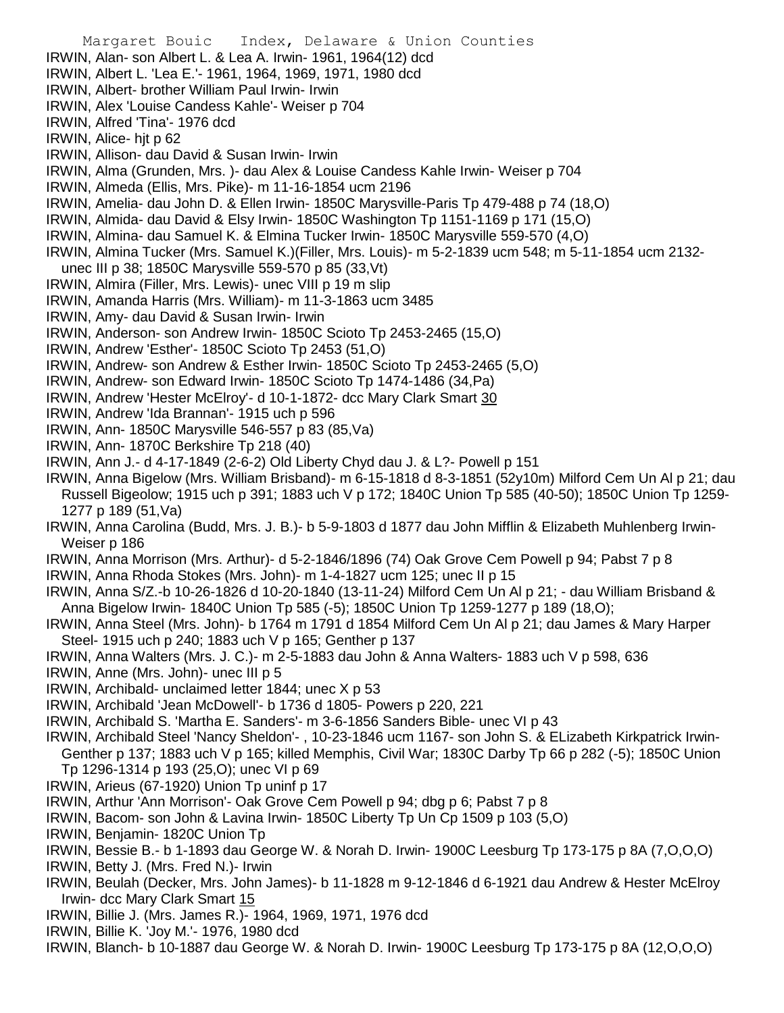Margaret Bouic Index, Delaware & Union Counties IRWIN, Alan- son Albert L. & Lea A. Irwin- 1961, 1964(12) dcd IRWIN, Albert L. 'Lea E.'- 1961, 1964, 1969, 1971, 1980 dcd IRWIN, Albert- brother William Paul Irwin- Irwin IRWIN, Alex 'Louise Candess Kahle'- Weiser p 704 IRWIN, Alfred 'Tina'- 1976 dcd IRWIN, Alice- hjt p 62 IRWIN, Allison- dau David & Susan Irwin- Irwin IRWIN, Alma (Grunden, Mrs. )- dau Alex & Louise Candess Kahle Irwin- Weiser p 704 IRWIN, Almeda (Ellis, Mrs. Pike)- m 11-16-1854 ucm 2196 IRWIN, Amelia- dau John D. & Ellen Irwin- 1850C Marysville-Paris Tp 479-488 p 74 (18,O) IRWIN, Almida- dau David & Elsy Irwin- 1850C Washington Tp 1151-1169 p 171 (15,O) IRWIN, Almina- dau Samuel K. & Elmina Tucker Irwin- 1850C Marysville 559-570 (4,O) IRWIN, Almina Tucker (Mrs. Samuel K.)(Filler, Mrs. Louis)- m 5-2-1839 ucm 548; m 5-11-1854 ucm 2132 unec III p 38; 1850C Marysville 559-570 p 85 (33,Vt) IRWIN, Almira (Filler, Mrs. Lewis)- unec VIII p 19 m slip IRWIN, Amanda Harris (Mrs. William)- m 11-3-1863 ucm 3485 IRWIN, Amy- dau David & Susan Irwin- Irwin IRWIN, Anderson- son Andrew Irwin- 1850C Scioto Tp 2453-2465 (15,O) IRWIN, Andrew 'Esther'- 1850C Scioto Tp 2453 (51,O) IRWIN, Andrew- son Andrew & Esther Irwin- 1850C Scioto Tp 2453-2465 (5,O) IRWIN, Andrew- son Edward Irwin- 1850C Scioto Tp 1474-1486 (34,Pa) IRWIN, Andrew 'Hester McElroy'- d 10-1-1872- dcc Mary Clark Smart 30 IRWIN, Andrew 'Ida Brannan'- 1915 uch p 596 IRWIN, Ann- 1850C Marysville 546-557 p 83 (85,Va) IRWIN, Ann- 1870C Berkshire Tp 218 (40) IRWIN, Ann J.- d 4-17-1849 (2-6-2) Old Liberty Chyd dau J. & L?- Powell p 151 IRWIN, Anna Bigelow (Mrs. William Brisband)- m 6-15-1818 d 8-3-1851 (52y10m) Milford Cem Un Al p 21; dau Russell Bigeolow; 1915 uch p 391; 1883 uch V p 172; 1840C Union Tp 585 (40-50); 1850C Union Tp 1259- 1277 p 189 (51,Va) IRWIN, Anna Carolina (Budd, Mrs. J. B.)- b 5-9-1803 d 1877 dau John Mifflin & Elizabeth Muhlenberg Irwin-Weiser p 186 IRWIN, Anna Morrison (Mrs. Arthur)- d 5-2-1846/1896 (74) Oak Grove Cem Powell p 94; Pabst 7 p 8 IRWIN, Anna Rhoda Stokes (Mrs. John)- m 1-4-1827 ucm 125; unec II p 15 IRWIN, Anna S/Z.-b 10-26-1826 d 10-20-1840 (13-11-24) Milford Cem Un Al p 21; - dau William Brisband & Anna Bigelow Irwin- 1840C Union Tp 585 (-5); 1850C Union Tp 1259-1277 p 189 (18,O); IRWIN, Anna Steel (Mrs. John)- b 1764 m 1791 d 1854 Milford Cem Un Al p 21; dau James & Mary Harper Steel- 1915 uch p 240; 1883 uch V p 165; Genther p 137 IRWIN, Anna Walters (Mrs. J. C.)- m 2-5-1883 dau John & Anna Walters- 1883 uch V p 598, 636 IRWIN, Anne (Mrs. John)- unec III p 5 IRWIN, Archibald- unclaimed letter 1844; unec X p 53 IRWIN, Archibald 'Jean McDowell'- b 1736 d 1805- Powers p 220, 221 IRWIN, Archibald S. 'Martha E. Sanders'- m 3-6-1856 Sanders Bible- unec VI p 43 IRWIN, Archibald Steel 'Nancy Sheldon'- , 10-23-1846 ucm 1167- son John S. & ELizabeth Kirkpatrick Irwin-Genther p 137; 1883 uch V p 165; killed Memphis, Civil War; 1830C Darby Tp 66 p 282 (-5); 1850C Union Tp 1296-1314 p 193 (25,O); unec VI p 69 IRWIN, Arieus (67-1920) Union Tp uninf p 17 IRWIN, Arthur 'Ann Morrison'- Oak Grove Cem Powell p 94; dbg p 6; Pabst 7 p 8 IRWIN, Bacom- son John & Lavina Irwin- 1850C Liberty Tp Un Cp 1509 p 103 (5,O) IRWIN, Benjamin- 1820C Union Tp IRWIN, Bessie B.- b 1-1893 dau George W. & Norah D. Irwin- 1900C Leesburg Tp 173-175 p 8A (7,O,O,O) IRWIN, Betty J. (Mrs. Fred N.)- Irwin IRWIN, Beulah (Decker, Mrs. John James)- b 11-1828 m 9-12-1846 d 6-1921 dau Andrew & Hester McElroy Irwin- dcc Mary Clark Smart 15

- IRWIN, Billie J. (Mrs. James R.)- 1964, 1969, 1971, 1976 dcd
- IRWIN, Billie K. 'Joy M.'- 1976, 1980 dcd
- IRWIN, Blanch- b 10-1887 dau George W. & Norah D. Irwin- 1900C Leesburg Tp 173-175 p 8A (12,O,O,O)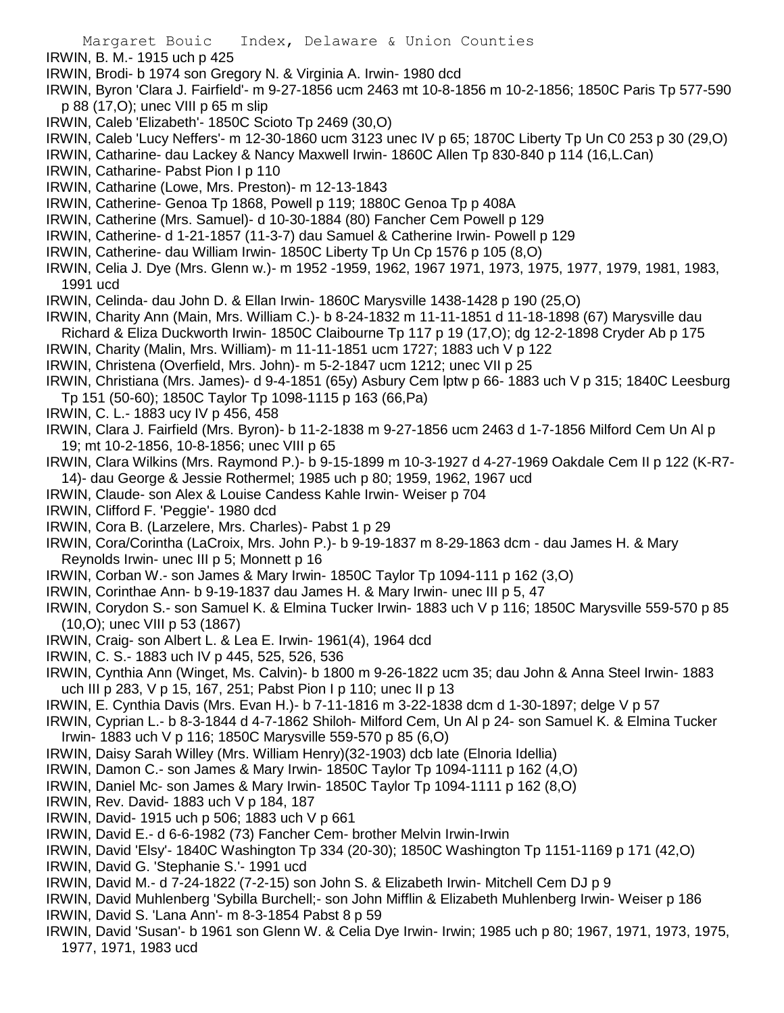- IRWIN, B. M.- 1915 uch p 425
- IRWIN, Brodi- b 1974 son Gregory N. & Virginia A. Irwin- 1980 dcd
- IRWIN, Byron 'Clara J. Fairfield'- m 9-27-1856 ucm 2463 mt 10-8-1856 m 10-2-1856; 1850C Paris Tp 577-590 p 88 (17,O); unec VIII p 65 m slip
- IRWIN, Caleb 'Elizabeth'- 1850C Scioto Tp 2469 (30,O)
- IRWIN, Caleb 'Lucy Neffers'- m 12-30-1860 ucm 3123 unec IV p 65; 1870C Liberty Tp Un C0 253 p 30 (29,O)
- IRWIN, Catharine- dau Lackey & Nancy Maxwell Irwin- 1860C Allen Tp 830-840 p 114 (16,L.Can)
- IRWIN, Catharine- Pabst Pion I p 110
- IRWIN, Catharine (Lowe, Mrs. Preston)- m 12-13-1843
- IRWIN, Catherine- Genoa Tp 1868, Powell p 119; 1880C Genoa Tp p 408A
- IRWIN, Catherine (Mrs. Samuel)- d 10-30-1884 (80) Fancher Cem Powell p 129
- IRWIN, Catherine- d 1-21-1857 (11-3-7) dau Samuel & Catherine Irwin- Powell p 129
- IRWIN, Catherine- dau William Irwin- 1850C Liberty Tp Un Cp 1576 p 105 (8,O)
- IRWIN, Celia J. Dye (Mrs. Glenn w.)- m 1952 -1959, 1962, 1967 1971, 1973, 1975, 1977, 1979, 1981, 1983, 1991 ucd
- IRWIN, Celinda- dau John D. & Ellan Irwin- 1860C Marysville 1438-1428 p 190 (25,O)
- IRWIN, Charity Ann (Main, Mrs. William C.)- b 8-24-1832 m 11-11-1851 d 11-18-1898 (67) Marysville dau Richard & Eliza Duckworth Irwin- 1850C Claibourne Tp 117 p 19 (17,O); dg 12-2-1898 Cryder Ab p 175
- IRWIN, Charity (Malin, Mrs. William)- m 11-11-1851 ucm 1727; 1883 uch V p 122
- IRWIN, Christena (Overfield, Mrs. John)- m 5-2-1847 ucm 1212; unec VII p 25
- IRWIN, Christiana (Mrs. James)- d 9-4-1851 (65y) Asbury Cem lptw p 66- 1883 uch V p 315; 1840C Leesburg Tp 151 (50-60); 1850C Taylor Tp 1098-1115 p 163 (66,Pa)
- IRWIN, C. L.- 1883 ucy IV p 456, 458
- IRWIN, Clara J. Fairfield (Mrs. Byron)- b 11-2-1838 m 9-27-1856 ucm 2463 d 1-7-1856 Milford Cem Un Al p 19; mt 10-2-1856, 10-8-1856; unec VIII p 65
- IRWIN, Clara Wilkins (Mrs. Raymond P.)- b 9-15-1899 m 10-3-1927 d 4-27-1969 Oakdale Cem II p 122 (K-R7- 14)- dau George & Jessie Rothermel; 1985 uch p 80; 1959, 1962, 1967 ucd
- IRWIN, Claude- son Alex & Louise Candess Kahle Irwin- Weiser p 704
- IRWIN, Clifford F. 'Peggie'- 1980 dcd
- IRWIN, Cora B. (Larzelere, Mrs. Charles)- Pabst 1 p 29
- IRWIN, Cora/Corintha (LaCroix, Mrs. John P.)- b 9-19-1837 m 8-29-1863 dcm dau James H. & Mary Reynolds Irwin- unec III p 5; Monnett p 16
- IRWIN, Corban W.- son James & Mary Irwin- 1850C Taylor Tp 1094-111 p 162 (3,O)
- IRWIN, Corinthae Ann- b 9-19-1837 dau James H. & Mary Irwin- unec III p 5, 47
- IRWIN, Corydon S.- son Samuel K. & Elmina Tucker Irwin- 1883 uch V p 116; 1850C Marysville 559-570 p 85 (10,O); unec VIII p 53 (1867)
- IRWIN, Craig- son Albert L. & Lea E. Irwin- 1961(4), 1964 dcd
- IRWIN, C. S.- 1883 uch IV p 445, 525, 526, 536
- IRWIN, Cynthia Ann (Winget, Ms. Calvin)- b 1800 m 9-26-1822 ucm 35; dau John & Anna Steel Irwin- 1883 uch III p 283, V p 15, 167, 251; Pabst Pion I p 110; unec II p 13
- IRWIN, E. Cynthia Davis (Mrs. Evan H.)- b 7-11-1816 m 3-22-1838 dcm d 1-30-1897; delge V p 57
- IRWIN, Cyprian L.- b 8-3-1844 d 4-7-1862 Shiloh- Milford Cem, Un Al p 24- son Samuel K. & Elmina Tucker Irwin- 1883 uch V p 116; 1850C Marysville 559-570 p 85 (6,O)
- IRWIN, Daisy Sarah Willey (Mrs. William Henry)(32-1903) dcb late (Elnoria Idellia)
- IRWIN, Damon C.- son James & Mary Irwin- 1850C Taylor Tp 1094-1111 p 162 (4,O)
- IRWIN, Daniel Mc- son James & Mary Irwin- 1850C Taylor Tp 1094-1111 p 162 (8,O)
- IRWIN, Rev. David- 1883 uch V p 184, 187
- IRWIN, David- 1915 uch p 506; 1883 uch V p 661
- IRWIN, David E.- d 6-6-1982 (73) Fancher Cem- brother Melvin Irwin-Irwin
- IRWIN, David 'Elsy'- 1840C Washington Tp 334 (20-30); 1850C Washington Tp 1151-1169 p 171 (42,O)
- IRWIN, David G. 'Stephanie S.'- 1991 ucd
- IRWIN, David M.- d 7-24-1822 (7-2-15) son John S. & Elizabeth Irwin- Mitchell Cem DJ p 9
- IRWIN, David Muhlenberg 'Sybilla Burchell;- son John Mifflin & Elizabeth Muhlenberg Irwin- Weiser p 186 IRWIN, David S. 'Lana Ann'- m 8-3-1854 Pabst 8 p 59
- IRWIN, David 'Susan'- b 1961 son Glenn W. & Celia Dye Irwin- Irwin; 1985 uch p 80; 1967, 1971, 1973, 1975, 1977, 1971, 1983 ucd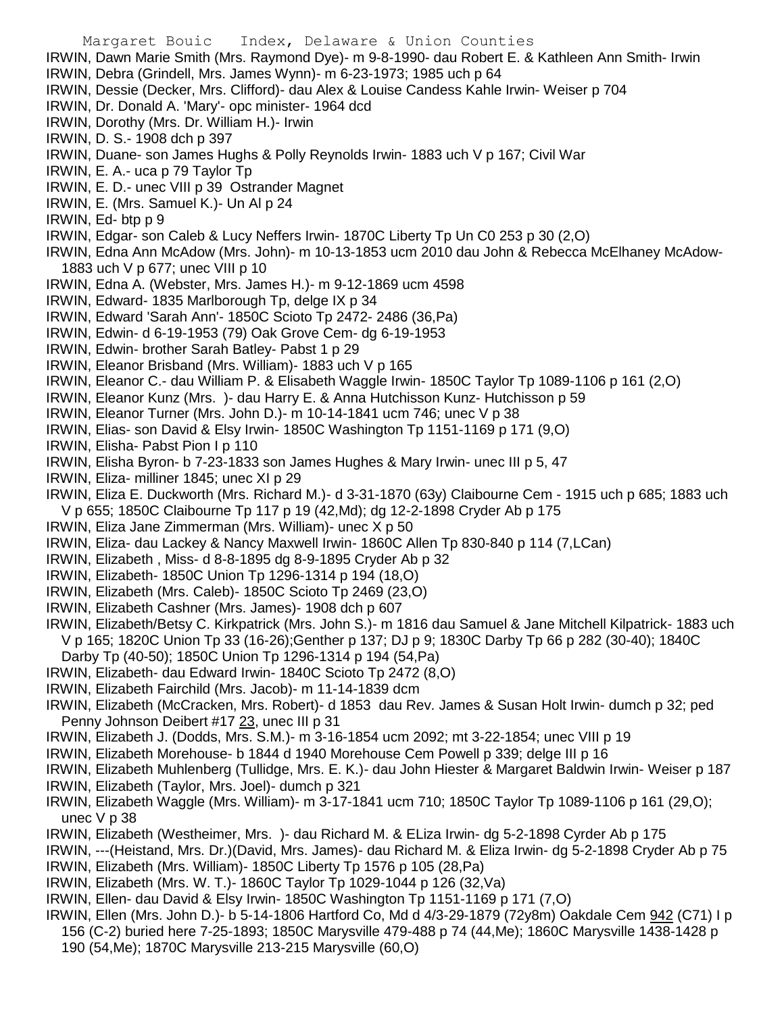- Margaret Bouic Index, Delaware & Union Counties IRWIN, Dawn Marie Smith (Mrs. Raymond Dye)- m 9-8-1990- dau Robert E. & Kathleen Ann Smith- Irwin IRWIN, Debra (Grindell, Mrs. James Wynn)- m 6-23-1973; 1985 uch p 64 IRWIN, Dessie (Decker, Mrs. Clifford)- dau Alex & Louise Candess Kahle Irwin- Weiser p 704 IRWIN, Dr. Donald A. 'Mary'- opc minister- 1964 dcd IRWIN, Dorothy (Mrs. Dr. William H.)- Irwin IRWIN, D. S.- 1908 dch p 397 IRWIN, Duane- son James Hughs & Polly Reynolds Irwin- 1883 uch V p 167; Civil War IRWIN, E. A.- uca p 79 Taylor Tp IRWIN, E. D.- unec VIII p 39 Ostrander Magnet IRWIN, E. (Mrs. Samuel K.)- Un Al p 24 IRWIN, Ed- btp p 9 IRWIN, Edgar- son Caleb & Lucy Neffers Irwin- 1870C Liberty Tp Un C0 253 p 30 (2,O) IRWIN, Edna Ann McAdow (Mrs. John)- m 10-13-1853 ucm 2010 dau John & Rebecca McElhaney McAdow-1883 uch V p 677; unec VIII p 10 IRWIN, Edna A. (Webster, Mrs. James H.)- m 9-12-1869 ucm 4598 IRWIN, Edward- 1835 Marlborough Tp, delge IX p 34 IRWIN, Edward 'Sarah Ann'- 1850C Scioto Tp 2472- 2486 (36,Pa) IRWIN, Edwin- d 6-19-1953 (79) Oak Grove Cem- dg 6-19-1953 IRWIN, Edwin- brother Sarah Batley- Pabst 1 p 29 IRWIN, Eleanor Brisband (Mrs. William)- 1883 uch V p 165 IRWIN, Eleanor C.- dau William P. & Elisabeth Waggle Irwin- 1850C Taylor Tp 1089-1106 p 161 (2,O) IRWIN, Eleanor Kunz (Mrs. )- dau Harry E. & Anna Hutchisson Kunz- Hutchisson p 59 IRWIN, Eleanor Turner (Mrs. John D.)- m 10-14-1841 ucm 746; unec V p 38 IRWIN, Elias- son David & Elsy Irwin- 1850C Washington Tp 1151-1169 p 171 (9,O) IRWIN, Elisha- Pabst Pion I p 110 IRWIN, Elisha Byron- b 7-23-1833 son James Hughes & Mary Irwin- unec III p 5, 47 IRWIN, Eliza- milliner 1845; unec XI p 29 IRWIN, Eliza E. Duckworth (Mrs. Richard M.)- d 3-31-1870 (63y) Claibourne Cem - 1915 uch p 685; 1883 uch V p 655; 1850C Claibourne Tp 117 p 19 (42,Md); dg 12-2-1898 Cryder Ab p 175 IRWIN, Eliza Jane Zimmerman (Mrs. William)- unec X p 50 IRWIN, Eliza- dau Lackey & Nancy Maxwell Irwin- 1860C Allen Tp 830-840 p 114 (7,LCan) IRWIN, Elizabeth , Miss- d 8-8-1895 dg 8-9-1895 Cryder Ab p 32 IRWIN, Elizabeth- 1850C Union Tp 1296-1314 p 194 (18,O) IRWIN, Elizabeth (Mrs. Caleb)- 1850C Scioto Tp 2469 (23,O) IRWIN, Elizabeth Cashner (Mrs. James)- 1908 dch p 607 IRWIN, Elizabeth/Betsy C. Kirkpatrick (Mrs. John S.)- m 1816 dau Samuel & Jane Mitchell Kilpatrick- 1883 uch V p 165; 1820C Union Tp 33 (16-26);Genther p 137; DJ p 9; 1830C Darby Tp 66 p 282 (30-40); 1840C Darby Tp (40-50); 1850C Union Tp 1296-1314 p 194 (54,Pa) IRWIN, Elizabeth- dau Edward Irwin- 1840C Scioto Tp 2472 (8,O) IRWIN, Elizabeth Fairchild (Mrs. Jacob)- m 11-14-1839 dcm IRWIN, Elizabeth (McCracken, Mrs. Robert)- d 1853 dau Rev. James & Susan Holt Irwin- dumch p 32; ped Penny Johnson Deibert #17 23, unec III p 31 IRWIN, Elizabeth J. (Dodds, Mrs. S.M.)- m 3-16-1854 ucm 2092; mt 3-22-1854; unec VIII p 19 IRWIN, Elizabeth Morehouse- b 1844 d 1940 Morehouse Cem Powell p 339; delge III p 16 IRWIN, Elizabeth Muhlenberg (Tullidge, Mrs. E. K.)- dau John Hiester & Margaret Baldwin Irwin- Weiser p 187 IRWIN, Elizabeth (Taylor, Mrs. Joel)- dumch p 321 IRWIN, Elizabeth Waggle (Mrs. William)- m 3-17-1841 ucm 710; 1850C Taylor Tp 1089-1106 p 161 (29,O); unec V p 38 IRWIN, Elizabeth (Westheimer, Mrs. )- dau Richard M. & ELiza Irwin- dg 5-2-1898 Cyrder Ab p 175 IRWIN, ---(Heistand, Mrs. Dr.)(David, Mrs. James)- dau Richard M. & Eliza Irwin- dg 5-2-1898 Cryder Ab p 75
- IRWIN, Elizabeth (Mrs. William)- 1850C Liberty Tp 1576 p 105 (28,Pa)
- IRWIN, Elizabeth (Mrs. W. T.)- 1860C Taylor Tp 1029-1044 p 126 (32,Va)
- IRWIN, Ellen- dau David & Elsy Irwin- 1850C Washington Tp 1151-1169 p 171 (7,O)
- IRWIN, Ellen (Mrs. John D.)- b 5-14-1806 Hartford Co, Md d 4/3-29-1879 (72y8m) Oakdale Cem 942 (C71) I p 156 (C-2) buried here 7-25-1893; 1850C Marysville 479-488 p 74 (44,Me); 1860C Marysville 1438-1428 p 190 (54,Me); 1870C Marysville 213-215 Marysville (60,O)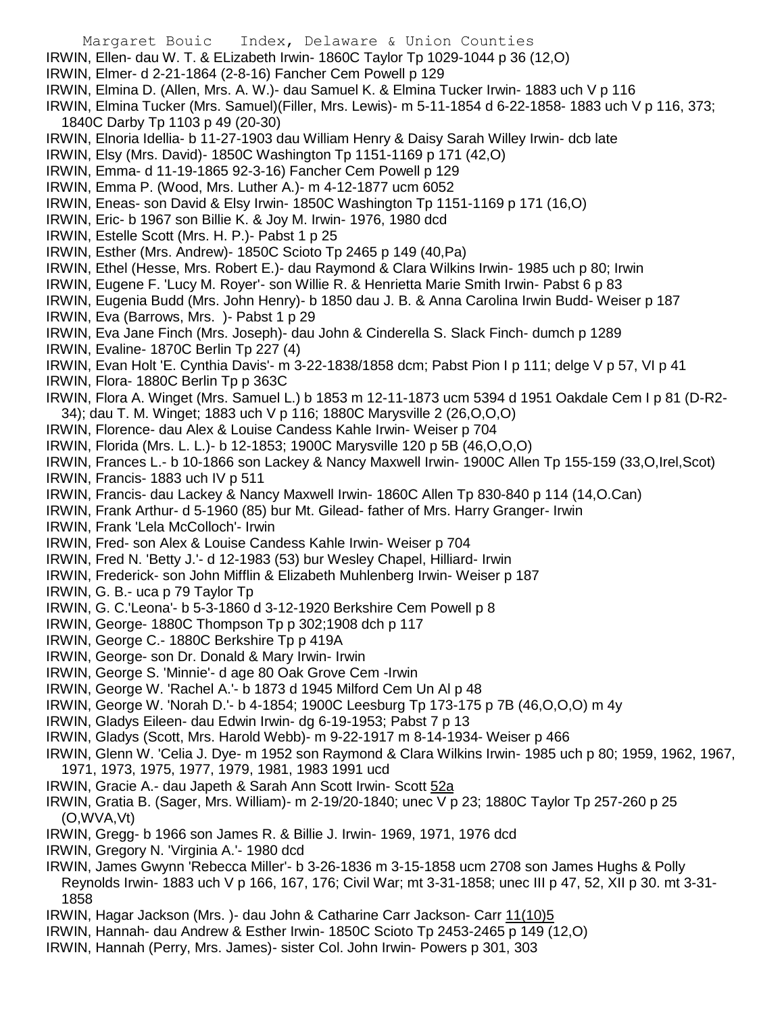- Margaret Bouic Index, Delaware & Union Counties IRWIN, Ellen- dau W. T. & ELizabeth Irwin- 1860C Taylor Tp 1029-1044 p 36 (12,O) IRWIN, Elmer- d 2-21-1864 (2-8-16) Fancher Cem Powell p 129 IRWIN, Elmina D. (Allen, Mrs. A. W.)- dau Samuel K. & Elmina Tucker Irwin- 1883 uch V p 116 IRWIN, Elmina Tucker (Mrs. Samuel)(Filler, Mrs. Lewis)- m 5-11-1854 d 6-22-1858- 1883 uch V p 116, 373; 1840C Darby Tp 1103 p 49 (20-30) IRWIN, Elnoria Idellia- b 11-27-1903 dau William Henry & Daisy Sarah Willey Irwin- dcb late IRWIN, Elsy (Mrs. David)- 1850C Washington Tp 1151-1169 p 171 (42,O) IRWIN, Emma- d 11-19-1865 92-3-16) Fancher Cem Powell p 129 IRWIN, Emma P. (Wood, Mrs. Luther A.)- m 4-12-1877 ucm 6052 IRWIN, Eneas- son David & Elsy Irwin- 1850C Washington Tp 1151-1169 p 171 (16,O) IRWIN, Eric- b 1967 son Billie K. & Joy M. Irwin- 1976, 1980 dcd IRWIN, Estelle Scott (Mrs. H. P.)- Pabst 1 p 25 IRWIN, Esther (Mrs. Andrew)- 1850C Scioto Tp 2465 p 149 (40,Pa) IRWIN, Ethel (Hesse, Mrs. Robert E.)- dau Raymond & Clara Wilkins Irwin- 1985 uch p 80; Irwin IRWIN, Eugene F. 'Lucy M. Royer'- son Willie R. & Henrietta Marie Smith Irwin- Pabst 6 p 83 IRWIN, Eugenia Budd (Mrs. John Henry)- b 1850 dau J. B. & Anna Carolina Irwin Budd- Weiser p 187 IRWIN, Eva (Barrows, Mrs. )- Pabst 1 p 29 IRWIN, Eva Jane Finch (Mrs. Joseph)- dau John & Cinderella S. Slack Finch- dumch p 1289 IRWIN, Evaline- 1870C Berlin Tp 227 (4) IRWIN, Evan Holt 'E. Cynthia Davis'- m 3-22-1838/1858 dcm; Pabst Pion I p 111; delge V p 57, VI p 41 IRWIN, Flora- 1880C Berlin Tp p 363C IRWIN, Flora A. Winget (Mrs. Samuel L.) b 1853 m 12-11-1873 ucm 5394 d 1951 Oakdale Cem I p 81 (D-R2- 34); dau T. M. Winget; 1883 uch V p 116; 1880C Marysville 2 (26,O,O,O) IRWIN, Florence- dau Alex & Louise Candess Kahle Irwin- Weiser p 704 IRWIN, Florida (Mrs. L. L.)- b 12-1853; 1900C Marysville 120 p 5B (46,O,O,O) IRWIN, Frances L.- b 10-1866 son Lackey & Nancy Maxwell Irwin- 1900C Allen Tp 155-159 (33,O,Irel,Scot) IRWIN, Francis- 1883 uch IV p 511 IRWIN, Francis- dau Lackey & Nancy Maxwell Irwin- 1860C Allen Tp 830-840 p 114 (14,O.Can) IRWIN, Frank Arthur- d 5-1960 (85) bur Mt. Gilead- father of Mrs. Harry Granger- Irwin IRWIN, Frank 'Lela McColloch'- Irwin IRWIN, Fred- son Alex & Louise Candess Kahle Irwin- Weiser p 704 IRWIN, Fred N. 'Betty J.'- d 12-1983 (53) bur Wesley Chapel, Hilliard- Irwin IRWIN, Frederick- son John Mifflin & Elizabeth Muhlenberg Irwin- Weiser p 187 IRWIN, G. B.- uca p 79 Taylor Tp IRWIN, G. C.'Leona'- b 5-3-1860 d 3-12-1920 Berkshire Cem Powell p 8 IRWIN, George- 1880C Thompson Tp p 302;1908 dch p 117 IRWIN, George C.- 1880C Berkshire Tp p 419A IRWIN, George- son Dr. Donald & Mary Irwin- Irwin IRWIN, George S. 'Minnie'- d age 80 Oak Grove Cem -Irwin IRWIN, George W. 'Rachel A.'- b 1873 d 1945 Milford Cem Un Al p 48 IRWIN, George W. 'Norah D.'- b 4-1854; 1900C Leesburg Tp 173-175 p 7B (46,O,O,O) m 4y IRWIN, Gladys Eileen- dau Edwin Irwin- dg 6-19-1953; Pabst 7 p 13
	- IRWIN, Gladys (Scott, Mrs. Harold Webb)- m 9-22-1917 m 8-14-1934- Weiser p 466
	- IRWIN, Glenn W. 'Celia J. Dye- m 1952 son Raymond & Clara Wilkins Irwin- 1985 uch p 80; 1959, 1962, 1967, 1971, 1973, 1975, 1977, 1979, 1981, 1983 1991 ucd
	- IRWIN, Gracie A.- dau Japeth & Sarah Ann Scott Irwin- Scott 52a
	- IRWIN, Gratia B. (Sager, Mrs. William)- m 2-19/20-1840; unec V p 23; 1880C Taylor Tp 257-260 p 25 (O,WVA,Vt)
	- IRWIN, Gregg- b 1966 son James R. & Billie J. Irwin- 1969, 1971, 1976 dcd
	- IRWIN, Gregory N. 'Virginia A.'- 1980 dcd
	- IRWIN, James Gwynn 'Rebecca Miller'- b 3-26-1836 m 3-15-1858 ucm 2708 son James Hughs & Polly Reynolds Irwin- 1883 uch V p 166, 167, 176; Civil War; mt 3-31-1858; unec III p 47, 52, XII p 30. mt 3-31- 1858
	- IRWIN, Hagar Jackson (Mrs. )- dau John & Catharine Carr Jackson- Carr 11(10)5
	- IRWIN, Hannah- dau Andrew & Esther Irwin- 1850C Scioto Tp 2453-2465 p 149 (12,O)
	- IRWIN, Hannah (Perry, Mrs. James)- sister Col. John Irwin- Powers p 301, 303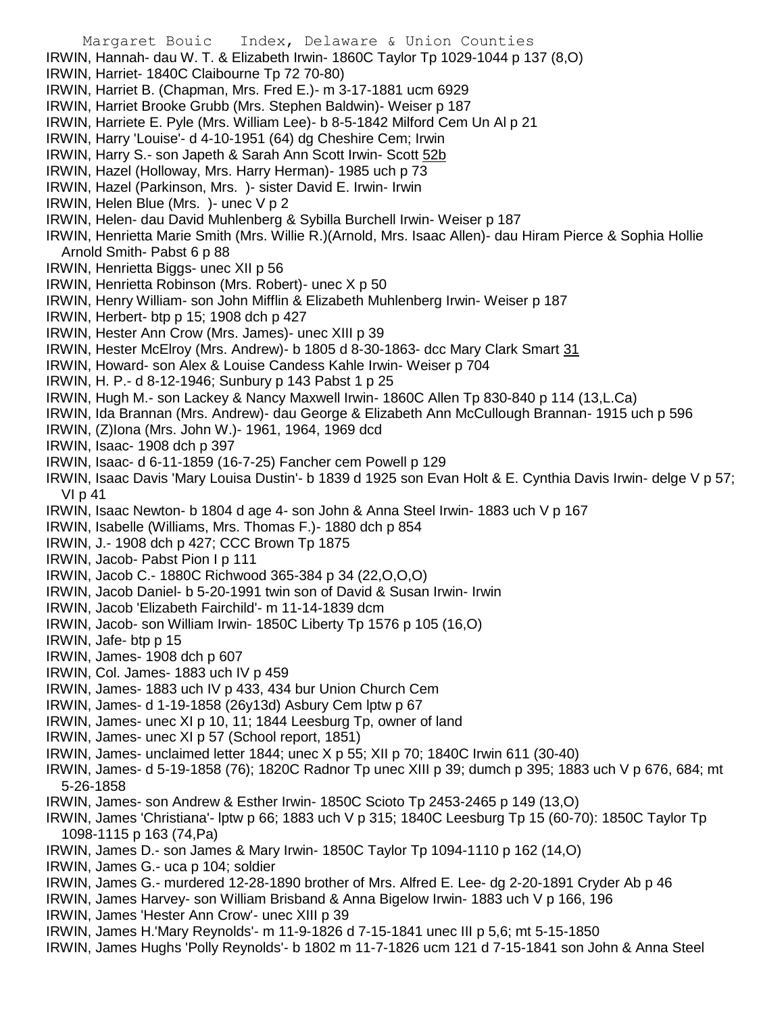Margaret Bouic Index, Delaware & Union Counties IRWIN, Hannah- dau W. T. & Elizabeth Irwin- 1860C Taylor Tp 1029-1044 p 137 (8,O) IRWIN, Harriet- 1840C Claibourne Tp 72 70-80) IRWIN, Harriet B. (Chapman, Mrs. Fred E.)- m 3-17-1881 ucm 6929 IRWIN, Harriet Brooke Grubb (Mrs. Stephen Baldwin)- Weiser p 187 IRWIN, Harriete E. Pyle (Mrs. William Lee)- b 8-5-1842 Milford Cem Un Al p 21 IRWIN, Harry 'Louise'- d 4-10-1951 (64) dg Cheshire Cem; Irwin IRWIN, Harry S.- son Japeth & Sarah Ann Scott Irwin- Scott 52b IRWIN, Hazel (Holloway, Mrs. Harry Herman)- 1985 uch p 73 IRWIN, Hazel (Parkinson, Mrs. )- sister David E. Irwin- Irwin IRWIN, Helen Blue (Mrs. )- unec V p 2 IRWIN, Helen- dau David Muhlenberg & Sybilla Burchell Irwin- Weiser p 187 IRWIN, Henrietta Marie Smith (Mrs. Willie R.)(Arnold, Mrs. Isaac Allen)- dau Hiram Pierce & Sophia Hollie Arnold Smith- Pabst 6 p 88 IRWIN, Henrietta Biggs- unec XII p 56 IRWIN, Henrietta Robinson (Mrs. Robert)- unec X p 50 IRWIN, Henry William- son John Mifflin & Elizabeth Muhlenberg Irwin- Weiser p 187 IRWIN, Herbert- btp p 15; 1908 dch p 427 IRWIN, Hester Ann Crow (Mrs. James)- unec XIII p 39 IRWIN, Hester McElroy (Mrs. Andrew)- b 1805 d 8-30-1863- dcc Mary Clark Smart 31 IRWIN, Howard- son Alex & Louise Candess Kahle Irwin- Weiser p 704 IRWIN, H. P.- d 8-12-1946; Sunbury p 143 Pabst 1 p 25 IRWIN, Hugh M.- son Lackey & Nancy Maxwell Irwin- 1860C Allen Tp 830-840 p 114 (13,L.Ca) IRWIN, Ida Brannan (Mrs. Andrew)- dau George & Elizabeth Ann McCullough Brannan- 1915 uch p 596 IRWIN, (Z)Iona (Mrs. John W.)- 1961, 1964, 1969 dcd IRWIN, Isaac- 1908 dch p 397 IRWIN, Isaac- d 6-11-1859 (16-7-25) Fancher cem Powell p 129 IRWIN, Isaac Davis 'Mary Louisa Dustin'- b 1839 d 1925 son Evan Holt & E. Cynthia Davis Irwin- delge V p 57; VI p 41 IRWIN, Isaac Newton- b 1804 d age 4- son John & Anna Steel Irwin- 1883 uch V p 167 IRWIN, Isabelle (Williams, Mrs. Thomas F.)- 1880 dch p 854 IRWIN, J.- 1908 dch p 427; CCC Brown Tp 1875 IRWIN, Jacob- Pabst Pion I p 111 IRWIN, Jacob C.- 1880C Richwood 365-384 p 34 (22,O,O,O) IRWIN, Jacob Daniel- b 5-20-1991 twin son of David & Susan Irwin- Irwin IRWIN, Jacob 'Elizabeth Fairchild'- m 11-14-1839 dcm IRWIN, Jacob- son William Irwin- 1850C Liberty Tp 1576 p 105 (16,O) IRWIN, Jafe- btp p 15 IRWIN, James- 1908 dch p 607 IRWIN, Col. James- 1883 uch IV p 459 IRWIN, James- 1883 uch IV p 433, 434 bur Union Church Cem IRWIN, James- d 1-19-1858 (26y13d) Asbury Cem lptw p 67 IRWIN, James- unec XI p 10, 11; 1844 Leesburg Tp, owner of land IRWIN, James- unec XI p 57 (School report, 1851) IRWIN, James- unclaimed letter 1844; unec X p 55; XII p 70; 1840C Irwin 611 (30-40) IRWIN, James- d 5-19-1858 (76); 1820C Radnor Tp unec XIII p 39; dumch p 395; 1883 uch V p 676, 684; mt 5-26-1858 IRWIN, James- son Andrew & Esther Irwin- 1850C Scioto Tp 2453-2465 p 149 (13,O) IRWIN, James 'Christiana'- lptw p 66; 1883 uch V p 315; 1840C Leesburg Tp 15 (60-70): 1850C Taylor Tp 1098-1115 p 163 (74,Pa) IRWIN, James D.- son James & Mary Irwin- 1850C Taylor Tp 1094-1110 p 162 (14,O) IRWIN, James G.- uca p 104; soldier IRWIN, James G.- murdered 12-28-1890 brother of Mrs. Alfred E. Lee- dg 2-20-1891 Cryder Ab p 46 IRWIN, James Harvey- son William Brisband & Anna Bigelow Irwin- 1883 uch V p 166, 196 IRWIN, James 'Hester Ann Crow'- unec XIII p 39 IRWIN, James H.'Mary Reynolds'- m 11-9-1826 d 7-15-1841 unec III p 5,6; mt 5-15-1850 IRWIN, James Hughs 'Polly Reynolds'- b 1802 m 11-7-1826 ucm 121 d 7-15-1841 son John & Anna Steel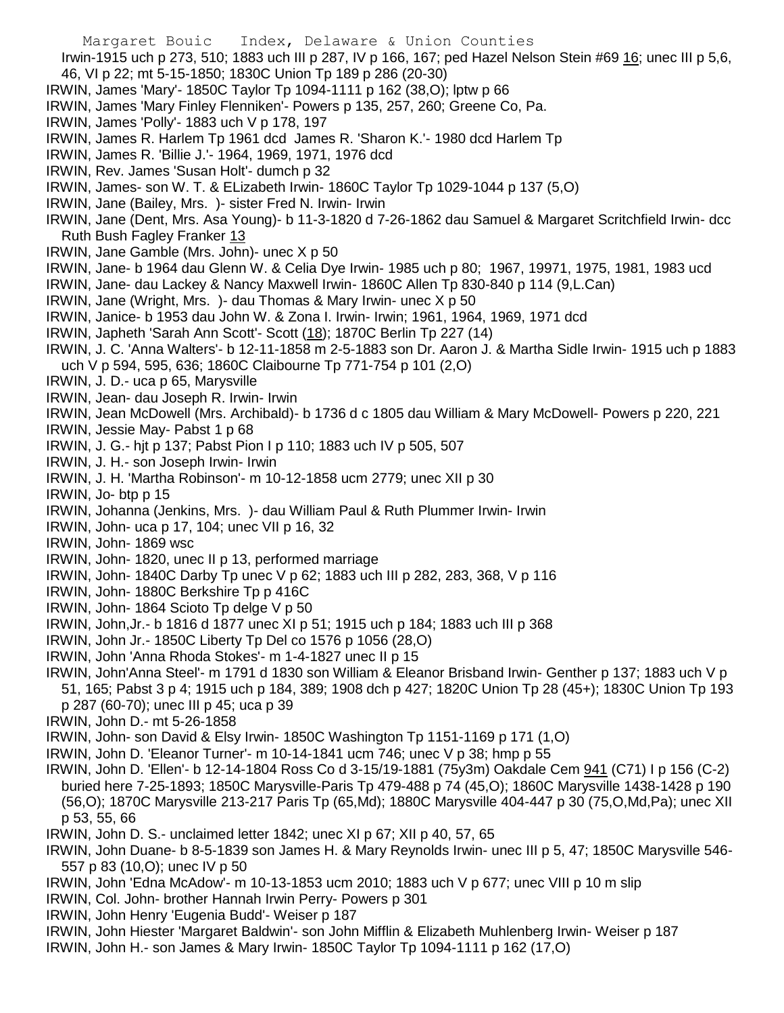- Margaret Bouic Index, Delaware & Union Counties Irwin-1915 uch p 273, 510; 1883 uch III p 287, IV p 166, 167; ped Hazel Nelson Stein #69 16; unec III p 5,6, 46, VI p 22; mt 5-15-1850; 1830C Union Tp 189 p 286 (20-30) IRWIN, James 'Mary'- 1850C Taylor Tp 1094-1111 p 162 (38,O); lptw p 66 IRWIN, James 'Mary Finley Flenniken'- Powers p 135, 257, 260; Greene Co, Pa. IRWIN, James 'Polly'- 1883 uch V p 178, 197 IRWIN, James R. Harlem Tp 1961 dcd James R. 'Sharon K.'- 1980 dcd Harlem Tp IRWIN, James R. 'Billie J.'- 1964, 1969, 1971, 1976 dcd IRWIN, Rev. James 'Susan Holt'- dumch p 32 IRWIN, James- son W. T. & ELizabeth Irwin- 1860C Taylor Tp 1029-1044 p 137 (5,O) IRWIN, Jane (Bailey, Mrs. )- sister Fred N. Irwin- Irwin IRWIN, Jane (Dent, Mrs. Asa Young)- b 11-3-1820 d 7-26-1862 dau Samuel & Margaret Scritchfield Irwin- dcc Ruth Bush Fagley Franker 13 IRWIN, Jane Gamble (Mrs. John)- unec X p 50 IRWIN, Jane- b 1964 dau Glenn W. & Celia Dye Irwin- 1985 uch p 80; 1967, 19971, 1975, 1981, 1983 ucd IRWIN, Jane- dau Lackey & Nancy Maxwell Irwin- 1860C Allen Tp 830-840 p 114 (9,L.Can) IRWIN, Jane (Wright, Mrs. )- dau Thomas & Mary Irwin- unec X p 50 IRWIN, Janice- b 1953 dau John W. & Zona I. Irwin- Irwin; 1961, 1964, 1969, 1971 dcd IRWIN, Japheth 'Sarah Ann Scott'- Scott (18); 1870C Berlin Tp 227 (14) IRWIN, J. C. 'Anna Walters'- b 12-11-1858 m 2-5-1883 son Dr. Aaron J. & Martha Sidle Irwin- 1915 uch p 1883 uch V p 594, 595, 636; 1860C Claibourne Tp 771-754 p 101 (2,O) IRWIN, J. D.- uca p 65, Marysville IRWIN, Jean- dau Joseph R. Irwin- Irwin IRWIN, Jean McDowell (Mrs. Archibald)- b 1736 d c 1805 dau William & Mary McDowell- Powers p 220, 221 IRWIN, Jessie May- Pabst 1 p 68 IRWIN, J. G.- hjt p 137; Pabst Pion I p 110; 1883 uch IV p 505, 507 IRWIN, J. H.- son Joseph Irwin- Irwin IRWIN, J. H. 'Martha Robinson'- m 10-12-1858 ucm 2779; unec XII p 30 IRWIN, Jo- btp p 15 IRWIN, Johanna (Jenkins, Mrs. )- dau William Paul & Ruth Plummer Irwin- Irwin IRWIN, John- uca p 17, 104; unec VII p 16, 32 IRWIN, John- 1869 wsc IRWIN, John- 1820, unec II p 13, performed marriage IRWIN, John- 1840C Darby Tp unec V p 62; 1883 uch III p 282, 283, 368, V p 116 IRWIN, John- 1880C Berkshire Tp p 416C IRWIN, John- 1864 Scioto Tp delge V p 50 IRWIN, John,Jr.- b 1816 d 1877 unec XI p 51; 1915 uch p 184; 1883 uch III p 368 IRWIN, John Jr.- 1850C Liberty Tp Del co 1576 p 1056 (28,O) IRWIN, John 'Anna Rhoda Stokes'- m 1-4-1827 unec II p 15 IRWIN, John'Anna Steel'- m 1791 d 1830 son William & Eleanor Brisband Irwin- Genther p 137; 1883 uch V p 51, 165; Pabst 3 p 4; 1915 uch p 184, 389; 1908 dch p 427; 1820C Union Tp 28 (45+); 1830C Union Tp 193 p 287 (60-70); unec III p 45; uca p 39 IRWIN, John D.- mt 5-26-1858 IRWIN, John- son David & Elsy Irwin- 1850C Washington Tp 1151-1169 p 171 (1,O) IRWIN, John D. 'Eleanor Turner'- m 10-14-1841 ucm 746; unec V p 38; hmp p 55 IRWIN, John D. 'Ellen'- b 12-14-1804 Ross Co d 3-15/19-1881 (75y3m) Oakdale Cem 941 (C71) I p 156 (C-2) buried here 7-25-1893; 1850C Marysville-Paris Tp 479-488 p 74 (45,O); 1860C Marysville 1438-1428 p 190 (56,O); 1870C Marysville 213-217 Paris Tp (65,Md); 1880C Marysville 404-447 p 30 (75,O,Md,Pa); unec XII p 53, 55, 66 IRWIN, John D. S.- unclaimed letter 1842; unec XI p 67; XII p 40, 57, 65 IRWIN, John Duane- b 8-5-1839 son James H. & Mary Reynolds Irwin- unec III p 5, 47; 1850C Marysville 546- 557 p 83 (10,O); unec IV p 50
- IRWIN, John 'Edna McAdow'- m 10-13-1853 ucm 2010; 1883 uch V p 677; unec VIII p 10 m slip
- IRWIN, Col. John- brother Hannah Irwin Perry- Powers p 301
- IRWIN, John Henry 'Eugenia Budd'- Weiser p 187
- IRWIN, John Hiester 'Margaret Baldwin'- son John Mifflin & Elizabeth Muhlenberg Irwin- Weiser p 187
- IRWIN, John H.- son James & Mary Irwin- 1850C Taylor Tp 1094-1111 p 162 (17,O)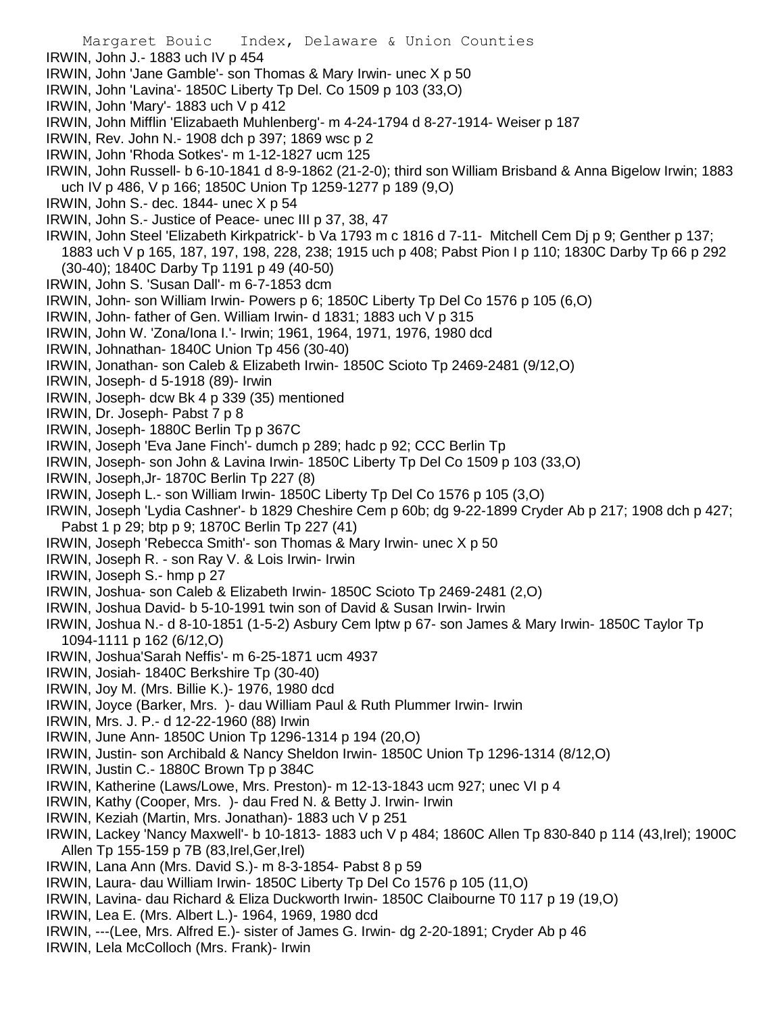Margaret Bouic Index, Delaware & Union Counties IRWIN, John J.- 1883 uch IV p 454 IRWIN, John 'Jane Gamble'- son Thomas & Mary Irwin- unec X p 50 IRWIN, John 'Lavina'- 1850C Liberty Tp Del. Co 1509 p 103 (33,O) IRWIN, John 'Mary'- 1883 uch V p 412 IRWIN, John Mifflin 'Elizabaeth Muhlenberg'- m 4-24-1794 d 8-27-1914- Weiser p 187 IRWIN, Rev. John N.- 1908 dch p 397; 1869 wsc p 2 IRWIN, John 'Rhoda Sotkes'- m 1-12-1827 ucm 125 IRWIN, John Russell- b 6-10-1841 d 8-9-1862 (21-2-0); third son William Brisband & Anna Bigelow Irwin; 1883 uch IV p 486, V p 166; 1850C Union Tp 1259-1277 p 189 (9,O) IRWIN, John S.- dec. 1844- unec X p 54 IRWIN, John S.- Justice of Peace- unec III p 37, 38, 47 IRWIN, John Steel 'Elizabeth Kirkpatrick'- b Va 1793 m c 1816 d 7-11- Mitchell Cem Dj p 9; Genther p 137; 1883 uch V p 165, 187, 197, 198, 228, 238; 1915 uch p 408; Pabst Pion I p 110; 1830C Darby Tp 66 p 292 (30-40); 1840C Darby Tp 1191 p 49 (40-50) IRWIN, John S. 'Susan Dall'- m 6-7-1853 dcm IRWIN, John- son William Irwin- Powers p 6; 1850C Liberty Tp Del Co 1576 p 105 (6,O) IRWIN, John- father of Gen. William Irwin- d 1831; 1883 uch V p 315 IRWIN, John W. 'Zona/Iona I.'- Irwin; 1961, 1964, 1971, 1976, 1980 dcd IRWIN, Johnathan- 1840C Union Tp 456 (30-40) IRWIN, Jonathan- son Caleb & Elizabeth Irwin- 1850C Scioto Tp 2469-2481 (9/12,O) IRWIN, Joseph- d 5-1918 (89)- Irwin IRWIN, Joseph- dcw Bk 4 p 339 (35) mentioned IRWIN, Dr. Joseph- Pabst 7 p 8 IRWIN, Joseph- 1880C Berlin Tp p 367C IRWIN, Joseph 'Eva Jane Finch'- dumch p 289; hadc p 92; CCC Berlin Tp IRWIN, Joseph- son John & Lavina Irwin- 1850C Liberty Tp Del Co 1509 p 103 (33,O) IRWIN, Joseph,Jr- 1870C Berlin Tp 227 (8) IRWIN, Joseph L.- son William Irwin- 1850C Liberty Tp Del Co 1576 p 105 (3,O) IRWIN, Joseph 'Lydia Cashner'- b 1829 Cheshire Cem p 60b; dg 9-22-1899 Cryder Ab p 217; 1908 dch p 427; Pabst 1 p 29; btp p 9; 1870C Berlin Tp 227 (41) IRWIN, Joseph 'Rebecca Smith'- son Thomas & Mary Irwin- unec X p 50 IRWIN, Joseph R. - son Ray V. & Lois Irwin- Irwin IRWIN, Joseph S.- hmp p 27 IRWIN, Joshua- son Caleb & Elizabeth Irwin- 1850C Scioto Tp 2469-2481 (2,O) IRWIN, Joshua David- b 5-10-1991 twin son of David & Susan Irwin- Irwin IRWIN, Joshua N.- d 8-10-1851 (1-5-2) Asbury Cem lptw p 67- son James & Mary Irwin- 1850C Taylor Tp 1094-1111 p 162 (6/12,O) IRWIN, Joshua'Sarah Neffis'- m 6-25-1871 ucm 4937 IRWIN, Josiah- 1840C Berkshire Tp (30-40) IRWIN, Joy M. (Mrs. Billie K.)- 1976, 1980 dcd IRWIN, Joyce (Barker, Mrs. )- dau William Paul & Ruth Plummer Irwin- Irwin IRWIN, Mrs. J. P.- d 12-22-1960 (88) Irwin IRWIN, June Ann- 1850C Union Tp 1296-1314 p 194 (20,O) IRWIN, Justin- son Archibald & Nancy Sheldon Irwin- 1850C Union Tp 1296-1314 (8/12,O) IRWIN, Justin C.- 1880C Brown Tp p 384C IRWIN, Katherine (Laws/Lowe, Mrs. Preston)- m 12-13-1843 ucm 927; unec VI p 4 IRWIN, Kathy (Cooper, Mrs. )- dau Fred N. & Betty J. Irwin- Irwin IRWIN, Keziah (Martin, Mrs. Jonathan)- 1883 uch V p 251 IRWIN, Lackey 'Nancy Maxwell'- b 10-1813- 1883 uch V p 484; 1860C Allen Tp 830-840 p 114 (43,Irel); 1900C Allen Tp 155-159 p 7B (83,Irel,Ger,Irel) IRWIN, Lana Ann (Mrs. David S.)- m 8-3-1854- Pabst 8 p 59 IRWIN, Laura- dau William Irwin- 1850C Liberty Tp Del Co 1576 p 105 (11,O) IRWIN, Lavina- dau Richard & Eliza Duckworth Irwin- 1850C Claibourne T0 117 p 19 (19,O) IRWIN, Lea E. (Mrs. Albert L.)- 1964, 1969, 1980 dcd IRWIN, ---(Lee, Mrs. Alfred E.)- sister of James G. Irwin- dg 2-20-1891; Cryder Ab p 46 IRWIN, Lela McColloch (Mrs. Frank)- Irwin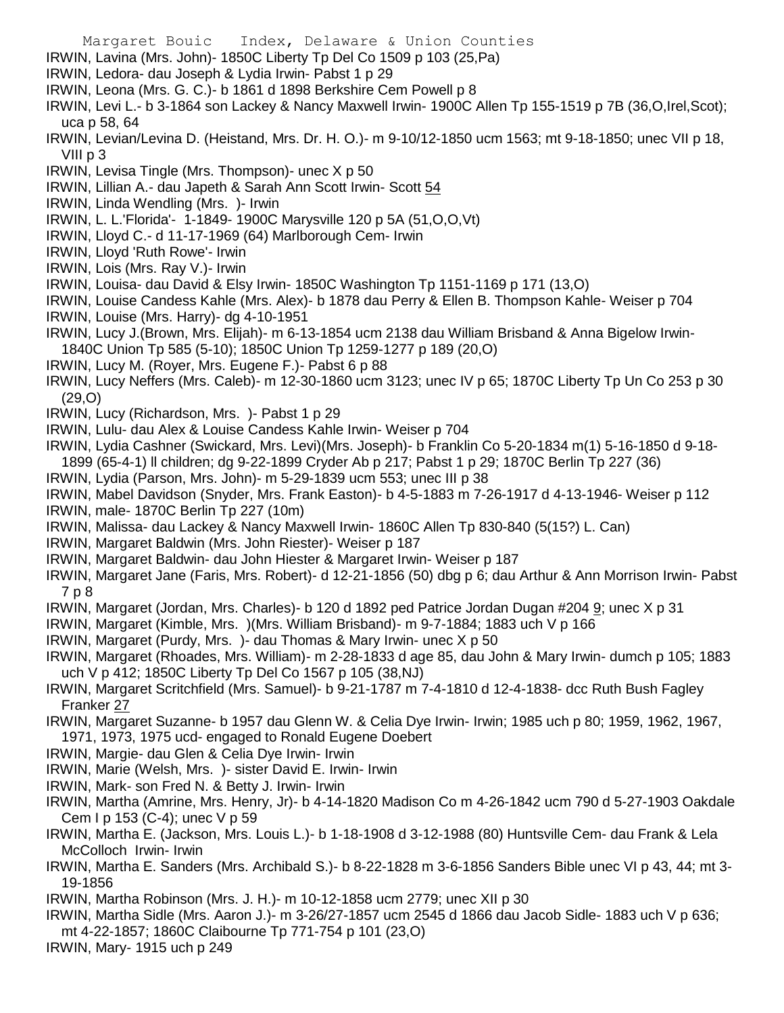- Margaret Bouic Index, Delaware & Union Counties
- IRWIN, Lavina (Mrs. John)- 1850C Liberty Tp Del Co 1509 p 103 (25,Pa)
- IRWIN, Ledora- dau Joseph & Lydia Irwin- Pabst 1 p 29
- IRWIN, Leona (Mrs. G. C.)- b 1861 d 1898 Berkshire Cem Powell p 8
- IRWIN, Levi L.- b 3-1864 son Lackey & Nancy Maxwell Irwin- 1900C Allen Tp 155-1519 p 7B (36,O,Irel,Scot); uca p 58, 64
- IRWIN, Levian/Levina D. (Heistand, Mrs. Dr. H. O.)- m 9-10/12-1850 ucm 1563; mt 9-18-1850; unec VII p 18, VIII p 3
- IRWIN, Levisa Tingle (Mrs. Thompson)- unec X p 50
- IRWIN, Lillian A.- dau Japeth & Sarah Ann Scott Irwin- Scott 54
- IRWIN, Linda Wendling (Mrs. )- Irwin
- IRWIN, L. L.'Florida'- 1-1849- 1900C Marysville 120 p 5A (51,O,O,Vt)
- IRWIN, Lloyd C.- d 11-17-1969 (64) Marlborough Cem- Irwin
- IRWIN, Lloyd 'Ruth Rowe'- Irwin
- IRWIN, Lois (Mrs. Ray V.)- Irwin
- IRWIN, Louisa- dau David & Elsy Irwin- 1850C Washington Tp 1151-1169 p 171 (13,O)
- IRWIN, Louise Candess Kahle (Mrs. Alex)- b 1878 dau Perry & Ellen B. Thompson Kahle- Weiser p 704
- IRWIN, Louise (Mrs. Harry)- dg 4-10-1951
- IRWIN, Lucy J.(Brown, Mrs. Elijah)- m 6-13-1854 ucm 2138 dau William Brisband & Anna Bigelow Irwin-1840C Union Tp 585 (5-10); 1850C Union Tp 1259-1277 p 189 (20,O)
- IRWIN, Lucy M. (Royer, Mrs. Eugene F.)- Pabst 6 p 88
- IRWIN, Lucy Neffers (Mrs. Caleb)- m 12-30-1860 ucm 3123; unec IV p 65; 1870C Liberty Tp Un Co 253 p 30 (29,O)
- IRWIN, Lucy (Richardson, Mrs. )- Pabst 1 p 29
- IRWIN, Lulu- dau Alex & Louise Candess Kahle Irwin- Weiser p 704
- IRWIN, Lydia Cashner (Swickard, Mrs. Levi)(Mrs. Joseph)- b Franklin Co 5-20-1834 m(1) 5-16-1850 d 9-18- 1899 (65-4-1) ll children; dg 9-22-1899 Cryder Ab p 217; Pabst 1 p 29; 1870C Berlin Tp 227 (36)
- IRWIN, Lydia (Parson, Mrs. John)- m 5-29-1839 ucm 553; unec III p 38
- IRWIN, Mabel Davidson (Snyder, Mrs. Frank Easton)- b 4-5-1883 m 7-26-1917 d 4-13-1946- Weiser p 112
- IRWIN, male- 1870C Berlin Tp 227 (10m)
- IRWIN, Malissa- dau Lackey & Nancy Maxwell Irwin- 1860C Allen Tp 830-840 (5(15?) L. Can)
- IRWIN, Margaret Baldwin (Mrs. John Riester)- Weiser p 187
- IRWIN, Margaret Baldwin- dau John Hiester & Margaret Irwin- Weiser p 187
- IRWIN, Margaret Jane (Faris, Mrs. Robert)- d 12-21-1856 (50) dbg p 6; dau Arthur & Ann Morrison Irwin- Pabst 7 p 8
- IRWIN, Margaret (Jordan, Mrs. Charles)- b 120 d 1892 ped Patrice Jordan Dugan #204 9; unec X p 31
- IRWIN, Margaret (Kimble, Mrs. )(Mrs. William Brisband)- m 9-7-1884; 1883 uch V p 166
- IRWIN, Margaret (Purdy, Mrs. )- dau Thomas & Mary Irwin- unec X p 50
- IRWIN, Margaret (Rhoades, Mrs. William)- m 2-28-1833 d age 85, dau John & Mary Irwin- dumch p 105; 1883 uch V p 412; 1850C Liberty Tp Del Co 1567 p 105 (38,NJ)
- IRWIN, Margaret Scritchfield (Mrs. Samuel)- b 9-21-1787 m 7-4-1810 d 12-4-1838- dcc Ruth Bush Fagley Franker 27
- IRWIN, Margaret Suzanne- b 1957 dau Glenn W. & Celia Dye Irwin- Irwin; 1985 uch p 80; 1959, 1962, 1967, 1971, 1973, 1975 ucd- engaged to Ronald Eugene Doebert
- IRWIN, Margie- dau Glen & Celia Dye Irwin- Irwin
- IRWIN, Marie (Welsh, Mrs. )- sister David E. Irwin- Irwin
- IRWIN, Mark- son Fred N. & Betty J. Irwin- Irwin
- IRWIN, Martha (Amrine, Mrs. Henry, Jr)- b 4-14-1820 Madison Co m 4-26-1842 ucm 790 d 5-27-1903 Oakdale Cem I p 153 (C-4); unec V p 59
- IRWIN, Martha E. (Jackson, Mrs. Louis L.)- b 1-18-1908 d 3-12-1988 (80) Huntsville Cem- dau Frank & Lela McColloch Irwin- Irwin
- IRWIN, Martha E. Sanders (Mrs. Archibald S.)- b 8-22-1828 m 3-6-1856 Sanders Bible unec VI p 43, 44; mt 3- 19-1856
- IRWIN, Martha Robinson (Mrs. J. H.)- m 10-12-1858 ucm 2779; unec XII p 30
- IRWIN, Martha Sidle (Mrs. Aaron J.)- m 3-26/27-1857 ucm 2545 d 1866 dau Jacob Sidle- 1883 uch V p 636; mt 4-22-1857; 1860C Claibourne Tp 771-754 p 101 (23,O)
- IRWIN, Mary- 1915 uch p 249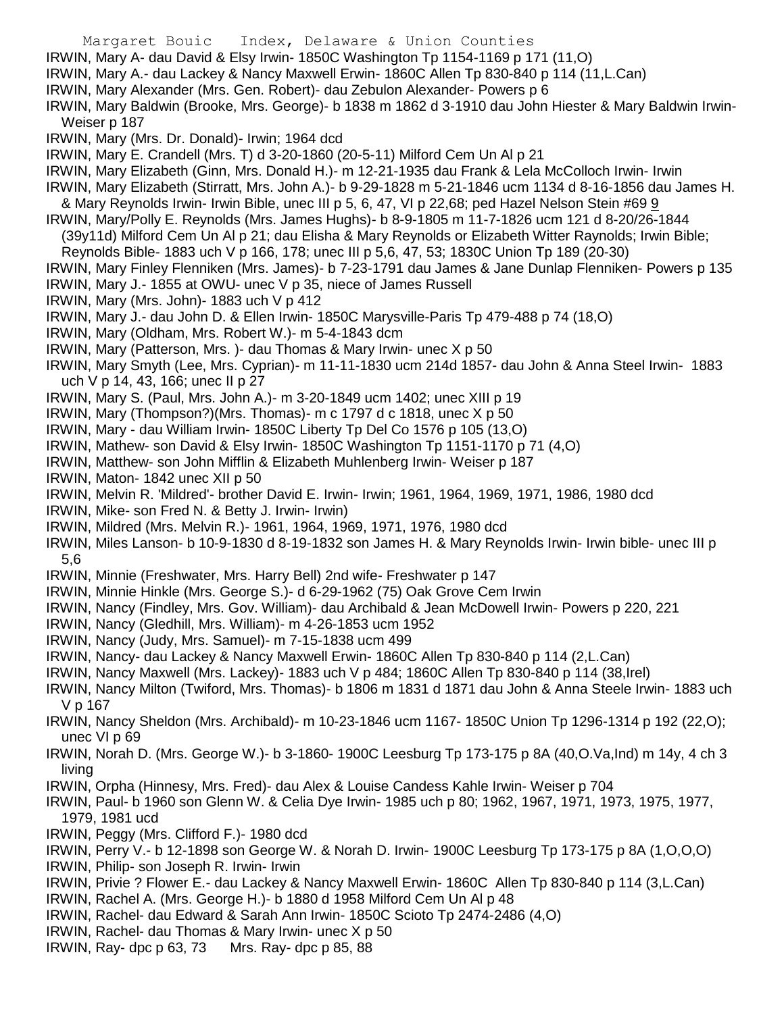Margaret Bouic Index, Delaware & Union Counties IRWIN, Mary A- dau David & Elsy Irwin- 1850C Washington Tp 1154-1169 p 171 (11,O) IRWIN, Mary A.- dau Lackey & Nancy Maxwell Erwin- 1860C Allen Tp 830-840 p 114 (11,L.Can) IRWIN, Mary Alexander (Mrs. Gen. Robert)- dau Zebulon Alexander- Powers p 6 IRWIN, Mary Baldwin (Brooke, Mrs. George)- b 1838 m 1862 d 3-1910 dau John Hiester & Mary Baldwin Irwin-Weiser p 187 IRWIN, Mary (Mrs. Dr. Donald)- Irwin; 1964 dcd IRWIN, Mary E. Crandell (Mrs. T) d 3-20-1860 (20-5-11) Milford Cem Un Al p 21 IRWIN, Mary Elizabeth (Ginn, Mrs. Donald H.)- m 12-21-1935 dau Frank & Lela McColloch Irwin- Irwin IRWIN, Mary Elizabeth (Stirratt, Mrs. John A.)- b 9-29-1828 m 5-21-1846 ucm 1134 d 8-16-1856 dau James H. & Mary Reynolds Irwin- Irwin Bible, unec III p 5, 6, 47, VI p 22,68; ped Hazel Nelson Stein #69 9 IRWIN, Mary/Polly E. Reynolds (Mrs. James Hughs)- b 8-9-1805 m 11-7-1826 ucm 121 d 8-20/26-1844 (39y11d) Milford Cem Un Al p 21; dau Elisha & Mary Reynolds or Elizabeth Witter Raynolds; Irwin Bible; Reynolds Bible- 1883 uch V p 166, 178; unec III p 5,6, 47, 53; 1830C Union Tp 189 (20-30) IRWIN, Mary Finley Flenniken (Mrs. James)- b 7-23-1791 dau James & Jane Dunlap Flenniken- Powers p 135 IRWIN, Mary J.- 1855 at OWU- unec V p 35, niece of James Russell IRWIN, Mary (Mrs. John)- 1883 uch V p 412 IRWIN, Mary J.- dau John D. & Ellen Irwin- 1850C Marysville-Paris Tp 479-488 p 74 (18,O) IRWIN, Mary (Oldham, Mrs. Robert W.)- m 5-4-1843 dcm IRWIN, Mary (Patterson, Mrs. )- dau Thomas & Mary Irwin- unec X p 50 IRWIN, Mary Smyth (Lee, Mrs. Cyprian)- m 11-11-1830 ucm 214d 1857- dau John & Anna Steel Irwin- 1883 uch V p 14, 43, 166; unec II p 27 IRWIN, Mary S. (Paul, Mrs. John A.)- m 3-20-1849 ucm 1402; unec XIII p 19 IRWIN, Mary (Thompson?)(Mrs. Thomas)- m c 1797 d c 1818, unec X p 50 IRWIN, Mary - dau William Irwin- 1850C Liberty Tp Del Co 1576 p 105 (13,O) IRWIN, Mathew- son David & Elsy Irwin- 1850C Washington Tp 1151-1170 p 71 (4,O) IRWIN, Matthew- son John Mifflin & Elizabeth Muhlenberg Irwin- Weiser p 187 IRWIN, Maton- 1842 unec XII p 50 IRWIN, Melvin R. 'Mildred'- brother David E. Irwin- Irwin; 1961, 1964, 1969, 1971, 1986, 1980 dcd IRWIN, Mike- son Fred N. & Betty J. Irwin- Irwin) IRWIN, Mildred (Mrs. Melvin R.)- 1961, 1964, 1969, 1971, 1976, 1980 dcd IRWIN, Miles Lanson- b 10-9-1830 d 8-19-1832 son James H. & Mary Reynolds Irwin- Irwin bible- unec III p 5,6 IRWIN, Minnie (Freshwater, Mrs. Harry Bell) 2nd wife- Freshwater p 147 IRWIN, Minnie Hinkle (Mrs. George S.)- d 6-29-1962 (75) Oak Grove Cem Irwin IRWIN, Nancy (Findley, Mrs. Gov. William)- dau Archibald & Jean McDowell Irwin- Powers p 220, 221 IRWIN, Nancy (Gledhill, Mrs. William)- m 4-26-1853 ucm 1952 IRWIN, Nancy (Judy, Mrs. Samuel)- m 7-15-1838 ucm 499 IRWIN, Nancy- dau Lackey & Nancy Maxwell Erwin- 1860C Allen Tp 830-840 p 114 (2,L.Can) IRWIN, Nancy Maxwell (Mrs. Lackey)- 1883 uch V p 484; 1860C Allen Tp 830-840 p 114 (38,Irel) IRWIN, Nancy Milton (Twiford, Mrs. Thomas)- b 1806 m 1831 d 1871 dau John & Anna Steele Irwin- 1883 uch V p 167 IRWIN, Nancy Sheldon (Mrs. Archibald)- m 10-23-1846 ucm 1167- 1850C Union Tp 1296-1314 p 192 (22,O); unec VI p 69 IRWIN, Norah D. (Mrs. George W.)- b 3-1860- 1900C Leesburg Tp 173-175 p 8A (40,O.Va,Ind) m 14y, 4 ch 3 living IRWIN, Orpha (Hinnesy, Mrs. Fred)- dau Alex & Louise Candess Kahle Irwin- Weiser p 704 IRWIN, Paul- b 1960 son Glenn W. & Celia Dye Irwin- 1985 uch p 80; 1962, 1967, 1971, 1973, 1975, 1977, 1979, 1981 ucd IRWIN, Peggy (Mrs. Clifford F.)- 1980 dcd IRWIN, Perry V.- b 12-1898 son George W. & Norah D. Irwin- 1900C Leesburg Tp 173-175 p 8A (1,O,O,O) IRWIN, Philip- son Joseph R. Irwin- Irwin

IRWIN, Privie ? Flower E.- dau Lackey & Nancy Maxwell Erwin- 1860C Allen Tp 830-840 p 114 (3,L.Can)

IRWIN, Rachel A. (Mrs. George H.)- b 1880 d 1958 Milford Cem Un Al p 48

IRWIN, Rachel- dau Edward & Sarah Ann Irwin- 1850C Scioto Tp 2474-2486 (4,O)

IRWIN, Rachel- dau Thomas & Mary Irwin- unec X p 50

IRWIN, Ray- dpc p 63, 73 Mrs. Ray- dpc p 85, 88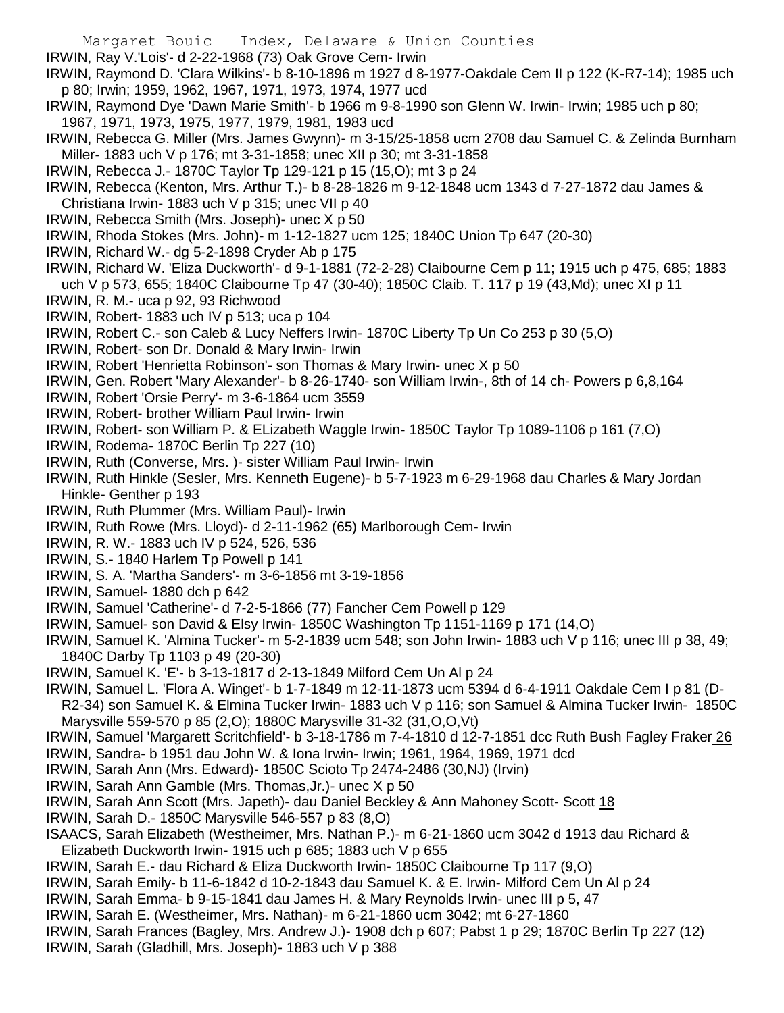- Margaret Bouic Index, Delaware & Union Counties
- IRWIN, Ray V.'Lois'- d 2-22-1968 (73) Oak Grove Cem- Irwin
- IRWIN, Raymond D. 'Clara Wilkins'- b 8-10-1896 m 1927 d 8-1977-Oakdale Cem II p 122 (K-R7-14); 1985 uch p 80; Irwin; 1959, 1962, 1967, 1971, 1973, 1974, 1977 ucd
- IRWIN, Raymond Dye 'Dawn Marie Smith'- b 1966 m 9-8-1990 son Glenn W. Irwin- Irwin; 1985 uch p 80; 1967, 1971, 1973, 1975, 1977, 1979, 1981, 1983 ucd
- IRWIN, Rebecca G. Miller (Mrs. James Gwynn)- m 3-15/25-1858 ucm 2708 dau Samuel C. & Zelinda Burnham Miller- 1883 uch V p 176; mt 3-31-1858; unec XII p 30; mt 3-31-1858
- IRWIN, Rebecca J.- 1870C Taylor Tp 129-121 p 15 (15,O); mt 3 p 24
- IRWIN, Rebecca (Kenton, Mrs. Arthur T.)- b 8-28-1826 m 9-12-1848 ucm 1343 d 7-27-1872 dau James & Christiana Irwin- 1883 uch V p 315; unec VII p 40
- IRWIN, Rebecca Smith (Mrs. Joseph)- unec X p 50
- IRWIN, Rhoda Stokes (Mrs. John)- m 1-12-1827 ucm 125; 1840C Union Tp 647 (20-30)
- IRWIN, Richard W.- dg 5-2-1898 Cryder Ab p 175
- IRWIN, Richard W. 'Eliza Duckworth'- d 9-1-1881 (72-2-28) Claibourne Cem p 11; 1915 uch p 475, 685; 1883 uch V p 573, 655; 1840C Claibourne Tp 47 (30-40); 1850C Claib. T. 117 p 19 (43,Md); unec XI p 11
- IRWIN, R. M.- uca p 92, 93 Richwood
- IRWIN, Robert- 1883 uch IV p 513; uca p 104
- IRWIN, Robert C.- son Caleb & Lucy Neffers Irwin- 1870C Liberty Tp Un Co 253 p 30 (5,O)
- IRWIN, Robert- son Dr. Donald & Mary Irwin- Irwin
- IRWIN, Robert 'Henrietta Robinson'- son Thomas & Mary Irwin- unec X p 50
- IRWIN, Gen. Robert 'Mary Alexander'- b 8-26-1740- son William Irwin-, 8th of 14 ch- Powers p 6,8,164
- IRWIN, Robert 'Orsie Perry'- m 3-6-1864 ucm 3559
- IRWIN, Robert- brother William Paul Irwin- Irwin
- IRWIN, Robert- son William P. & ELizabeth Waggle Irwin- 1850C Taylor Tp 1089-1106 p 161 (7,O)
- IRWIN, Rodema- 1870C Berlin Tp 227 (10)
- IRWIN, Ruth (Converse, Mrs. )- sister William Paul Irwin- Irwin
- IRWIN, Ruth Hinkle (Sesler, Mrs. Kenneth Eugene)- b 5-7-1923 m 6-29-1968 dau Charles & Mary Jordan Hinkle- Genther p 193
- IRWIN, Ruth Plummer (Mrs. William Paul)- Irwin
- IRWIN, Ruth Rowe (Mrs. Lloyd)- d 2-11-1962 (65) Marlborough Cem- Irwin
- IRWIN, R. W.- 1883 uch IV p 524, 526, 536
- IRWIN, S.- 1840 Harlem Tp Powell p 141
- IRWIN, S. A. 'Martha Sanders'- m 3-6-1856 mt 3-19-1856
- IRWIN, Samuel- 1880 dch p 642
- IRWIN, Samuel 'Catherine'- d 7-2-5-1866 (77) Fancher Cem Powell p 129
- IRWIN, Samuel- son David & Elsy Irwin- 1850C Washington Tp 1151-1169 p 171 (14,O)
- IRWIN, Samuel K. 'Almina Tucker'- m 5-2-1839 ucm 548; son John Irwin- 1883 uch V p 116; unec III p 38, 49; 1840C Darby Tp 1103 p 49 (20-30)
- IRWIN, Samuel K. 'E'- b 3-13-1817 d 2-13-1849 Milford Cem Un Al p 24
- IRWIN, Samuel L. 'Flora A. Winget'- b 1-7-1849 m 12-11-1873 ucm 5394 d 6-4-1911 Oakdale Cem I p 81 (D-
- R2-34) son Samuel K. & Elmina Tucker Irwin- 1883 uch V p 116; son Samuel & Almina Tucker Irwin- 1850C Marysville 559-570 p 85 (2,O); 1880C Marysville 31-32 (31,O,O,Vt)
- IRWIN, Samuel 'Margarett Scritchfield'- b 3-18-1786 m 7-4-1810 d 12-7-1851 dcc Ruth Bush Fagley Fraker 26
- IRWIN, Sandra- b 1951 dau John W. & Iona Irwin- Irwin; 1961, 1964, 1969, 1971 dcd
- IRWIN, Sarah Ann (Mrs. Edward)- 1850C Scioto Tp 2474-2486 (30,NJ) (Irvin)
- IRWIN, Sarah Ann Gamble (Mrs. Thomas,Jr.)- unec X p 50
- IRWIN, Sarah Ann Scott (Mrs. Japeth)- dau Daniel Beckley & Ann Mahoney Scott- Scott 18
- IRWIN, Sarah D.- 1850C Marysville 546-557 p 83 (8,O)
- ISAACS, Sarah Elizabeth (Westheimer, Mrs. Nathan P.)- m 6-21-1860 ucm 3042 d 1913 dau Richard & Elizabeth Duckworth Irwin- 1915 uch p 685; 1883 uch V p 655
- IRWIN, Sarah E.- dau Richard & Eliza Duckworth Irwin- 1850C Claibourne Tp 117 (9,O)
- IRWIN, Sarah Emily- b 11-6-1842 d 10-2-1843 dau Samuel K. & E. Irwin- Milford Cem Un Al p 24
- IRWIN, Sarah Emma- b 9-15-1841 dau James H. & Mary Reynolds Irwin- unec III p 5, 47
- IRWIN, Sarah E. (Westheimer, Mrs. Nathan)- m 6-21-1860 ucm 3042; mt 6-27-1860
- IRWIN, Sarah Frances (Bagley, Mrs. Andrew J.)- 1908 dch p 607; Pabst 1 p 29; 1870C Berlin Tp 227 (12)
- IRWIN, Sarah (Gladhill, Mrs. Joseph)- 1883 uch V p 388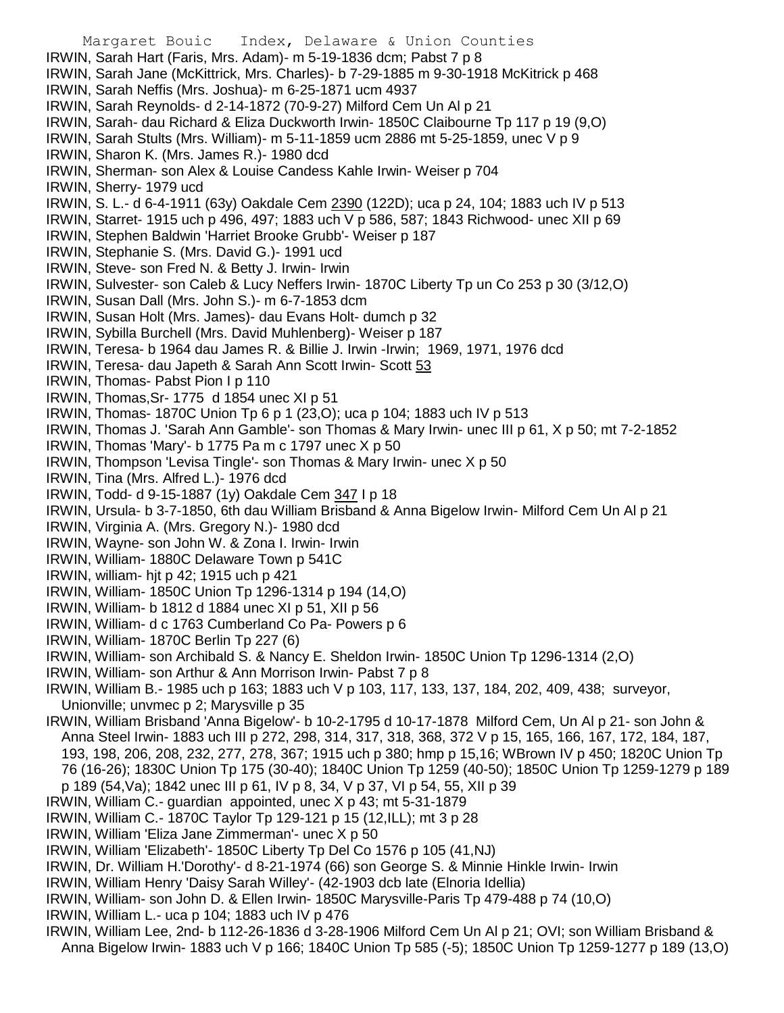- Margaret Bouic Index, Delaware & Union Counties IRWIN, Sarah Hart (Faris, Mrs. Adam)- m 5-19-1836 dcm; Pabst 7 p 8 IRWIN, Sarah Jane (McKittrick, Mrs. Charles)- b 7-29-1885 m 9-30-1918 McKitrick p 468 IRWIN, Sarah Neffis (Mrs. Joshua)- m 6-25-1871 ucm 4937 IRWIN, Sarah Reynolds- d 2-14-1872 (70-9-27) Milford Cem Un Al p 21 IRWIN, Sarah- dau Richard & Eliza Duckworth Irwin- 1850C Claibourne Tp 117 p 19 (9,O) IRWIN, Sarah Stults (Mrs. William)- m 5-11-1859 ucm 2886 mt 5-25-1859, unec V p 9 IRWIN, Sharon K. (Mrs. James R.)- 1980 dcd IRWIN, Sherman- son Alex & Louise Candess Kahle Irwin- Weiser p 704 IRWIN, Sherry- 1979 ucd IRWIN, S. L.- d 6-4-1911 (63y) Oakdale Cem 2390 (122D); uca p 24, 104; 1883 uch IV p 513 IRWIN, Starret- 1915 uch p 496, 497; 1883 uch V p 586, 587; 1843 Richwood- unec XII p 69 IRWIN, Stephen Baldwin 'Harriet Brooke Grubb'- Weiser p 187 IRWIN, Stephanie S. (Mrs. David G.)- 1991 ucd IRWIN, Steve- son Fred N. & Betty J. Irwin- Irwin IRWIN, Sulvester- son Caleb & Lucy Neffers Irwin- 1870C Liberty Tp un Co 253 p 30 (3/12,O) IRWIN, Susan Dall (Mrs. John S.)- m 6-7-1853 dcm IRWIN, Susan Holt (Mrs. James)- dau Evans Holt- dumch p 32 IRWIN, Sybilla Burchell (Mrs. David Muhlenberg)- Weiser p 187 IRWIN, Teresa- b 1964 dau James R. & Billie J. Irwin -Irwin; 1969, 1971, 1976 dcd IRWIN, Teresa- dau Japeth & Sarah Ann Scott Irwin- Scott 53 IRWIN, Thomas- Pabst Pion I p 110 IRWIN, Thomas,Sr- 1775 d 1854 unec XI p 51 IRWIN, Thomas- 1870C Union Tp 6 p 1 (23,O); uca p 104; 1883 uch IV p 513 IRWIN, Thomas J. 'Sarah Ann Gamble'- son Thomas & Mary Irwin- unec III p 61, X p 50; mt 7-2-1852 IRWIN, Thomas 'Mary'- b 1775 Pa m c 1797 unec X p 50 IRWIN, Thompson 'Levisa Tingle'- son Thomas & Mary Irwin- unec X p 50 IRWIN, Tina (Mrs. Alfred L.)- 1976 dcd IRWIN, Todd- d 9-15-1887 (1y) Oakdale Cem 347 I p 18 IRWIN, Ursula- b 3-7-1850, 6th dau William Brisband & Anna Bigelow Irwin- Milford Cem Un Al p 21 IRWIN, Virginia A. (Mrs. Gregory N.)- 1980 dcd IRWIN, Wayne- son John W. & Zona I. Irwin- Irwin IRWIN, William- 1880C Delaware Town p 541C IRWIN, william- hjt p 42; 1915 uch p 421 IRWIN, William- 1850C Union Tp 1296-1314 p 194 (14,O) IRWIN, William- b 1812 d 1884 unec XI p 51, XII p 56 IRWIN, William- d c 1763 Cumberland Co Pa- Powers p 6 IRWIN, William- 1870C Berlin Tp 227 (6) IRWIN, William- son Archibald S. & Nancy E. Sheldon Irwin- 1850C Union Tp 1296-1314 (2,O) IRWIN, William- son Arthur & Ann Morrison Irwin- Pabst 7 p 8 IRWIN, William B.- 1985 uch p 163; 1883 uch V p 103, 117, 133, 137, 184, 202, 409, 438; surveyor, Unionville; unvmec p 2; Marysville p 35 IRWIN, William Brisband 'Anna Bigelow'- b 10-2-1795 d 10-17-1878 Milford Cem, Un Al p 21- son John & Anna Steel Irwin- 1883 uch III p 272, 298, 314, 317, 318, 368, 372 V p 15, 165, 166, 167, 172, 184, 187, 193, 198, 206, 208, 232, 277, 278, 367; 1915 uch p 380; hmp p 15,16; WBrown IV p 450; 1820C Union Tp 76 (16-26); 1830C Union Tp 175 (30-40); 1840C Union Tp 1259 (40-50); 1850C Union Tp 1259-1279 p 189 p 189 (54,Va); 1842 unec III p 61, IV p 8, 34, V p 37, VI p 54, 55, XII p 39 IRWIN, William C.- guardian appointed, unec X p 43; mt 5-31-1879 IRWIN, William C.- 1870C Taylor Tp 129-121 p 15 (12,ILL); mt 3 p 28 IRWIN, William 'Eliza Jane Zimmerman'- unec X p 50 IRWIN, William 'Elizabeth'- 1850C Liberty Tp Del Co 1576 p 105 (41,NJ) IRWIN, Dr. William H.'Dorothy'- d 8-21-1974 (66) son George S. & Minnie Hinkle Irwin- Irwin
- IRWIN, William Henry 'Daisy Sarah Willey'- (42-1903 dcb late (Elnoria Idellia)
- IRWIN, William- son John D. & Ellen Irwin- 1850C Marysville-Paris Tp 479-488 p 74 (10,O)
- IRWIN, William L.- uca p 104; 1883 uch IV p 476
- IRWIN, William Lee, 2nd- b 112-26-1836 d 3-28-1906 Milford Cem Un Al p 21; OVI; son William Brisband & Anna Bigelow Irwin- 1883 uch V p 166; 1840C Union Tp 585 (-5); 1850C Union Tp 1259-1277 p 189 (13,O)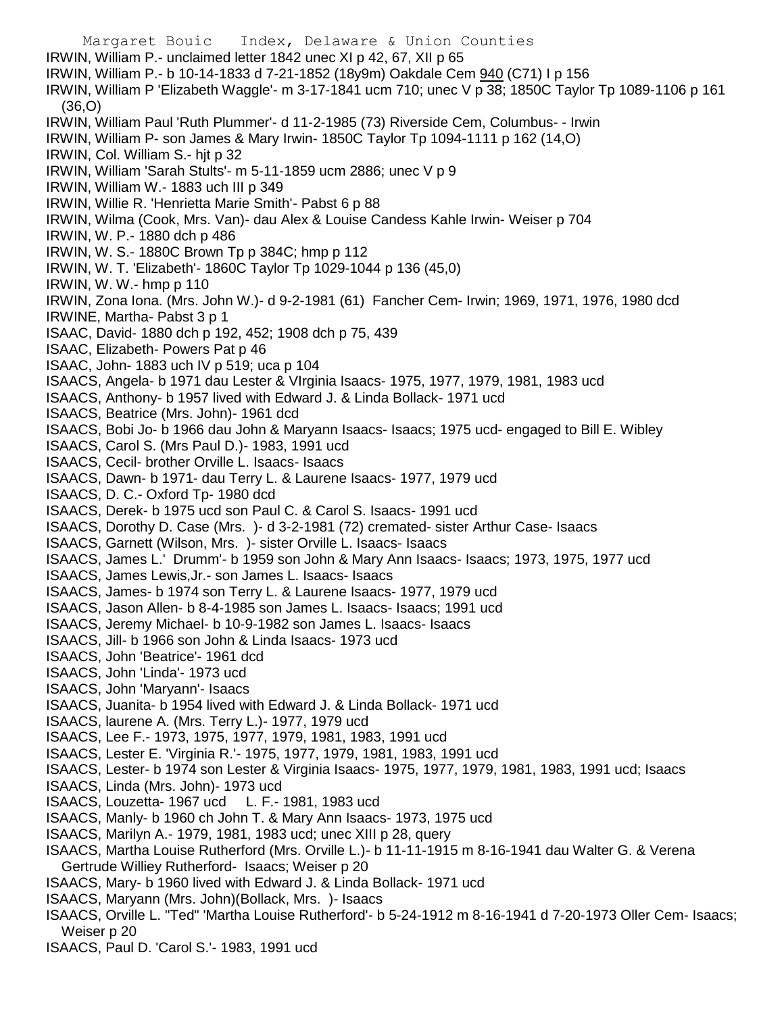Margaret Bouic Index, Delaware & Union Counties IRWIN, William P.- unclaimed letter 1842 unec XI p 42, 67, XII p 65 IRWIN, William P.- b 10-14-1833 d 7-21-1852 (18y9m) Oakdale Cem 940 (C71) I p 156 IRWIN, William P 'Elizabeth Waggle'- m 3-17-1841 ucm 710; unec V p 38; 1850C Taylor Tp 1089-1106 p 161 (36,O) IRWIN, William Paul 'Ruth Plummer'- d 11-2-1985 (73) Riverside Cem, Columbus- - Irwin IRWIN, William P- son James & Mary Irwin- 1850C Taylor Tp 1094-1111 p 162 (14,O) IRWIN, Col. William S.- hjt p 32 IRWIN, William 'Sarah Stults'- m 5-11-1859 ucm 2886; unec V p 9 IRWIN, William W.- 1883 uch III p 349 IRWIN, Willie R. 'Henrietta Marie Smith'- Pabst 6 p 88 IRWIN, Wilma (Cook, Mrs. Van)- dau Alex & Louise Candess Kahle Irwin- Weiser p 704 IRWIN, W. P.- 1880 dch p 486 IRWIN, W. S.- 1880C Brown Tp p 384C; hmp p 112 IRWIN, W. T. 'Elizabeth'- 1860C Taylor Tp 1029-1044 p 136 (45,0) IRWIN, W. W.- hmp p 110 IRWIN, Zona Iona. (Mrs. John W.)- d 9-2-1981 (61) Fancher Cem- Irwin; 1969, 1971, 1976, 1980 dcd IRWINE, Martha- Pabst 3 p 1 ISAAC, David- 1880 dch p 192, 452; 1908 dch p 75, 439 ISAAC, Elizabeth- Powers Pat p 46 ISAAC, John- 1883 uch IV p 519; uca p 104 ISAACS, Angela- b 1971 dau Lester & VIrginia Isaacs- 1975, 1977, 1979, 1981, 1983 ucd ISAACS, Anthony- b 1957 lived with Edward J. & Linda Bollack- 1971 ucd ISAACS, Beatrice (Mrs. John)- 1961 dcd ISAACS, Bobi Jo- b 1966 dau John & Maryann Isaacs- Isaacs; 1975 ucd- engaged to Bill E. Wibley ISAACS, Carol S. (Mrs Paul D.)- 1983, 1991 ucd ISAACS, Cecil- brother Orville L. Isaacs- Isaacs ISAACS, Dawn- b 1971- dau Terry L. & Laurene Isaacs- 1977, 1979 ucd ISAACS, D. C.- Oxford Tp- 1980 dcd ISAACS, Derek- b 1975 ucd son Paul C. & Carol S. Isaacs- 1991 ucd ISAACS, Dorothy D. Case (Mrs. )- d 3-2-1981 (72) cremated- sister Arthur Case- Isaacs ISAACS, Garnett (Wilson, Mrs. )- sister Orville L. Isaacs- Isaacs ISAACS, James L.' Drumm'- b 1959 son John & Mary Ann Isaacs- Isaacs; 1973, 1975, 1977 ucd ISAACS, James Lewis,Jr.- son James L. Isaacs- Isaacs ISAACS, James- b 1974 son Terry L. & Laurene Isaacs- 1977, 1979 ucd ISAACS, Jason Allen- b 8-4-1985 son James L. Isaacs- Isaacs; 1991 ucd ISAACS, Jeremy Michael- b 10-9-1982 son James L. Isaacs- Isaacs ISAACS, Jill- b 1966 son John & Linda Isaacs- 1973 ucd ISAACS, John 'Beatrice'- 1961 dcd ISAACS, John 'Linda'- 1973 ucd ISAACS, John 'Maryann'- Isaacs ISAACS, Juanita- b 1954 lived with Edward J. & Linda Bollack- 1971 ucd ISAACS, laurene A. (Mrs. Terry L.)- 1977, 1979 ucd ISAACS, Lee F.- 1973, 1975, 1977, 1979, 1981, 1983, 1991 ucd ISAACS, Lester E. 'Virginia R.'- 1975, 1977, 1979, 1981, 1983, 1991 ucd ISAACS, Lester- b 1974 son Lester & Virginia Isaacs- 1975, 1977, 1979, 1981, 1983, 1991 ucd; Isaacs ISAACS, Linda (Mrs. John)- 1973 ucd ISAACS, Louzetta- 1967 ucd L. F.- 1981, 1983 ucd ISAACS, Manly- b 1960 ch John T. & Mary Ann Isaacs- 1973, 1975 ucd ISAACS, Marilyn A.- 1979, 1981, 1983 ucd; unec XIII p 28, query ISAACS, Martha Louise Rutherford (Mrs. Orville L.)- b 11-11-1915 m 8-16-1941 dau Walter G. & Verena Gertrude Williey Rutherford- Isaacs; Weiser p 20 ISAACS, Mary- b 1960 lived with Edward J. & Linda Bollack- 1971 ucd ISAACS, Maryann (Mrs. John)(Bollack, Mrs. )- Isaacs ISAACS, Orville L. "Ted" 'Martha Louise Rutherford'- b 5-24-1912 m 8-16-1941 d 7-20-1973 Oller Cem- Isaacs; Weiser p 20 ISAACS, Paul D. 'Carol S.'- 1983, 1991 ucd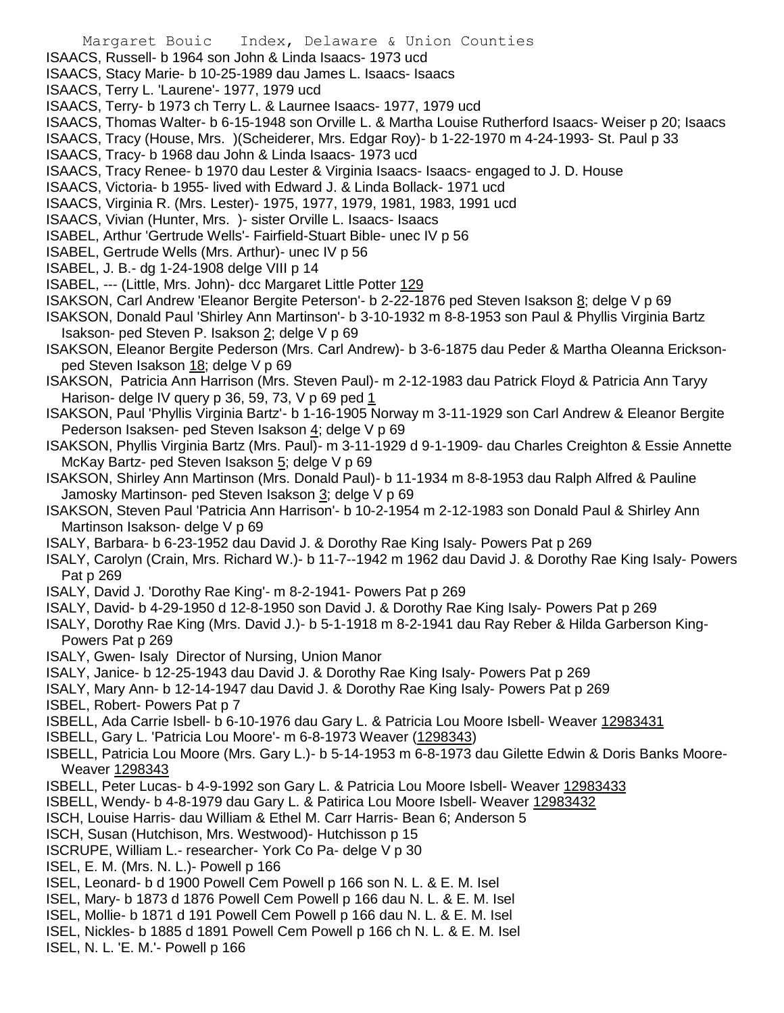- ISAACS, Russell- b 1964 son John & Linda Isaacs- 1973 ucd
- ISAACS, Stacy Marie- b 10-25-1989 dau James L. Isaacs- Isaacs
- ISAACS, Terry L. 'Laurene'- 1977, 1979 ucd
- ISAACS, Terry- b 1973 ch Terry L. & Laurnee Isaacs- 1977, 1979 ucd
- ISAACS, Thomas Walter- b 6-15-1948 son Orville L. & Martha Louise Rutherford Isaacs- Weiser p 20; Isaacs
- ISAACS, Tracy (House, Mrs. )(Scheiderer, Mrs. Edgar Roy)- b 1-22-1970 m 4-24-1993- St. Paul p 33
- ISAACS, Tracy- b 1968 dau John & Linda Isaacs- 1973 ucd
- ISAACS, Tracy Renee- b 1970 dau Lester & Virginia Isaacs- Isaacs- engaged to J. D. House
- ISAACS, Victoria- b 1955- lived with Edward J. & Linda Bollack- 1971 ucd
- ISAACS, Virginia R. (Mrs. Lester)- 1975, 1977, 1979, 1981, 1983, 1991 ucd
- ISAACS, Vivian (Hunter, Mrs. )- sister Orville L. Isaacs- Isaacs
- ISABEL, Arthur 'Gertrude Wells'- Fairfield-Stuart Bible- unec IV p 56
- ISABEL, Gertrude Wells (Mrs. Arthur)- unec IV p 56
- ISABEL, J. B.- dg 1-24-1908 delge VIII p 14
- ISABEL, --- (Little, Mrs. John)- dcc Margaret Little Potter 129
- ISAKSON, Carl Andrew 'Eleanor Bergite Peterson'- b 2-22-1876 ped Steven Isakson 8; delge V p 69
- ISAKSON, Donald Paul 'Shirley Ann Martinson'- b 3-10-1932 m 8-8-1953 son Paul & Phyllis Virginia Bartz Isakson- ped Steven P. Isakson 2; delge V p 69
- ISAKSON, Eleanor Bergite Pederson (Mrs. Carl Andrew)- b 3-6-1875 dau Peder & Martha Oleanna Ericksonped Steven Isakson 18; delge V p 69
- ISAKSON, Patricia Ann Harrison (Mrs. Steven Paul)- m 2-12-1983 dau Patrick Floyd & Patricia Ann Taryy Harison- delge IV query p 36, 59, 73, V p 69 ped 1
- ISAKSON, Paul 'Phyllis Virginia Bartz'- b 1-16-1905 Norway m 3-11-1929 son Carl Andrew & Eleanor Bergite Pederson Isaksen- ped Steven Isakson 4; delge V p 69
- ISAKSON, Phyllis Virginia Bartz (Mrs. Paul)- m 3-11-1929 d 9-1-1909- dau Charles Creighton & Essie Annette McKay Bartz- ped Steven Isakson 5; delge V p 69
- ISAKSON, Shirley Ann Martinson (Mrs. Donald Paul)- b 11-1934 m 8-8-1953 dau Ralph Alfred & Pauline Jamosky Martinson- ped Steven Isakson 3; delge V p 69
- ISAKSON, Steven Paul 'Patricia Ann Harrison'- b 10-2-1954 m 2-12-1983 son Donald Paul & Shirley Ann Martinson Isakson- delge V p 69
- ISALY, Barbara- b 6-23-1952 dau David J. & Dorothy Rae King Isaly- Powers Pat p 269
- ISALY, Carolyn (Crain, Mrs. Richard W.)- b 11-7--1942 m 1962 dau David J. & Dorothy Rae King Isaly- Powers Pat p 269
- ISALY, David J. 'Dorothy Rae King'- m 8-2-1941- Powers Pat p 269
- ISALY, David- b 4-29-1950 d 12-8-1950 son David J. & Dorothy Rae King Isaly- Powers Pat p 269
- ISALY, Dorothy Rae King (Mrs. David J.)- b 5-1-1918 m 8-2-1941 dau Ray Reber & Hilda Garberson King-Powers Pat p 269
- ISALY, Gwen- Isaly Director of Nursing, Union Manor
- ISALY, Janice- b 12-25-1943 dau David J. & Dorothy Rae King Isaly- Powers Pat p 269
- ISALY, Mary Ann- b 12-14-1947 dau David J. & Dorothy Rae King Isaly- Powers Pat p 269
- ISBEL, Robert- Powers Pat p 7
- ISBELL, Ada Carrie Isbell- b 6-10-1976 dau Gary L. & Patricia Lou Moore Isbell- Weaver 12983431
- ISBELL, Gary L. 'Patricia Lou Moore'- m 6-8-1973 Weaver (1298343)
- ISBELL, Patricia Lou Moore (Mrs. Gary L.)- b 5-14-1953 m 6-8-1973 dau Gilette Edwin & Doris Banks Moore-Weaver 1298343
- ISBELL, Peter Lucas- b 4-9-1992 son Gary L. & Patricia Lou Moore Isbell- Weaver 12983433
- ISBELL, Wendy- b 4-8-1979 dau Gary L. & Patirica Lou Moore Isbell- Weaver 12983432
- ISCH, Louise Harris- dau William & Ethel M. Carr Harris- Bean 6; Anderson 5
- ISCH, Susan (Hutchison, Mrs. Westwood)- Hutchisson p 15
- ISCRUPE, William L.- researcher- York Co Pa- delge V p 30
- ISEL, E. M. (Mrs. N. L.)- Powell p 166
- ISEL, Leonard- b d 1900 Powell Cem Powell p 166 son N. L. & E. M. Isel
- ISEL, Mary- b 1873 d 1876 Powell Cem Powell p 166 dau N. L. & E. M. Isel
- ISEL, Mollie- b 1871 d 191 Powell Cem Powell p 166 dau N. L. & E. M. Isel
- ISEL, Nickles- b 1885 d 1891 Powell Cem Powell p 166 ch N. L. & E. M. Isel
- ISEL, N. L. 'E. M.'- Powell p 166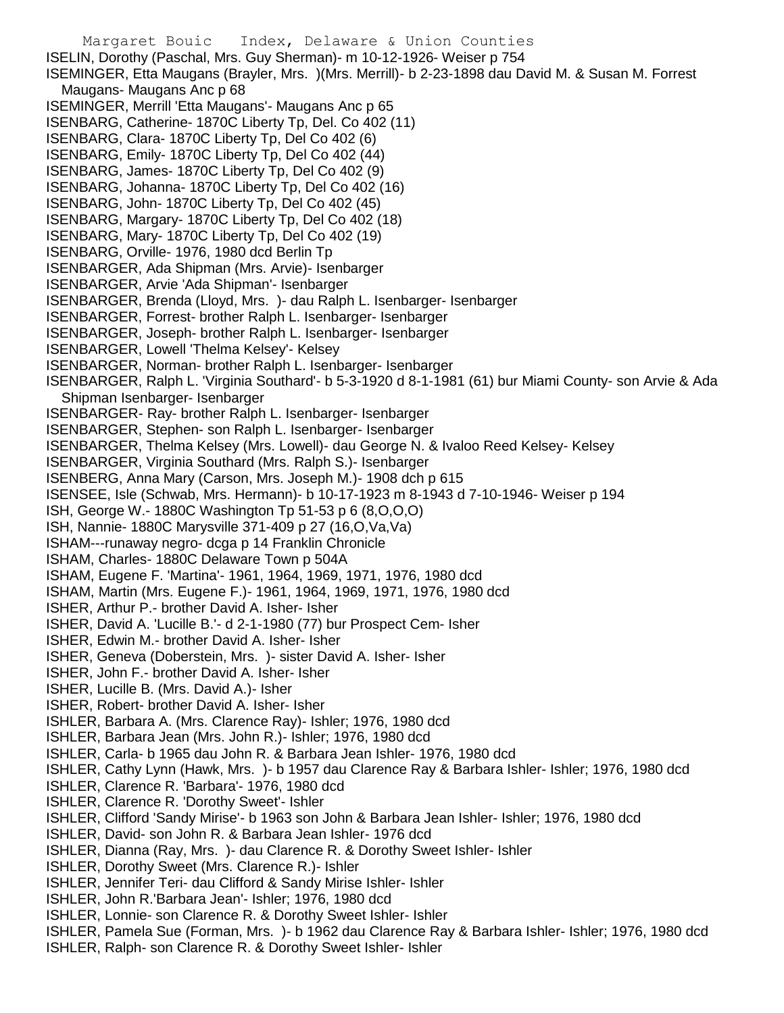Margaret Bouic Index, Delaware & Union Counties ISELIN, Dorothy (Paschal, Mrs. Guy Sherman)- m 10-12-1926- Weiser p 754 ISEMINGER, Etta Maugans (Brayler, Mrs. )(Mrs. Merrill)- b 2-23-1898 dau David M. & Susan M. Forrest Maugans- Maugans Anc p 68 ISEMINGER, Merrill 'Etta Maugans'- Maugans Anc p 65 ISENBARG, Catherine- 1870C Liberty Tp, Del. Co 402 (11) ISENBARG, Clara- 1870C Liberty Tp, Del Co 402 (6) ISENBARG, Emily- 1870C Liberty Tp, Del Co 402 (44) ISENBARG, James- 1870C Liberty Tp, Del Co 402 (9) ISENBARG, Johanna- 1870C Liberty Tp, Del Co 402 (16) ISENBARG, John- 1870C Liberty Tp, Del Co 402 (45) ISENBARG, Margary- 1870C Liberty Tp, Del Co 402 (18) ISENBARG, Mary- 1870C Liberty Tp, Del Co 402 (19) ISENBARG, Orville- 1976, 1980 dcd Berlin Tp ISENBARGER, Ada Shipman (Mrs. Arvie)- Isenbarger ISENBARGER, Arvie 'Ada Shipman'- Isenbarger ISENBARGER, Brenda (Lloyd, Mrs. )- dau Ralph L. Isenbarger- Isenbarger ISENBARGER, Forrest- brother Ralph L. Isenbarger- Isenbarger ISENBARGER, Joseph- brother Ralph L. Isenbarger- Isenbarger ISENBARGER, Lowell 'Thelma Kelsey'- Kelsey ISENBARGER, Norman- brother Ralph L. Isenbarger- Isenbarger ISENBARGER, Ralph L. 'Virginia Southard'- b 5-3-1920 d 8-1-1981 (61) bur Miami County- son Arvie & Ada Shipman Isenbarger- Isenbarger ISENBARGER- Ray- brother Ralph L. Isenbarger- Isenbarger ISENBARGER, Stephen- son Ralph L. Isenbarger- Isenbarger ISENBARGER, Thelma Kelsey (Mrs. Lowell)- dau George N. & Ivaloo Reed Kelsey- Kelsey ISENBARGER, Virginia Southard (Mrs. Ralph S.)- Isenbarger ISENBERG, Anna Mary (Carson, Mrs. Joseph M.)- 1908 dch p 615 ISENSEE, Isle (Schwab, Mrs. Hermann)- b 10-17-1923 m 8-1943 d 7-10-1946- Weiser p 194 ISH, George W.- 1880C Washington Tp 51-53 p 6 (8,O,O,O) ISH, Nannie- 1880C Marysville 371-409 p 27 (16,O,Va,Va) ISHAM---runaway negro- dcga p 14 Franklin Chronicle ISHAM, Charles- 1880C Delaware Town p 504A ISHAM, Eugene F. 'Martina'- 1961, 1964, 1969, 1971, 1976, 1980 dcd ISHAM, Martin (Mrs. Eugene F.)- 1961, 1964, 1969, 1971, 1976, 1980 dcd ISHER, Arthur P.- brother David A. Isher- Isher ISHER, David A. 'Lucille B.'- d 2-1-1980 (77) bur Prospect Cem- Isher ISHER, Edwin M.- brother David A. Isher- Isher ISHER, Geneva (Doberstein, Mrs. )- sister David A. Isher- Isher ISHER, John F.- brother David A. Isher- Isher ISHER, Lucille B. (Mrs. David A.)- Isher ISHER, Robert- brother David A. Isher- Isher ISHLER, Barbara A. (Mrs. Clarence Ray)- Ishler; 1976, 1980 dcd ISHLER, Barbara Jean (Mrs. John R.)- Ishler; 1976, 1980 dcd ISHLER, Carla- b 1965 dau John R. & Barbara Jean Ishler- 1976, 1980 dcd ISHLER, Cathy Lynn (Hawk, Mrs. )- b 1957 dau Clarence Ray & Barbara Ishler- Ishler; 1976, 1980 dcd ISHLER, Clarence R. 'Barbara'- 1976, 1980 dcd ISHLER, Clarence R. 'Dorothy Sweet'- Ishler ISHLER, Clifford 'Sandy Mirise'- b 1963 son John & Barbara Jean Ishler- Ishler; 1976, 1980 dcd ISHLER, David- son John R. & Barbara Jean Ishler- 1976 dcd ISHLER, Dianna (Ray, Mrs. )- dau Clarence R. & Dorothy Sweet Ishler- Ishler ISHLER, Dorothy Sweet (Mrs. Clarence R.)- Ishler ISHLER, Jennifer Teri- dau Clifford & Sandy Mirise Ishler- Ishler ISHLER, John R.'Barbara Jean'- Ishler; 1976, 1980 dcd ISHLER, Lonnie- son Clarence R. & Dorothy Sweet Ishler- Ishler ISHLER, Pamela Sue (Forman, Mrs. )- b 1962 dau Clarence Ray & Barbara Ishler- Ishler; 1976, 1980 dcd ISHLER, Ralph- son Clarence R. & Dorothy Sweet Ishler- Ishler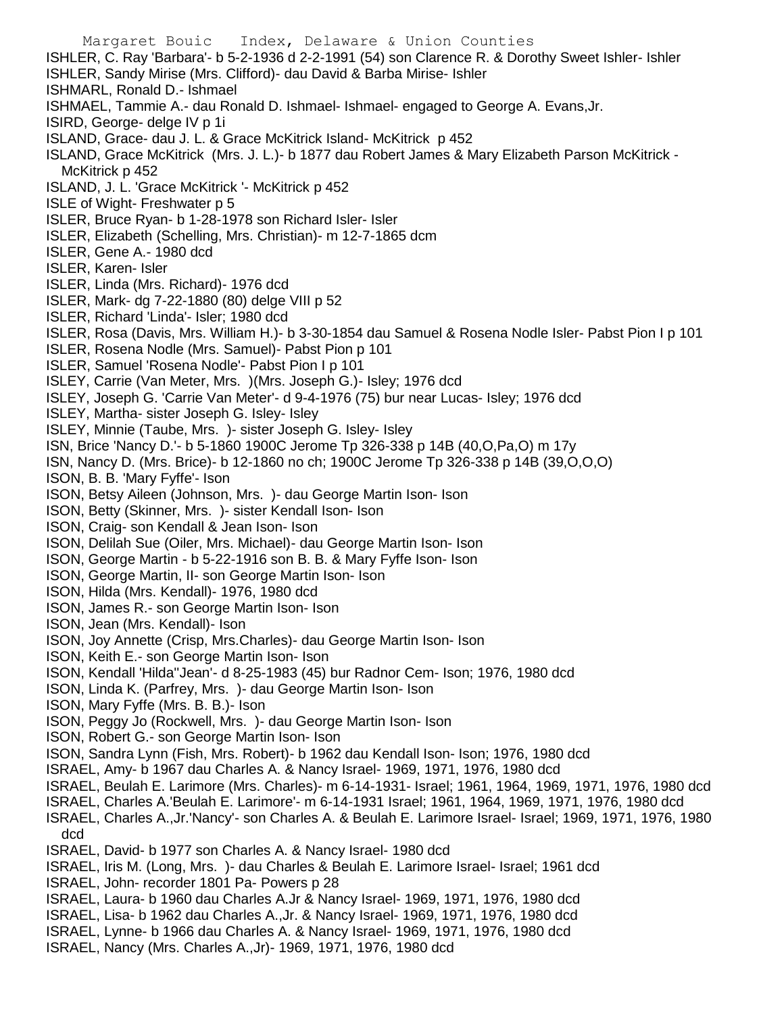Margaret Bouic Index, Delaware & Union Counties ISHLER, C. Ray 'Barbara'- b 5-2-1936 d 2-2-1991 (54) son Clarence R. & Dorothy Sweet Ishler- Ishler ISHLER, Sandy Mirise (Mrs. Clifford)- dau David & Barba Mirise- Ishler ISHMARL, Ronald D.- Ishmael ISHMAEL, Tammie A.- dau Ronald D. Ishmael- Ishmael- engaged to George A. Evans,Jr. ISIRD, George- delge IV p 1i ISLAND, Grace- dau J. L. & Grace McKitrick Island- McKitrick p 452 ISLAND, Grace McKitrick (Mrs. J. L.)- b 1877 dau Robert James & Mary Elizabeth Parson McKitrick - McKitrick p 452 ISLAND, J. L. 'Grace McKitrick '- McKitrick p 452 ISLE of Wight- Freshwater p 5 ISLER, Bruce Ryan- b 1-28-1978 son Richard Isler- Isler ISLER, Elizabeth (Schelling, Mrs. Christian)- m 12-7-1865 dcm ISLER, Gene A.- 1980 dcd ISLER, Karen- Isler ISLER, Linda (Mrs. Richard)- 1976 dcd ISLER, Mark- dg 7-22-1880 (80) delge VIII p 52 ISLER, Richard 'Linda'- Isler; 1980 dcd ISLER, Rosa (Davis, Mrs. William H.)- b 3-30-1854 dau Samuel & Rosena Nodle Isler- Pabst Pion I p 101 ISLER, Rosena Nodle (Mrs. Samuel)- Pabst Pion p 101 ISLER, Samuel 'Rosena Nodle'- Pabst Pion I p 101 ISLEY, Carrie (Van Meter, Mrs. )(Mrs. Joseph G.)- Isley; 1976 dcd ISLEY, Joseph G. 'Carrie Van Meter'- d 9-4-1976 (75) bur near Lucas- Isley; 1976 dcd ISLEY, Martha- sister Joseph G. Isley- Isley ISLEY, Minnie (Taube, Mrs. )- sister Joseph G. Isley- Isley ISN, Brice 'Nancy D.'- b 5-1860 1900C Jerome Tp 326-338 p 14B (40,O,Pa,O) m 17y ISN, Nancy D. (Mrs. Brice)- b 12-1860 no ch; 1900C Jerome Tp 326-338 p 14B (39,O,O,O) ISON, B. B. 'Mary Fyffe'- Ison ISON, Betsy Aileen (Johnson, Mrs. )- dau George Martin Ison- Ison ISON, Betty (Skinner, Mrs. )- sister Kendall Ison- Ison ISON, Craig- son Kendall & Jean Ison- Ison ISON, Delilah Sue (Oiler, Mrs. Michael)- dau George Martin Ison- Ison ISON, George Martin - b 5-22-1916 son B. B. & Mary Fyffe Ison- Ison ISON, George Martin, II- son George Martin Ison- Ison ISON, Hilda (Mrs. Kendall)- 1976, 1980 dcd ISON, James R.- son George Martin Ison- Ison ISON, Jean (Mrs. Kendall)- Ison ISON, Joy Annette (Crisp, Mrs.Charles)- dau George Martin Ison- Ison ISON, Keith E.- son George Martin Ison- Ison ISON, Kendall 'Hilda''Jean'- d 8-25-1983 (45) bur Radnor Cem- Ison; 1976, 1980 dcd ISON, Linda K. (Parfrey, Mrs. )- dau George Martin Ison- Ison ISON, Mary Fyffe (Mrs. B. B.)- Ison ISON, Peggy Jo (Rockwell, Mrs. )- dau George Martin Ison- Ison ISON, Robert G.- son George Martin Ison- Ison ISON, Sandra Lynn (Fish, Mrs. Robert)- b 1962 dau Kendall Ison- Ison; 1976, 1980 dcd ISRAEL, Amy- b 1967 dau Charles A. & Nancy Israel- 1969, 1971, 1976, 1980 dcd ISRAEL, Beulah E. Larimore (Mrs. Charles)- m 6-14-1931- Israel; 1961, 1964, 1969, 1971, 1976, 1980 dcd ISRAEL, Charles A.'Beulah E. Larimore'- m 6-14-1931 Israel; 1961, 1964, 1969, 1971, 1976, 1980 dcd ISRAEL, Charles A.,Jr.'Nancy'- son Charles A. & Beulah E. Larimore Israel- Israel; 1969, 1971, 1976, 1980 dcd ISRAEL, David- b 1977 son Charles A. & Nancy Israel- 1980 dcd ISRAEL, Iris M. (Long, Mrs. )- dau Charles & Beulah E. Larimore Israel- Israel; 1961 dcd ISRAEL, John- recorder 1801 Pa- Powers p 28 ISRAEL, Laura- b 1960 dau Charles A.Jr & Nancy Israel- 1969, 1971, 1976, 1980 dcd ISRAEL, Lisa- b 1962 dau Charles A.,Jr. & Nancy Israel- 1969, 1971, 1976, 1980 dcd

- ISRAEL, Lynne- b 1966 dau Charles A. & Nancy Israel- 1969, 1971, 1976, 1980 dcd
- ISRAEL, Nancy (Mrs. Charles A.,Jr)- 1969, 1971, 1976, 1980 dcd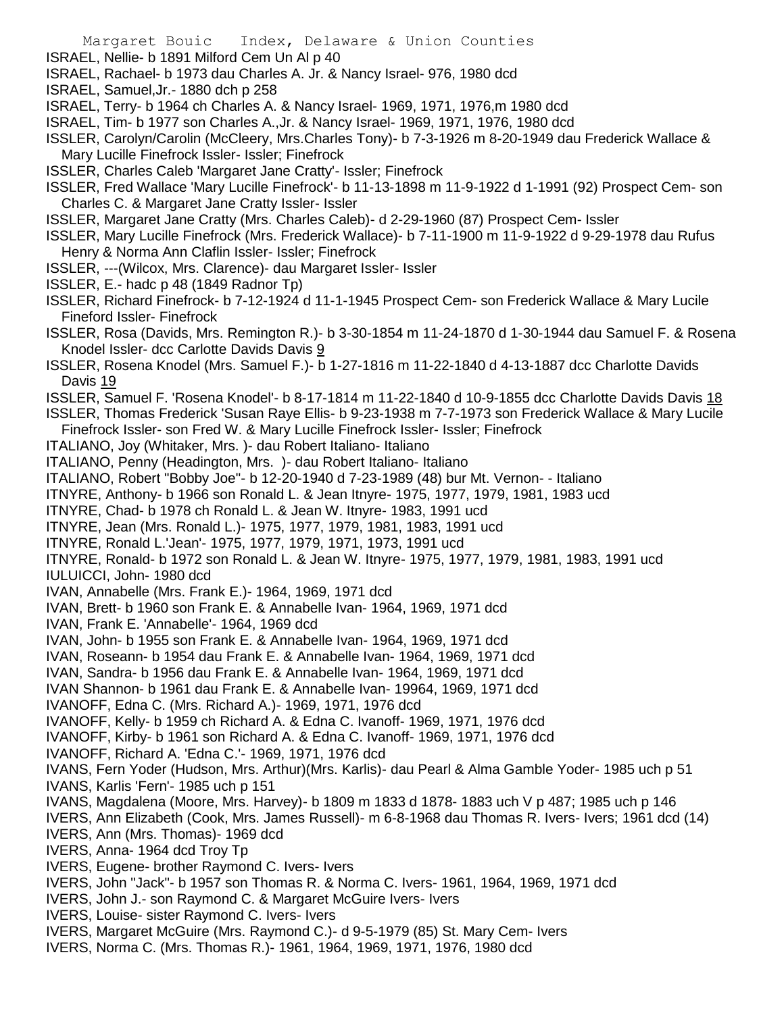- ISRAEL, Nellie- b 1891 Milford Cem Un Al p 40
- ISRAEL, Rachael- b 1973 dau Charles A. Jr. & Nancy Israel- 976, 1980 dcd
- ISRAEL, Samuel,Jr.- 1880 dch p 258
- ISRAEL, Terry- b 1964 ch Charles A. & Nancy Israel- 1969, 1971, 1976,m 1980 dcd
- ISRAEL, Tim- b 1977 son Charles A.,Jr. & Nancy Israel- 1969, 1971, 1976, 1980 dcd
- ISSLER, Carolyn/Carolin (McCleery, Mrs.Charles Tony)- b 7-3-1926 m 8-20-1949 dau Frederick Wallace & Mary Lucille Finefrock Issler- Issler; Finefrock
- ISSLER, Charles Caleb 'Margaret Jane Cratty'- Issler; Finefrock
- ISSLER, Fred Wallace 'Mary Lucille Finefrock'- b 11-13-1898 m 11-9-1922 d 1-1991 (92) Prospect Cem- son Charles C. & Margaret Jane Cratty Issler- Issler
- ISSLER, Margaret Jane Cratty (Mrs. Charles Caleb)- d 2-29-1960 (87) Prospect Cem- Issler
- ISSLER, Mary Lucille Finefrock (Mrs. Frederick Wallace)- b 7-11-1900 m 11-9-1922 d 9-29-1978 dau Rufus Henry & Norma Ann Claflin Issler- Issler; Finefrock
- ISSLER, ---(Wilcox, Mrs. Clarence)- dau Margaret Issler- Issler
- ISSLER, E.- hadc p 48 (1849 Radnor Tp)
- ISSLER, Richard Finefrock- b 7-12-1924 d 11-1-1945 Prospect Cem- son Frederick Wallace & Mary Lucile Fineford Issler- Finefrock
- ISSLER, Rosa (Davids, Mrs. Remington R.)- b 3-30-1854 m 11-24-1870 d 1-30-1944 dau Samuel F. & Rosena Knodel Issler- dcc Carlotte Davids Davis 9
- ISSLER, Rosena Knodel (Mrs. Samuel F.)- b 1-27-1816 m 11-22-1840 d 4-13-1887 dcc Charlotte Davids Davis 19
- ISSLER, Samuel F. 'Rosena Knodel'- b 8-17-1814 m 11-22-1840 d 10-9-1855 dcc Charlotte Davids Davis 18
- ISSLER, Thomas Frederick 'Susan Raye Ellis- b 9-23-1938 m 7-7-1973 son Frederick Wallace & Mary Lucile Finefrock Issler- son Fred W. & Mary Lucille Finefrock Issler- Issler; Finefrock
- ITALIANO, Joy (Whitaker, Mrs. )- dau Robert Italiano- Italiano
- ITALIANO, Penny (Headington, Mrs. )- dau Robert Italiano- Italiano
- ITALIANO, Robert "Bobby Joe"- b 12-20-1940 d 7-23-1989 (48) bur Mt. Vernon- Italiano
- ITNYRE, Anthony- b 1966 son Ronald L. & Jean Itnyre- 1975, 1977, 1979, 1981, 1983 ucd
- ITNYRE, Chad- b 1978 ch Ronald L. & Jean W. Itnyre- 1983, 1991 ucd
- ITNYRE, Jean (Mrs. Ronald L.)- 1975, 1977, 1979, 1981, 1983, 1991 ucd
- ITNYRE, Ronald L.'Jean'- 1975, 1977, 1979, 1971, 1973, 1991 ucd
- ITNYRE, Ronald- b 1972 son Ronald L. & Jean W. Itnyre- 1975, 1977, 1979, 1981, 1983, 1991 ucd IULUICCI, John- 1980 dcd
- IVAN, Annabelle (Mrs. Frank E.)- 1964, 1969, 1971 dcd
- IVAN, Brett- b 1960 son Frank E. & Annabelle Ivan- 1964, 1969, 1971 dcd
- IVAN, Frank E. 'Annabelle'- 1964, 1969 dcd
- IVAN, John- b 1955 son Frank E. & Annabelle Ivan- 1964, 1969, 1971 dcd
- IVAN, Roseann- b 1954 dau Frank E. & Annabelle Ivan- 1964, 1969, 1971 dcd
- IVAN, Sandra- b 1956 dau Frank E. & Annabelle Ivan- 1964, 1969, 1971 dcd
- IVAN Shannon- b 1961 dau Frank E. & Annabelle Ivan- 19964, 1969, 1971 dcd
- IVANOFF, Edna C. (Mrs. Richard A.)- 1969, 1971, 1976 dcd
- IVANOFF, Kelly- b 1959 ch Richard A. & Edna C. Ivanoff- 1969, 1971, 1976 dcd
- IVANOFF, Kirby- b 1961 son Richard A. & Edna C. Ivanoff- 1969, 1971, 1976 dcd
- IVANOFF, Richard A. 'Edna C.'- 1969, 1971, 1976 dcd
- IVANS, Fern Yoder (Hudson, Mrs. Arthur)(Mrs. Karlis)- dau Pearl & Alma Gamble Yoder- 1985 uch p 51 IVANS, Karlis 'Fern'- 1985 uch p 151
- IVANS, Magdalena (Moore, Mrs. Harvey)- b 1809 m 1833 d 1878- 1883 uch V p 487; 1985 uch p 146
- IVERS, Ann Elizabeth (Cook, Mrs. James Russell)- m 6-8-1968 dau Thomas R. Ivers- Ivers; 1961 dcd (14)
- IVERS, Ann (Mrs. Thomas)- 1969 dcd
- IVERS, Anna- 1964 dcd Troy Tp
- IVERS, Eugene- brother Raymond C. Ivers- Ivers
- IVERS, John "Jack"- b 1957 son Thomas R. & Norma C. Ivers- 1961, 1964, 1969, 1971 dcd
- IVERS, John J.- son Raymond C. & Margaret McGuire Ivers- Ivers
- IVERS, Louise- sister Raymond C. Ivers- Ivers
- IVERS, Margaret McGuire (Mrs. Raymond C.)- d 9-5-1979 (85) St. Mary Cem- Ivers
- IVERS, Norma C. (Mrs. Thomas R.)- 1961, 1964, 1969, 1971, 1976, 1980 dcd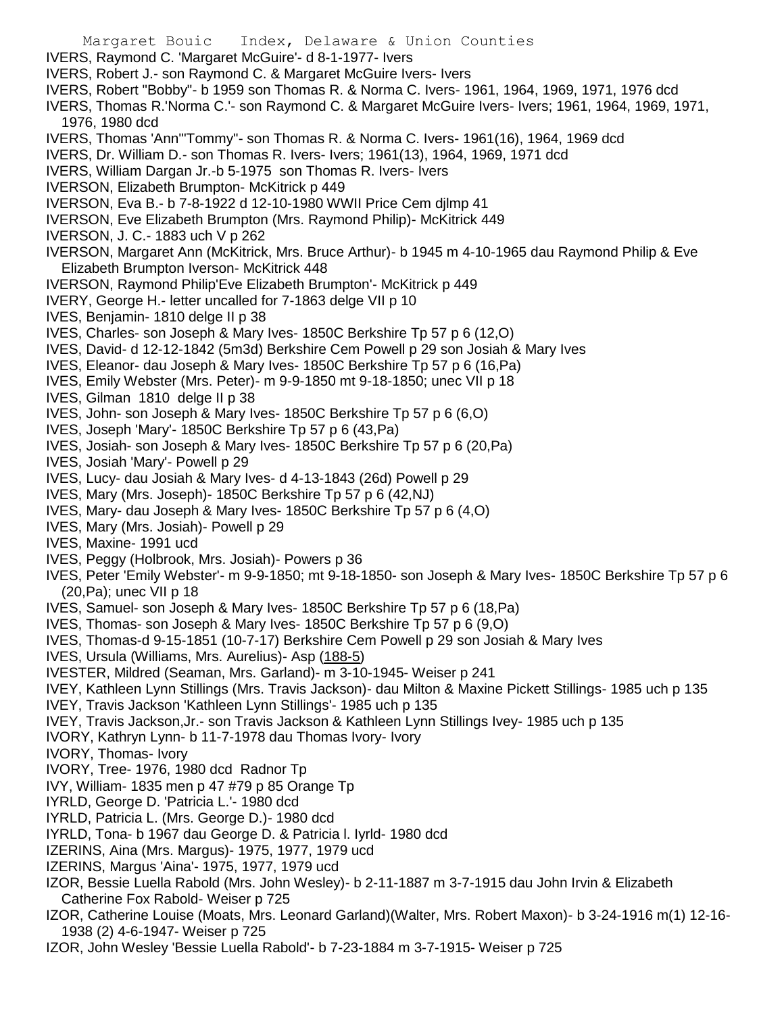- Margaret Bouic Index, Delaware & Union Counties IVERS, Raymond C. 'Margaret McGuire'- d 8-1-1977- Ivers IVERS, Robert J.- son Raymond C. & Margaret McGuire Ivers- Ivers IVERS, Robert "Bobby"- b 1959 son Thomas R. & Norma C. Ivers- 1961, 1964, 1969, 1971, 1976 dcd IVERS, Thomas R.'Norma C.'- son Raymond C. & Margaret McGuire Ivers- Ivers; 1961, 1964, 1969, 1971, 1976, 1980 dcd IVERS, Thomas 'Ann'"Tommy"- son Thomas R. & Norma C. Ivers- 1961(16), 1964, 1969 dcd IVERS, Dr. William D.- son Thomas R. Ivers- Ivers; 1961(13), 1964, 1969, 1971 dcd IVERS, William Dargan Jr.-b 5-1975 son Thomas R. Ivers- Ivers IVERSON, Elizabeth Brumpton- McKitrick p 449 IVERSON, Eva B.- b 7-8-1922 d 12-10-1980 WWII Price Cem djlmp 41 IVERSON, Eve Elizabeth Brumpton (Mrs. Raymond Philip)- McKitrick 449 IVERSON, J. C.- 1883 uch V p 262 IVERSON, Margaret Ann (McKitrick, Mrs. Bruce Arthur)- b 1945 m 4-10-1965 dau Raymond Philip & Eve Elizabeth Brumpton Iverson- McKitrick 448 IVERSON, Raymond Philip'Eve Elizabeth Brumpton'- McKitrick p 449 IVERY, George H.- letter uncalled for 7-1863 delge VII p 10 IVES, Benjamin- 1810 delge II p 38 IVES, Charles- son Joseph & Mary Ives- 1850C Berkshire Tp 57 p 6 (12,O) IVES, David- d 12-12-1842 (5m3d) Berkshire Cem Powell p 29 son Josiah & Mary Ives IVES, Eleanor- dau Joseph & Mary Ives- 1850C Berkshire Tp 57 p 6 (16,Pa) IVES, Emily Webster (Mrs. Peter)- m 9-9-1850 mt 9-18-1850; unec VII p 18 IVES, Gilman 1810 delge II p 38 IVES, John- son Joseph & Mary Ives- 1850C Berkshire Tp 57 p 6 (6,O) IVES, Joseph 'Mary'- 1850C Berkshire Tp 57 p 6 (43,Pa) IVES, Josiah- son Joseph & Mary Ives- 1850C Berkshire Tp 57 p 6 (20,Pa) IVES, Josiah 'Mary'- Powell p 29 IVES, Lucy- dau Josiah & Mary Ives- d 4-13-1843 (26d) Powell p 29 IVES, Mary (Mrs. Joseph)- 1850C Berkshire Tp 57 p 6 (42,NJ) IVES, Mary- dau Joseph & Mary Ives- 1850C Berkshire Tp 57 p 6 (4,O) IVES, Mary (Mrs. Josiah)- Powell p 29 IVES, Maxine- 1991 ucd IVES, Peggy (Holbrook, Mrs. Josiah)- Powers p 36 IVES, Peter 'Emily Webster'- m 9-9-1850; mt 9-18-1850- son Joseph & Mary Ives- 1850C Berkshire Tp 57 p 6 (20,Pa); unec VII p 18 IVES, Samuel- son Joseph & Mary Ives- 1850C Berkshire Tp 57 p 6 (18,Pa) IVES, Thomas- son Joseph & Mary Ives- 1850C Berkshire Tp 57 p 6 (9,O) IVES, Thomas-d 9-15-1851 (10-7-17) Berkshire Cem Powell p 29 son Josiah & Mary Ives IVES, Ursula (Williams, Mrs. Aurelius)- Asp (188-5) IVESTER, Mildred (Seaman, Mrs. Garland)- m 3-10-1945- Weiser p 241 IVEY, Kathleen Lynn Stillings (Mrs. Travis Jackson)- dau Milton & Maxine Pickett Stillings- 1985 uch p 135 IVEY, Travis Jackson 'Kathleen Lynn Stillings'- 1985 uch p 135 IVEY, Travis Jackson,Jr.- son Travis Jackson & Kathleen Lynn Stillings Ivey- 1985 uch p 135 IVORY, Kathryn Lynn- b 11-7-1978 dau Thomas Ivory- Ivory IVORY, Thomas- Ivory IVORY, Tree- 1976, 1980 dcd Radnor Tp IVY, William- 1835 men p 47 #79 p 85 Orange Tp IYRLD, George D. 'Patricia L.'- 1980 dcd IYRLD, Patricia L. (Mrs. George D.)- 1980 dcd IYRLD, Tona- b 1967 dau George D. & Patricia l. Iyrld- 1980 dcd IZERINS, Aina (Mrs. Margus)- 1975, 1977, 1979 ucd IZERINS, Margus 'Aina'- 1975, 1977, 1979 ucd IZOR, Bessie Luella Rabold (Mrs. John Wesley)- b 2-11-1887 m 3-7-1915 dau John Irvin & Elizabeth Catherine Fox Rabold- Weiser p 725 IZOR, Catherine Louise (Moats, Mrs. Leonard Garland)(Walter, Mrs. Robert Maxon)- b 3-24-1916 m(1) 12-16- 1938 (2) 4-6-1947- Weiser p 725
- IZOR, John Wesley 'Bessie Luella Rabold'- b 7-23-1884 m 3-7-1915- Weiser p 725